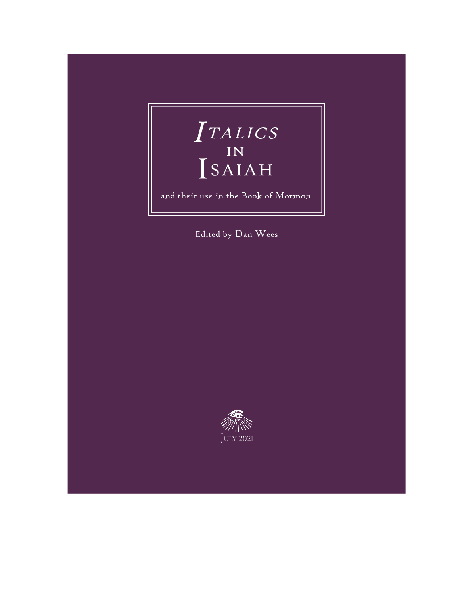# $\begin{array}{c}\nTALICS \\
IN \\
SAIAH\n\end{array}$

and their use in the Book of Mormon

Edited by Dan Wees

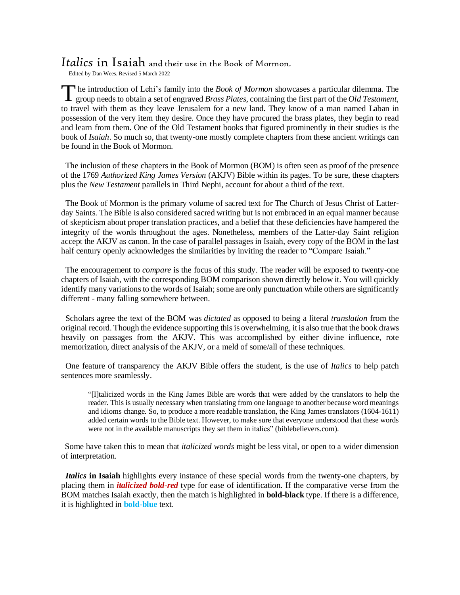#### *Italics* in Isaiah and their use in the Book of Mormon.

Edited by Dan Wees. Revised 5 March 2022

**h** he introduction of Lehi's family into the *Book of Mormon* showcases a particular dilemma. The The introduction of Lehi's family into the *Book of Mormon* showcases a particular dilemma. The group needs to obtain a set of engraved *Brass Plates*, containing the first part of the *Old Testament*, to travel with them as they leave Jerusalem for a new land. They know of a man named Laban in possession of the very item they desire. Once they have procured the brass plates, they begin to read and learn from them. One of the Old Testament books that figured prominently in their studies is the book of *Isaiah*. So much so, that twenty-one mostly complete chapters from these ancient writings can be found in the Book of Mormon.

 The inclusion of these chapters in the Book of Mormon (BOM) is often seen as proof of the presence of the 1769 *Authorized King James Version* (AKJV) Bible within its pages. To be sure, these chapters plus the *New Testament* parallels in Third Nephi, account for about a third of the text.

 The Book of Mormon is the primary volume of sacred text for The Church of Jesus Christ of Latterday Saints. The Bible is also considered sacred writing but is not embraced in an equal manner because of skepticism about proper translation practices, and a belief that these deficiencies have hampered the integrity of the words throughout the ages. Nonetheless, members of the Latter-day Saint religion accept the AKJV as canon. In the case of parallel passages in Isaiah, every copy of the BOM in the last half century openly acknowledges the similarities by inviting the reader to "Compare Isaiah."

 The encouragement to *compare* is the focus of this study. The reader will be exposed to twenty-one chapters of Isaiah, with the corresponding BOM comparison shown directly below it. You will quickly identify many variations to the words of Isaiah; some are only punctuation while others are significantly different - many falling somewhere between.

 Scholars agree the text of the BOM was *dictated* as opposed to being a literal *translation* from the original record. Though the evidence supporting this is overwhelming, it is also true that the book draws heavily on passages from the AKJV. This was accomplished by either divine influence, rote memorization, direct analysis of the AKJV, or a meld of some/all of these techniques.

 One feature of transparency the AKJV Bible offers the student, is the use of *Italics* to help patch sentences more seamlessly.

"[I]talicized words in the King James Bible are words that were added by the translators to help the reader. This is usually necessary when translating from one language to another because word meanings and idioms change. So, to produce a more readable translation, the King James translators (1604-1611) added certain words to the Bible text. However, to make sure that everyone understood that these words were not in the available manuscripts they set them in italics" (biblebelievers.com).

 Some have taken this to mean that *italicized words* might be less vital, or open to a wider dimension of interpretation.

 *Italics* **in Isaiah** highlights every instance of these special words from the twenty-one chapters, by placing them in *italicized bold-red* type for ease of identification. If the comparative verse from the BOM matches Isaiah exactly, then the match is highlighted in **bold-black** type. If there is a difference, it is highlighted in **bold-blue** text.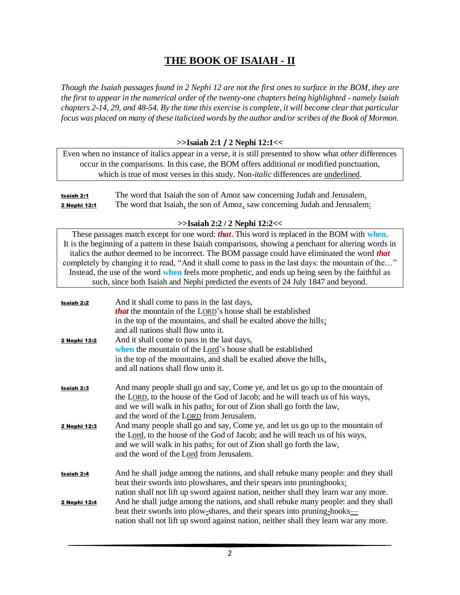#### **THE BOOK OF ISAIAH - II**

Though the Isaiah passages found in 2 Nephi 12 are not the first ones to surface in the BOM, they are *the first to appear in the numerical order of the twenty-one chapters being highlighted - namely Isaiah* chapters 2-14, 29, and 48-54. By the time this exercise is complete, it will become clear that particular focus was placed on many of these italicized words by the author and/or scribes of the Book of Mormon.

#### **>>Isaiah 2:1 / 2 Nephi 12:1<<**

Even when no instance of italics appear in a verse, it is still presented to show what *other* differences occur in the comparisons. In this case, the BOM offers additional or modified punctuation, which is true of most verses in this study. Non-*italic* differences are underlined.

Isaiah 2:1 The word that Isaiah the son of Amoz saw concerning Judah and Jerusalem. **2 Nephi 12:1** The word that Isaiah, the son of Amoz, saw concerning Judah and Jerusalem:

#### **>>Isaiah 2:2 / 2 Nephi 12:2<<**

These passages match except for one word: *that*. This word is replaced in the BOM with **when**. It is the beginning of a pattern in these Isaiah comparisons, showing a penchant for altering words in italics the author deemed to be incorrect. The BOM passage could have eliminated the word *that* completely by changing it to read, "And it shall come to pass in the last days: the mountain of the…" Instead, the use of the word **when** feels more prophetic, and ends up being seen by the faithful as such, since both Isaiah and Nephi predicted the events of 24 July 1847 and beyond.

| Isaiah 2:2<br>2 Nephi 12:2        | And it shall come to pass in the last days,<br><b><i>that</i></b> the mountain of the LORD's house shall be established<br>in the top of the mountains, and shall be exalted above the hills;<br>and all nations shall flow unto it.<br>And it shall come to pass in the last days,<br>when the mountain of the Lord's house shall be established<br>in the top of the mountains, and shall be exalted above the hills,<br>and all nations shall flow unto it.                                                                                                                 |
|-----------------------------------|--------------------------------------------------------------------------------------------------------------------------------------------------------------------------------------------------------------------------------------------------------------------------------------------------------------------------------------------------------------------------------------------------------------------------------------------------------------------------------------------------------------------------------------------------------------------------------|
| <b>Isaiah 2:3</b><br>2 Nephi 12:3 | And many people shall go and say, Come ye, and let us go up to the mountain of<br>the LORD, to the house of the God of Jacob; and he will teach us of his ways,<br>and we will walk in his paths: for out of Zion shall go forth the law,<br>and the word of the LORD from Jerusalem.<br>And many people shall go and say, Come ye, and let us go up to the mountain of<br>the Lord, to the house of the God of Jacob; and he will teach us of his ways,<br>and we will walk in his paths; for out of Zion shall go forth the law,<br>and the word of the Lord from Jerusalem. |
| Isaiah 2:4<br>2 Nephi 12:4        | And he shall judge among the nations, and shall rebuke many people: and they shall<br>beat their swords into plowshares, and their spears into pruninghooks:<br>nation shall not lift up sword against nation, neither shall they learn war any more.<br>And he shall judge among the nations, and shall rebuke many people: and they shall<br>beat their swords into plow-shares, and their spears into pruning-hooks—<br>nation shall not lift up sword against nation, neither shall they learn war any more.                                                               |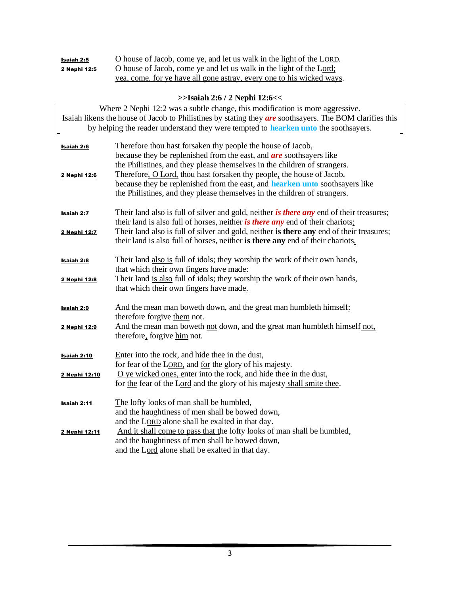| Isaiah 2:5   | O house of Jacob, come ye, and let us walk in the light of the LORD.  |
|--------------|-----------------------------------------------------------------------|
| 2 Nephi 12:5 | O house of Jacob, come ye and let us walk in the light of the Lord;   |
|              | yea, come, for ye have all gone astray, every one to his wicked ways. |

#### **>>Isaiah 2:6 / 2 Nephi 12:6<<**

| Where 2 Nephi 12:2 was a subtle change, this modification is more aggressive.<br>Isaiah likens the house of Jacob to Philistines by stating they are soothsayers. The BOM clarifies this<br>by helping the reader understand they were tempted to hearken unto the soothsayers. |                                                                                                                                                                                                                                                                                                 |  |
|---------------------------------------------------------------------------------------------------------------------------------------------------------------------------------------------------------------------------------------------------------------------------------|-------------------------------------------------------------------------------------------------------------------------------------------------------------------------------------------------------------------------------------------------------------------------------------------------|--|
| <b>Isaiah 2:6</b>                                                                                                                                                                                                                                                               | Therefore thou hast forsaken thy people the house of Jacob,<br>because they be replenished from the east, and <i>are</i> soothsayers like<br>the Philistines, and they please themselves in the children of strangers.<br>Therefore, O Lord, thou hast forsaken thy people, the house of Jacob, |  |
| 2 Nephi 12:6                                                                                                                                                                                                                                                                    | because they be replenished from the east, and <b>hearken unto</b> soothsayers like<br>the Philistines, and they please themselves in the children of strangers.                                                                                                                                |  |
| Isaiah 2:7                                                                                                                                                                                                                                                                      | Their land also is full of silver and gold, neither is there any end of their treasures;<br>their land is also full of horses, neither is there any end of their chariots:                                                                                                                      |  |
| 2 Nephi 12:7                                                                                                                                                                                                                                                                    | Their land also is full of silver and gold, neither is there any end of their treasures;<br>their land is also full of horses, neither is there any end of their chariots.                                                                                                                      |  |
| <b>Isaiah 2:8</b>                                                                                                                                                                                                                                                               | Their land also is full of idols; they worship the work of their own hands,<br>that which their own fingers have made:                                                                                                                                                                          |  |
| 2 Nephi 12:8                                                                                                                                                                                                                                                                    | Their land is also full of idols; they worship the work of their own hands,<br>that which their own fingers have made.                                                                                                                                                                          |  |
| <b>Isaiah 2:9</b>                                                                                                                                                                                                                                                               | And the mean man boweth down, and the great man humbleth himself:<br>therefore forgive them not.                                                                                                                                                                                                |  |
| 2 Nephi 12:9                                                                                                                                                                                                                                                                    | And the mean man boweth not down, and the great man humbleth himself not,<br>therefore, forgive him not.                                                                                                                                                                                        |  |
| <b>Isaiah 2:10</b>                                                                                                                                                                                                                                                              | Enter into the rock, and hide thee in the dust,<br>for fear of the LORD, and for the glory of his majesty.                                                                                                                                                                                      |  |
| 2 Nephi 12:10                                                                                                                                                                                                                                                                   | $\overline{O}$ ye wicked ones, enter into the rock, and hide thee in the dust,<br>for the fear of the Lord and the glory of his majesty shall smite thee.                                                                                                                                       |  |
| Isaiah 2:11                                                                                                                                                                                                                                                                     | The lofty looks of man shall be humbled,<br>and the haughtiness of men shall be bowed down,                                                                                                                                                                                                     |  |
| 2 Nephi 12:11                                                                                                                                                                                                                                                                   | and the LORD alone shall be exalted in that day.<br>And it shall come to pass that the lofty looks of man shall be humbled,<br>and the haughtiness of men shall be bowed down,<br>and the Lord alone shall be exalted in that day.                                                              |  |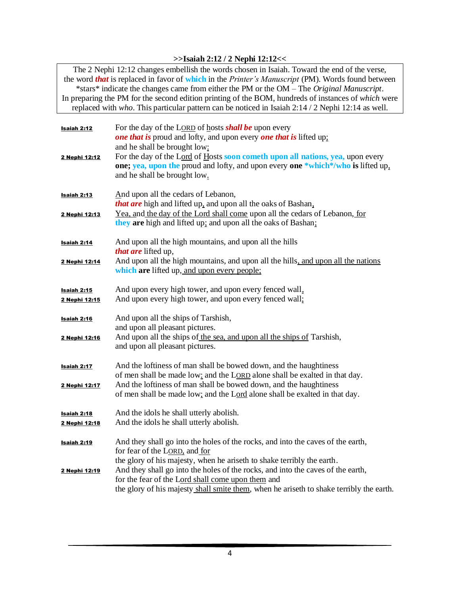#### **>>Isaiah 2:12 / 2 Nephi 12:12<<**

The 2 Nephi 12:12 changes embellish the words chosen in Isaiah. Toward the end of the verse, the word *that* is replaced in favor of **which** in the *Printer's Manuscript* (PM). Words found between \*stars\* indicate the changes came from either the PM or the OM – The *Original Manuscript*. In preparing the PM for the second edition printing of the BOM, hundreds of instances of *which* were replaced with *who*. This particular pattern can be noticed in Isaiah 2:14 / 2 Nephi 12:14 as well.

| Isaiah 2:12<br>2 Nephi 12:12        | For the day of the LORD of hosts <b>shall be</b> upon every<br><b>one that is proud and lofty, and upon every one that is lifted up:</b><br>and he shall be brought low:<br>For the day of the Lord of Hosts soon cometh upon all nations, yea, upon every<br>one; yea, upon the proud and lofty, and upon every one *which*/who is lifted up.<br>and he shall be brought low.                                                |
|-------------------------------------|-------------------------------------------------------------------------------------------------------------------------------------------------------------------------------------------------------------------------------------------------------------------------------------------------------------------------------------------------------------------------------------------------------------------------------|
| Isaiah 2:13<br>2 Nephi 12:13        | And upon all the cedars of Lebanon,<br><i>that are</i> high and lifted up, and upon all the oaks of Bashan,<br>Yea, and the day of the Lord shall come upon all the cedars of Lebanon, for<br>they are high and lifted up: and upon all the oaks of Bashan;                                                                                                                                                                   |
| Isaiah 2:14<br>2 Nephi 12:14        | And upon all the high mountains, and upon all the hills<br>that are lifted up,<br>And upon all the high mountains, and upon all the hills, and upon all the nations<br>which are lifted up, and upon every people;                                                                                                                                                                                                            |
| <u>Isaiah 2:15</u><br>2 Nephi 12:15 | And upon every high tower, and upon every fenced wall,<br>And upon every high tower, and upon every fenced wall;                                                                                                                                                                                                                                                                                                              |
| <b>Isaiah 2:16</b><br>2 Nephi 12:16 | And upon all the ships of Tarshish,<br>and upon all pleasant pictures.<br>And upon all the ships of the sea, and upon all the ships of Tarshish,<br>and upon all pleasant pictures.                                                                                                                                                                                                                                           |
| <b>Isaiah 2:17</b><br>2 Nephi 12:17 | And the loftiness of man shall be bowed down, and the haughtiness<br>of men shall be made low: and the LORD alone shall be exalted in that day.<br>And the loftiness of man shall be bowed down, and the haughtiness<br>of men shall be made low; and the Lord alone shall be exalted in that day.                                                                                                                            |
| Isaiah 2:18<br>2 Nephi 12:18        | And the idols he shall utterly abolish.<br>And the idols he shall utterly abolish.                                                                                                                                                                                                                                                                                                                                            |
| Isaiah 2:19<br>2 Nephi 12:19        | And they shall go into the holes of the rocks, and into the caves of the earth,<br>for fear of the LORD, and for<br>the glory of his majesty, when he ariseth to shake terribly the earth.<br>And they shall go into the holes of the rocks, and into the caves of the earth,<br>for the fear of the Lord shall come upon them and<br>the glory of his majesty shall smite them, when he ariseth to shake terribly the earth. |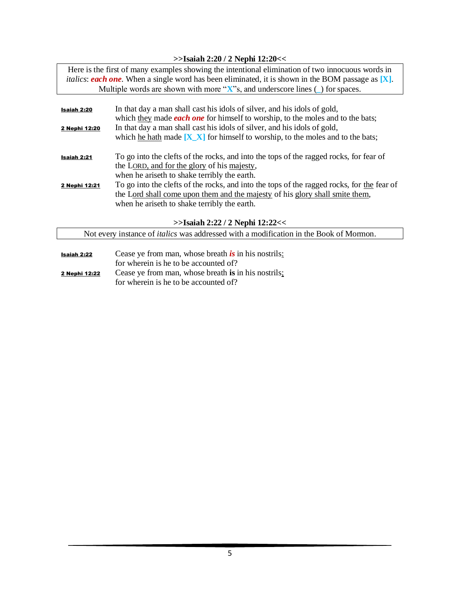#### **>>Isaiah 2:20 / 2 Nephi 12:20<<**

|                                    | Here is the first of many examples showing the intentional elimination of two innocuous words in<br><i>italics: each one.</i> When a single word has been eliminated, it is shown in the BOM passage as $[X]$ . |
|------------------------------------|-----------------------------------------------------------------------------------------------------------------------------------------------------------------------------------------------------------------|
|                                    | Multiple words are shown with more " $X$ "s, and underscore lines $\cup$ for spaces.                                                                                                                            |
|                                    |                                                                                                                                                                                                                 |
| <b>Isaiah 2:20</b>                 | In that day a man shall cast his idols of silver, and his idols of gold,                                                                                                                                        |
|                                    | which they made <i>each one</i> for himself to worship, to the moles and to the bats;                                                                                                                           |
| 2 Nephi 12:20                      | In that day a man shall cast his idols of silver, and his idols of gold,                                                                                                                                        |
|                                    | which <u>he hath</u> made $[X_X]$ for himself to worship, to the moles and to the bats;                                                                                                                         |
|                                    |                                                                                                                                                                                                                 |
| <b>Isaiah 2:21</b>                 | To go into the clefts of the rocks, and into the tops of the ragged rocks, for fear of                                                                                                                          |
|                                    | the LORD, and for the glory of his majesty,                                                                                                                                                                     |
|                                    | when he ariseth to shake terribly the earth.                                                                                                                                                                    |
| 2 Nephi 12:21                      | To go into the clefts of the rocks, and into the tops of the ragged rocks, for the fear of                                                                                                                      |
|                                    | the Lord shall come upon them and the majesty of his glory shall smite them,                                                                                                                                    |
|                                    | when he ariseth to shake terribly the earth.                                                                                                                                                                    |
|                                    |                                                                                                                                                                                                                 |
| $>>$ Isaiah 2:22 / 2 Nephi 12:22<< |                                                                                                                                                                                                                 |
|                                    | Not every instance of <i>italics</i> was addressed with a modification in the Book of Mormon.                                                                                                                   |
|                                    |                                                                                                                                                                                                                 |

- Isaiah 2:22 Cease ye from man, whose breath *is* in his nostrils: for wherein is he to be accounted of?
- 2 Nephi 12:22 Cease ye from man, whose breath **is** in his nostrils; for wherein is he to be accounted of?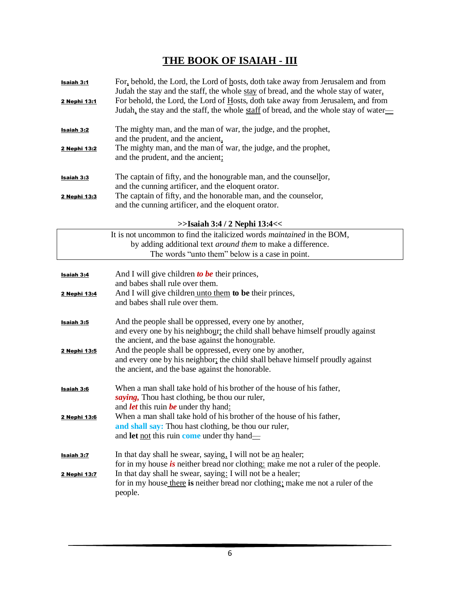## **THE BOOK OF ISAIAH - III**

| <u>Isaiah 3:1</u>   | For, behold, the Lord, the Lord of hosts, doth take away from Jerusalem and from<br>Judah the stay and the staff, the whole stay of bread, and the whole stay of water,   |
|---------------------|---------------------------------------------------------------------------------------------------------------------------------------------------------------------------|
| <u>2 Nephi 13:1</u> | For behold, the Lord, the Lord of Hosts, doth take away from Jerusalem, and from<br>Judah, the stay and the staff, the whole staff of bread, and the whole stay of water— |
| <u>Isaiah 3:2</u>   | The mighty man, and the man of war, the judge, and the prophet,<br>and the prudent, and the ancient,                                                                      |
| 2 Nephi 13:2        | The mighty man, and the man of war, the judge, and the prophet,<br>and the prudent, and the ancient;                                                                      |
| <b>Isaiah 3:3</b>   | The captain of fifty, and the honourable man, and the counsellor,<br>and the cunning artificer, and the eloquent orator.                                                  |
| 2 Nephi 13:3        | The captain of fifty, and the honorable man, and the counselor,<br>and the cunning artificer, and the eloquent orator.                                                    |
|                     | $>>$ Isaiah 3:4 / 2 Nephi 13:4 <<                                                                                                                                         |
|                     | It is not uncommon to find the italicized words <i>maintained</i> in the BOM,                                                                                             |
|                     | by adding additional text <i>around them</i> to make a difference.                                                                                                        |
|                     | The words "unto them" below is a case in point.                                                                                                                           |
|                     | And I will give children to be their princes,                                                                                                                             |
| Isaiah 3:4          | and babes shall rule over them.                                                                                                                                           |
| 2 Nephi 13:4        | And I will give children unto them to be their princes,                                                                                                                   |
|                     | and babes shall rule over them.                                                                                                                                           |
| <u>Isaiah 3:5</u>   | And the people shall be oppressed, every one by another,                                                                                                                  |
|                     | and every one by his neighbour: the child shall behave himself proudly against                                                                                            |
|                     | the ancient, and the base against the honourable.                                                                                                                         |
| 2 Nephi 13:5        | And the people shall be oppressed, every one by another,                                                                                                                  |
|                     | and every one by his neighbor; the child shall behave himself proudly against                                                                                             |
|                     | the ancient, and the base against the honorable.                                                                                                                          |
| <b>Isaiah 3:6</b>   | When a man shall take hold of his brother of the house of his father,                                                                                                     |
|                     | saying, Thou hast clothing, be thou our ruler,                                                                                                                            |
|                     | and <i>let</i> this ruin <i>be</i> under thy hand:                                                                                                                        |
| <u>2 Nephi 13:6</u> | When a man shall take hold of his brother of the house of his father,                                                                                                     |
|                     | and shall say: Thou hast clothing, be thou our ruler,                                                                                                                     |
|                     | and let not this ruin come under thy hand—                                                                                                                                |
|                     | In that day shall he swear, saying, I will not be an healer;                                                                                                              |
| <u>Isaiah 3:7</u>   | for in my house is neither bread nor clothing: make me not a ruler of the people.                                                                                         |
| 2 Nephi 13:7        | In that day shall he swear, saying: I will not be a healer;                                                                                                               |
|                     | for in my house there is neither bread nor clothing; make me not a ruler of the                                                                                           |
|                     | people.                                                                                                                                                                   |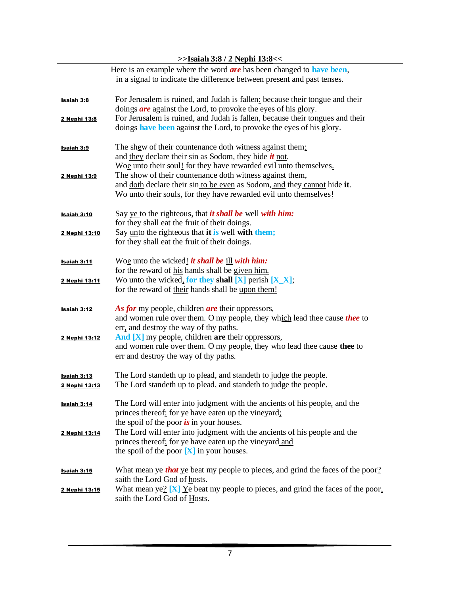|                    | $>$ Isaian 3:8 / 2 Nepni 13:8 $<<$                                                     |
|--------------------|----------------------------------------------------------------------------------------|
|                    | Here is an example where the word <i>are</i> has been changed to <b>have been</b> ,    |
|                    | in a signal to indicate the difference between present and past tenses.                |
|                    |                                                                                        |
| <u>Isaiah 3:8</u>  | For Jerusalem is ruined, and Judah is fallen: because their tongue and their           |
|                    | doings <i>are</i> against the Lord, to provoke the eyes of his glory.                  |
|                    |                                                                                        |
| 2 Nephi 13:8       | For Jerusalem is ruined, and Judah is fallen, because their tongues and their          |
|                    | doings have been against the Lord, to provoke the eyes of his glory.                   |
|                    |                                                                                        |
| <u>Isaiah 3:9</u>  | The shew of their countenance doth witness against them;                               |
|                    | and they declare their sin as Sodom, they hide $\dot{t}$ not.                          |
|                    | Woe unto their soul! for they have rewarded evil unto themselves.                      |
| 2 Nephi 13:9       | The show of their countenance doth witness against them.                               |
|                    | and doth declare their sin to be even as Sodom, and they cannot hide it.               |
|                    | Wo unto their souls, for they have rewarded evil unto themselves!                      |
|                    |                                                                                        |
| <b>Isaiah 3:10</b> | Say ye to the righteous, that <i>it shall be</i> well with him:                        |
|                    | for they shall eat the fruit of their doings.                                          |
| 2 Nephi 13:10      | Say unto the righteous that it is well with them;                                      |
|                    | for they shall eat the fruit of their doings.                                          |
|                    |                                                                                        |
| <b>Isaiah 3:11</b> | Woe unto the wicked! it shall be ill with him:                                         |
|                    | for the reward of his hands shall be given him.                                        |
| 2 Nephi 13:11      | Wo unto the wicked, for they shall $[X]$ perish $[X_X]$ ;                              |
|                    | for the reward of their hands shall be upon them!                                      |
|                    |                                                                                        |
| <b>Isaiah 3:12</b> | As for my people, children are their oppressors,                                       |
|                    | and women rule over them. O my people, they which lead thee cause thee to              |
|                    | err, and destroy the way of thy paths.                                                 |
|                    | And [X] my people, children are their oppressors,                                      |
| 2 Nephi 13:12      |                                                                                        |
|                    | and women rule over them. O my people, they who lead thee cause thee to                |
|                    | err and destroy the way of thy paths.                                                  |
|                    |                                                                                        |
| Isaiah 3:13        | The Lord standeth up to plead, and standeth to judge the people.                       |
| 2 Nephi 13:13      | The Lord standeth up to plead, and standeth to judge the people.                       |
|                    |                                                                                        |
| <b>Isaiah 3:14</b> | The Lord will enter into judgment with the ancients of his people, and the             |
|                    | princes thereof: for ye have eaten up the vineyard;                                    |
|                    | the spoil of the poor $\boldsymbol{is}$ in your houses.                                |
| 2 Nephi 13:14      | The Lord will enter into judgment with the ancients of his people and the              |
|                    | princes thereof; for ye have eaten up the vineyard and                                 |
|                    | the spoil of the poor $[X]$ in your houses.                                            |
|                    |                                                                                        |
| <u>Isaiah 3:15</u> | What mean ye <b>that</b> ye beat my people to pieces, and grind the faces of the poor? |
|                    | saith the Lord God of hosts.                                                           |
| 2 Nephi 13:15      | What mean ye? $[X]$ $Y$ e beat my people to pieces, and grind the faces of the poor,   |
|                    | saith the Lord God of Hosts.                                                           |
|                    |                                                                                        |

#### **>>Isaiah 3:8 / 2 Nephi 13:8<<**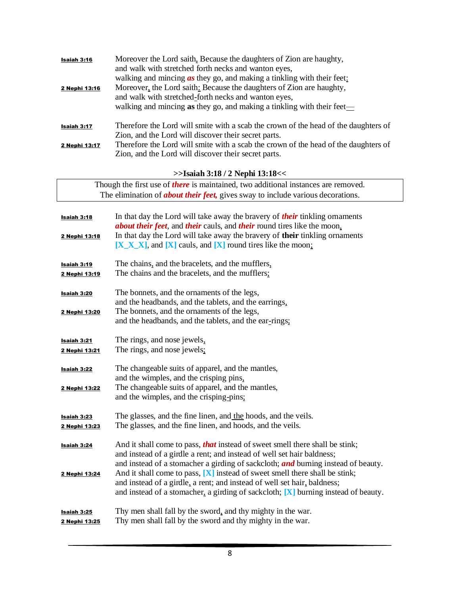| Isaiah 3:16<br>2 Nephi 13:16 | Moreover the Lord saith, Because the daughters of Zion are haughty,<br>and walk with stretched forth necks and wanton eyes,<br>walking and mincing $\alpha s$ they go, and making a tinkling with their feet:<br>Moreover, the Lord saith: Because the daughters of Zion are haughty,<br>and walk with stretched-forth necks and wanton eyes,<br>walking and minoring as they go, and making a tinkling with their feet— |
|------------------------------|--------------------------------------------------------------------------------------------------------------------------------------------------------------------------------------------------------------------------------------------------------------------------------------------------------------------------------------------------------------------------------------------------------------------------|
| Isaiah 3:17                  | Therefore the Lord will smite with a scab the crown of the head of the daughters of<br>Zion, and the Lord will discover their secret parts.                                                                                                                                                                                                                                                                              |
| 2 Nephi 13:17                | Therefore the Lord will smite with a scab the crown of the head of the daughters of<br>Zion, and the Lord will discover their secret parts.                                                                                                                                                                                                                                                                              |

#### **>>Isaiah 3:18 / 2 Nephi 13:18<<**

| Though the first use of <i>there</i> is maintained, two additional instances are removed. |                                                                                                                                                                                                                                                                                                                                                                                                                 |
|-------------------------------------------------------------------------------------------|-----------------------------------------------------------------------------------------------------------------------------------------------------------------------------------------------------------------------------------------------------------------------------------------------------------------------------------------------------------------------------------------------------------------|
|                                                                                           | The elimination of <b>about their feet</b> , gives sway to include various decorations.                                                                                                                                                                                                                                                                                                                         |
|                                                                                           |                                                                                                                                                                                                                                                                                                                                                                                                                 |
| <b>Isaiah 3:18</b>                                                                        | In that day the Lord will take away the bravery of <i>their</i> tinkling ornaments<br>about their feet, and their cauls, and their round tires like the moon,                                                                                                                                                                                                                                                   |
| 2 Nephi 13:18                                                                             | In that day the Lord will take away the bravery of their tinkling ornaments<br>$[X_X X]$ , and $[X]$ cauls, and $[X]$ round tires like the moon:                                                                                                                                                                                                                                                                |
| <b>Isaiah 3:19</b>                                                                        | The chains, and the bracelets, and the mufflers,                                                                                                                                                                                                                                                                                                                                                                |
| 2 Nephi 13:19                                                                             | The chains and the bracelets, and the mufflers;                                                                                                                                                                                                                                                                                                                                                                 |
| <b>Isaiah 3:20</b><br>2 Nephi 13:20                                                       | The bonnets, and the ornaments of the legs,<br>and the headbands, and the tablets, and the earrings,<br>The bonnets, and the ornaments of the legs,<br>and the headbands, and the tablets, and the ear-rings;                                                                                                                                                                                                   |
|                                                                                           |                                                                                                                                                                                                                                                                                                                                                                                                                 |
| Isaiah 3:21<br>2 Nephi 13:21                                                              | The rings, and nose jewels,<br>The rings, and nose jewels:                                                                                                                                                                                                                                                                                                                                                      |
| Isaiah 3:22<br>2 Nephi 13:22                                                              | The changeable suits of apparel, and the mantles,<br>and the wimples, and the crisping pins,<br>The changeable suits of apparel, and the mantles,                                                                                                                                                                                                                                                               |
|                                                                                           | and the wimples, and the crisping-pins:                                                                                                                                                                                                                                                                                                                                                                         |
| <b>Isaiah 3:23</b><br>2 Nephi 13:23                                                       | The glasses, and the fine linen, and the hoods, and the veils.<br>The glasses, and the fine linen, and hoods, and the veils.                                                                                                                                                                                                                                                                                    |
| <b>Isaiah 3:24</b><br>2 Nephi 13:24                                                       | And it shall come to pass, <b>that</b> instead of sweet smell there shall be stink;<br>and instead of a girdle a rent; and instead of well set hair baldness;<br>and instead of a stomacher a girding of sackcloth; and burning instead of beauty.<br>And it shall come to pass, $[X]$ instead of sweet smell there shall be stink;<br>and instead of a girdle, a rent; and instead of well set hair, baldness; |
|                                                                                           | and instead of a stomacher, a girding of sackcloth; $[X]$ burning instead of beauty.                                                                                                                                                                                                                                                                                                                            |
| Isaiah 3:25<br>2 Nephi 13:25                                                              | Thy men shall fall by the sword, and thy mighty in the war.<br>Thy men shall fall by the sword and thy mighty in the war.                                                                                                                                                                                                                                                                                       |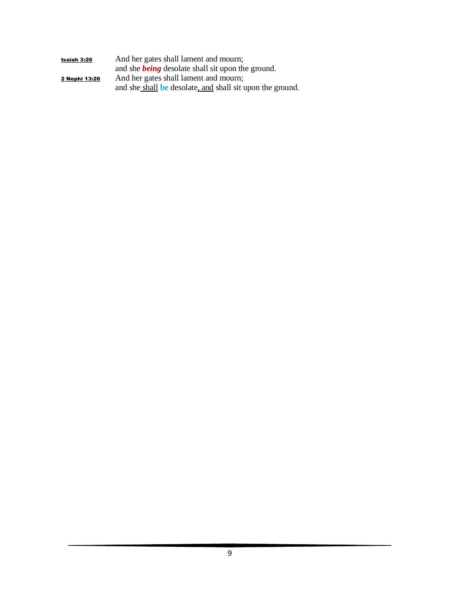| Isaiah 3:26   | And her gates shall lament and mourn;                     |
|---------------|-----------------------------------------------------------|
|               | and she <b>being</b> desolate shall sit upon the ground.  |
| 2 Nephi 13:26 | And her gates shall lament and mourn;                     |
|               | and she shall be desolate, and shall sit upon the ground. |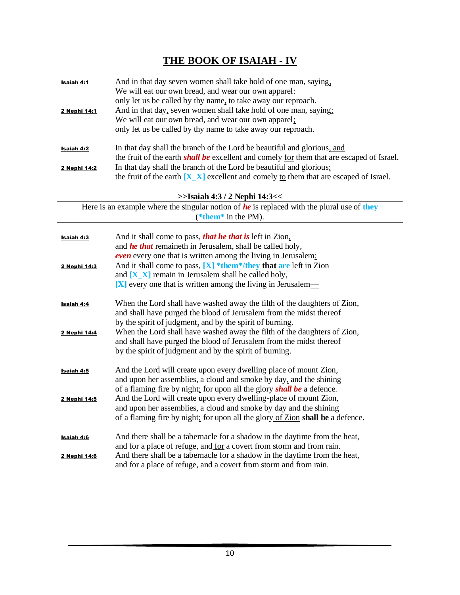# **THE BOOK OF ISAIAH - IV**

| <b>Isaiah 4:1</b> | And in that day seven women shall take hold of one man, saying,                                         |
|-------------------|---------------------------------------------------------------------------------------------------------|
|                   | We will eat our own bread, and wear our own apparel:                                                    |
|                   | only let us be called by thy name, to take away our reproach.                                           |
| 2 Nephi 14:1      | And in that day, seven women shall take hold of one man, saying:                                        |
|                   | We will eat our own bread, and wear our own apparel;                                                    |
|                   | only let us be called by thy name to take away our reproach.                                            |
| Isaiah 4:2        | In that day shall the branch of the Lord be beautiful and glorious, and                                 |
|                   | the fruit of the earth <i>shall be</i> excellent and comely <u>for</u> them that are escaped of Israel. |
| 2 Nephi 14:2      | In that day shall the branch of the Lord be beautiful and glorious;                                     |
|                   | the fruit of the earth $[X \ X]$ excellent and comely to them that are escaped of Israel.               |

**>>Isaiah 4:3 / 2 Nephi 14:3<<**

| Here is an example where the singular notion of $he$ is replaced with the plural use of they |
|----------------------------------------------------------------------------------------------|
| (*them* in the PM).                                                                          |

| <b>Isaiah 4:3</b><br>2 Nephi 14:3 | And it shall come to pass, that he that is left in Zion,<br>and <b>he that</b> remaineth in Jerusalem, shall be called holy,<br><b><i>even</i></b> every one that is written among the living in Jerusalem:<br>And it shall come to pass, $[X]$ *them*/they that are left in Zion<br>and $[X_X]$ remain in Jerusalem shall be called holy,<br>$[X]$ every one that is written among the living in Jerusalem— |
|-----------------------------------|--------------------------------------------------------------------------------------------------------------------------------------------------------------------------------------------------------------------------------------------------------------------------------------------------------------------------------------------------------------------------------------------------------------|
| <b>Isaiah 4:4</b>                 | When the Lord shall have washed away the filth of the daughters of Zion,<br>and shall have purged the blood of Jerusalem from the midst thereof<br>by the spirit of judgment, and by the spirit of burning.                                                                                                                                                                                                  |
| 2 Nephi 14:4                      | When the Lord shall have washed away the filth of the daughters of Zion,<br>and shall have purged the blood of Jerusalem from the midst thereof<br>by the spirit of judgment and by the spirit of burning.                                                                                                                                                                                                   |
| <b>Isaiah 4:5</b><br>2 Nephi 14:5 | And the Lord will create upon every dwelling place of mount Zion,<br>and upon her assemblies, a cloud and smoke by day, and the shining<br>of a flaming fire by night: for upon all the glory <b>shall be</b> a defence.<br>And the Lord will create upon every dwelling-place of mount Zion,                                                                                                                |
|                                   | and upon her assemblies, a cloud and smoke by day and the shining<br>of a flaming fire by night; for upon all the glory of Zion shall be a defence.                                                                                                                                                                                                                                                          |
| Isaiah 4:6                        | And there shall be a tabernacle for a shadow in the daytime from the heat,<br>and for a place of refuge, and for a covert from storm and from rain.                                                                                                                                                                                                                                                          |
| 2 Nephi 14:6                      | And there shall be a tabernacle for a shadow in the daytime from the heat,<br>and for a place of refuge, and a covert from storm and from rain.                                                                                                                                                                                                                                                              |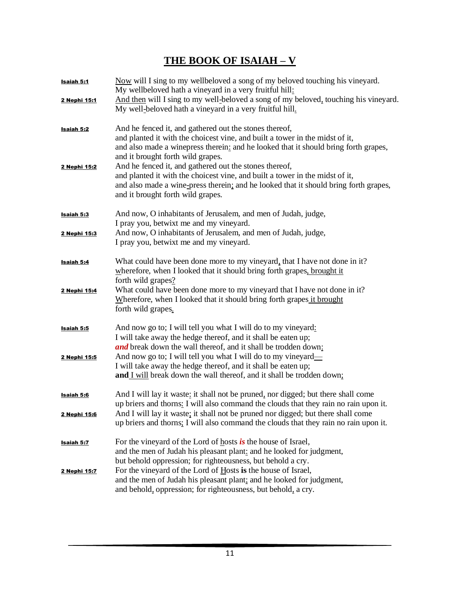## **THE BOOK OF ISAIAH – V**

| Isaiah 5:1          | Now will I sing to my wellbeloved a song of my beloved touching his vineyard.<br>My wellbeloved hath a vineyard in a very fruitful hill:                                                                                                                            |
|---------------------|---------------------------------------------------------------------------------------------------------------------------------------------------------------------------------------------------------------------------------------------------------------------|
| 2 Nephi 15:1        | And then will I sing to my well-beloved a song of my beloved, touching his vineyard.<br>My well-beloved hath a vineyard in a very fruitful hill.                                                                                                                    |
| Isaiah 5:2          | And he fenced it, and gathered out the stones thereof,<br>and planted it with the choicest vine, and built a tower in the midst of it,<br>and also made a winepress therein: and he looked that it should bring forth grapes,<br>and it brought forth wild grapes.  |
| 2 Nephi 15:2        | And he fenced it, and gathered out the stones thereof,<br>and planted it with the choicest vine, and built a tower in the midst of it,<br>and also made a wine-press therein, and he looked that it should bring forth grapes,<br>and it brought forth wild grapes. |
| Isaiah 5:3          | And now, O inhabitants of Jerusalem, and men of Judah, judge,<br>I pray you, betwixt me and my vineyard.                                                                                                                                                            |
| 2 Nephi 15:3        | And now, O inhabitants of Jerusalem, and men of Judah, judge,<br>I pray you, betwixt me and my vineyard.                                                                                                                                                            |
| Isaiah 5:4          | What could have been done more to my vineyard, that I have not done in it?<br>wherefore, when I looked that it should bring forth grapes, brought it<br>forth wild grapes?                                                                                          |
| <u>2 Nephi 15:4</u> | What could have been done more to my vineyard that I have not done in it?<br>Wherefore, when I looked that it should bring forth grapes it brought<br>forth wild grapes.                                                                                            |
| Isaiah 5:5          | And now go to; I will tell you what I will do to my vineyard:<br>I will take away the hedge thereof, and it shall be eaten up;<br>and break down the wall thereof, and it shall be trodden down:                                                                    |
| 2 Nephi 15:5        | And now go to; I will tell you what I will do to my vineyard—<br>I will take away the hedge thereof, and it shall be eaten up;<br>and I will break down the wall thereof, and it shall be trodden down;                                                             |
| Isaiah 5:6          | And I will lay it waste: it shall not be pruned, nor digged; but there shall come<br>up briers and thorns: I will also command the clouds that they rain no rain upon it.<br>And I will lay it waste; it shall not be pruned nor digged; but there shall come       |
| 2 Nephi 15:6        | up briers and thorns: I will also command the clouds that they rain no rain upon it.                                                                                                                                                                                |
| Isaiah 5:7          | For the vineyard of the Lord of hosts $\dot{i}$ s the house of Israel,<br>and the men of Judah his pleasant plant: and he looked for judgment,<br>but behold oppression; for righteousness, but behold a cry.                                                       |
| 2 Nephi 15:7        | For the vineyard of the Lord of Hosts is the house of Israel,<br>and the men of Judah his pleasant plant; and he looked for judgment,<br>and behold, oppression; for righteousness, but behold, a cry.                                                              |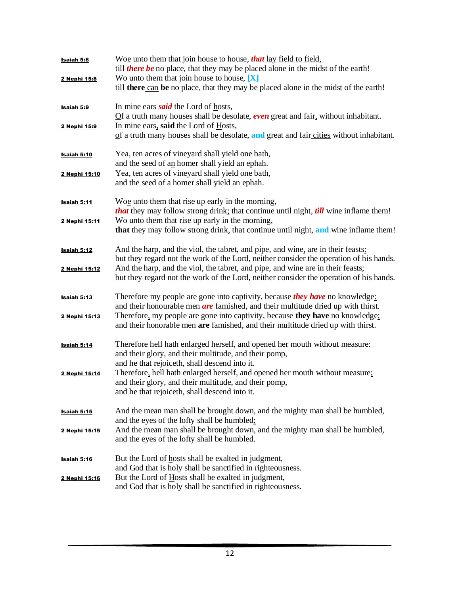| <b>Isaiah 5:8</b><br>2 Nephi 15:8 | Woe unto them that join house to house, <i>that</i> lay field to field,<br>till <i>there be</i> no place, that they may be placed alone in the midst of the earth!<br>Wo unto them that join house to house, $[X]$ |
|-----------------------------------|--------------------------------------------------------------------------------------------------------------------------------------------------------------------------------------------------------------------|
|                                   | till there can be no place, that they may be placed alone in the midst of the earth!                                                                                                                               |
| Isaiah 5:9                        | In mine ears <b>said</b> the Lord of hosts,<br>$Qf$ a truth many houses shall be desolate, <b>even</b> great and fair, without inhabitant.                                                                         |
| 2 Nephi 15:9                      | In mine ears, said the Lord of Hosts,<br>of a truth many houses shall be desolate, and great and fair cities without inhabitant.                                                                                   |
| Isaiah 5:10                       | Yea, ten acres of vineyard shall yield one bath,<br>and the seed of an homer shall yield an ephah.                                                                                                                 |
| 2 Nephi 15:10                     | Yea, ten acres of vineyard shall yield one bath,<br>and the seed of a homer shall yield an ephah.                                                                                                                  |
| <u>Isaiah 5:11</u>                | Woe unto them that rise up early in the morning,<br><i>that</i> they may follow strong drink; that continue until night, <i>till</i> wine inflame them!                                                            |
| 2 Nephi 15:11                     | Wo unto them that rise up early in the morning,<br>that they may follow strong drink, that continue until night, and wine inflame them!                                                                            |
| <b>Isaiah 5:12</b>                | And the harp, and the viol, the tabret, and pipe, and wine, are in their feasts:<br>but they regard not the work of the Lord, neither consider the operation of his hands.                                         |
| 2 Nephi 15:12                     | And the harp, and the viol, the tabret, and pipe, and wine are in their feasts;<br>but they regard not the work of the Lord, neither consider the operation of his hands.                                          |
| <b>Isaiah 5:13</b>                | Therefore my people are gone into captivity, because <i>they have</i> no knowledge:<br>and their honourable men $are$ famished, and their multitude dried up with thirst.                                          |
| 2 Nephi 15:13                     | Therefore, my people are gone into captivity, because they have no knowledge;<br>and their honorable men are famished, and their multitude dried up with thirst.                                                   |
| Isaiah 5:14                       | Therefore hell hath enlarged herself, and opened her mouth without measure:<br>and their glory, and their multitude, and their pomp,<br>and he that rejoiceth, shall descend into it.                              |
| 2 Nephi 15:14                     | Therefore, hell hath enlarged herself, and opened her mouth without measure;<br>and their glory, and their multitude, and their pomp,<br>and he that rejoiceth, shall descend into it.                             |
| Isaiah <sub>5:15</sub>            | And the mean man shall be brought down, and the mighty man shall be humbled,<br>and the eyes of the lofty shall be humbled:                                                                                        |
| 2 Nephi 15:15                     | And the mean man shall be brought down, and the mighty man shall be humbled,<br>and the eyes of the lofty shall be humbled.                                                                                        |
| <b>Isaiah 5:16</b>                | But the Lord of hosts shall be exalted in judgment,<br>and God that is holy shall be sanctified in righteousness.                                                                                                  |
| 2 Nephi 15:16                     | But the Lord of Hosts shall be exalted in judgment,<br>and God that is holy shall be sanctified in righteousness.                                                                                                  |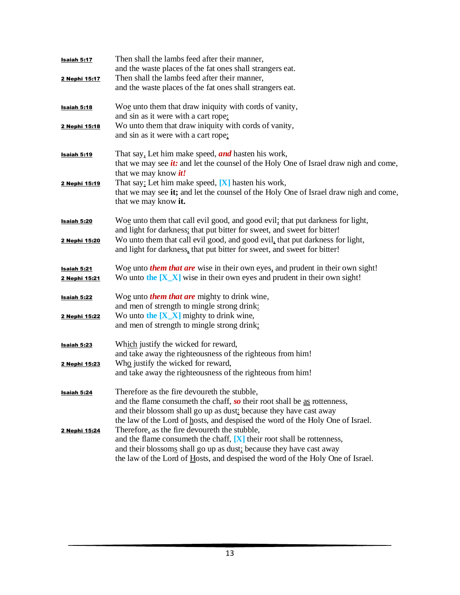| Isaiah 5:17                                | Then shall the lambs feed after their manner,<br>and the waste places of the fat ones shall strangers eat.                                                                                                                                                                         |
|--------------------------------------------|------------------------------------------------------------------------------------------------------------------------------------------------------------------------------------------------------------------------------------------------------------------------------------|
| 2 Nephi 15:17                              | Then shall the lambs feed after their manner,<br>and the waste places of the fat ones shall strangers eat.                                                                                                                                                                         |
| <u>Isaiah 5:18</u>                         | Woe unto them that draw iniquity with cords of vanity,<br>and sin as it were with a cart rope:                                                                                                                                                                                     |
| 2 Nephi 15:18                              | Wo unto them that draw iniquity with cords of vanity,<br>and sin as it were with a cart rope;                                                                                                                                                                                      |
| <u>Isaiah 5:19</u>                         | That say, Let him make speed, <i>and</i> hasten his work,<br>that we may see <i>it</i> : and let the counsel of the Holy One of Israel draw nigh and come,<br>that we may know <i>it!</i>                                                                                          |
| 2 Nephi 15:19                              | That say: Let him make speed, $[X]$ hasten his work,<br>that we may see it; and let the counsel of the Holy One of Israel draw nigh and come,<br>that we may know it.                                                                                                              |
| Isaiah 5:20                                | Woe unto them that call evil good, and good evil; that put darkness for light,<br>and light for darkness; that put bitter for sweet, and sweet for bitter!                                                                                                                         |
| 2 Nephi 15:20                              | Wo unto them that call evil good, and good evil, that put darkness for light,<br>and light for darkness, that put bitter for sweet, and sweet for bitter!                                                                                                                          |
| <u>Isaiah 5:21</u><br><u>2 Nephi 15:21</u> | Woe unto <i>them that are</i> wise in their own eyes, and prudent in their own sight!<br>Wo unto the $[X_X]$ wise in their own eyes and prudent in their own sight!                                                                                                                |
| <u>Isaiah 5:22</u>                         | Woe unto <i>them that are</i> mighty to drink wine,<br>and men of strength to mingle strong drink:                                                                                                                                                                                 |
| 2 Nephi 15:22                              | Wo unto the $[X_X]$ mighty to drink wine,<br>and men of strength to mingle strong drink;                                                                                                                                                                                           |
| <u>Isaiah 5:23</u>                         | Which justify the wicked for reward,<br>and take away the righteousness of the righteous from him!                                                                                                                                                                                 |
| 2 Nephi 15:23                              | Who justify the wicked for reward,<br>and take away the righteousness of the righteous from him!                                                                                                                                                                                   |
| <b>Isaiah 5:24</b>                         | Therefore as the fire devoureth the stubble,<br>and the flame consumeth the chaff, so their root shall be as rottenness,                                                                                                                                                           |
|                                            | and their blossom shall go up as dust: because they have cast away<br>the law of the Lord of hosts, and despised the word of the Holy One of Israel.                                                                                                                               |
| 2 Nephi 15:24                              | Therefore, as the fire devoureth the stubble,<br>and the flame consumeth the chaff, $[X]$ their root shall be rottenness,<br>and their blossoms shall go up as dust; because they have cast away<br>the law of the Lord of Hosts, and despised the word of the Holy One of Israel. |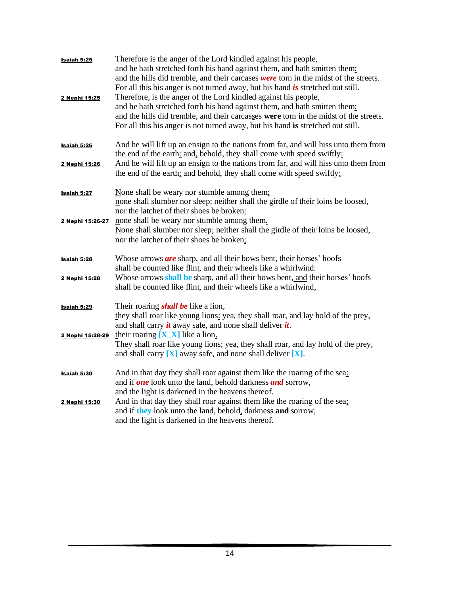| Isaiah 5:25<br>2 Nephi 15:25 | Therefore is the anger of the Lord kindled against his people,<br>and he hath stretched forth his hand against them, and hath smitten them.<br>and the hills did tremble, and their carcases were torn in the midst of the streets.<br>For all this his anger is not turned away, but his hand $\dot{i}$ s stretched out still.<br>Therefore, is the anger of the Lord kindled against his people,<br>and he hath stretched forth his hand against them, and hath smitten them;<br>and the hills did tremble, and their carcasses were torn in the midst of the streets.<br>For all this his anger is not turned away, but his hand is stretched out still. |
|------------------------------|-------------------------------------------------------------------------------------------------------------------------------------------------------------------------------------------------------------------------------------------------------------------------------------------------------------------------------------------------------------------------------------------------------------------------------------------------------------------------------------------------------------------------------------------------------------------------------------------------------------------------------------------------------------|
| Isaiah 5:26                  | And he will lift up an ensign to the nations from far, and will hiss unto them from<br>the end of the earth: and, behold, they shall come with speed swiftly:<br>And he will lift up an ensign to the nations from far, and will hiss unto them from                                                                                                                                                                                                                                                                                                                                                                                                        |
| 2 Nephi 15:26                | the end of the earth; and behold, they shall come with speed swiftly;                                                                                                                                                                                                                                                                                                                                                                                                                                                                                                                                                                                       |
| <b>Isaiah 5:27</b>           | None shall be weary nor stumble among them:<br>none shall slumber nor sleep; neither shall the girdle of their loins be loosed,<br>nor the latchet of their shoes be broken:                                                                                                                                                                                                                                                                                                                                                                                                                                                                                |
| <u>2 Nephi 15:26-27</u>      | none shall be weary nor stumble among them.<br>None shall slumber nor sleep; neither shall the girdle of their loins be loosed,<br>nor the latchet of their shoes be broken;                                                                                                                                                                                                                                                                                                                                                                                                                                                                                |
| Isaiah 5:28                  | Whose arrows <i>are</i> sharp, and all their bows bent, their horses' hoofs<br>shall be counted like flint, and their wheels like a whirlwind:                                                                                                                                                                                                                                                                                                                                                                                                                                                                                                              |
| 2 Nephi 15:28                | Whose arrows shall be sharp, and all their bows bent, and their horses' hoofs<br>shall be counted like flint, and their wheels like a whirlwind,                                                                                                                                                                                                                                                                                                                                                                                                                                                                                                            |
| Isaiah 5:29                  | Their roaring <i>shall be</i> like a lion,<br>they shall roar like young lions: yea, they shall roar, and lay hold of the prey,<br>and shall carry $\dot{u}$ away safe, and none shall deliver $\dot{u}$ .                                                                                                                                                                                                                                                                                                                                                                                                                                                  |
| 2 Nephi 15:28-29             | their roaring $[X_X]$ like a lion.<br>They shall roar like young lions; yea, they shall roar, and lay hold of the prey,<br>and shall carry $[X]$ away safe, and none shall deliver $[X]$ .                                                                                                                                                                                                                                                                                                                                                                                                                                                                  |
| Isaiah 5:30                  | And in that day they shall roar against them like the roaring of the sea:<br>and if <b>one</b> look unto the land, behold darkness <b>and</b> sorrow,<br>and the light is darkened in the heavens thereof.                                                                                                                                                                                                                                                                                                                                                                                                                                                  |
| 2 Nephi 15:30                | And in that day they shall roar against them like the roaring of the sea;<br>and if they look unto the land, behold, darkness and sorrow,<br>and the light is darkened in the heavens thereof.                                                                                                                                                                                                                                                                                                                                                                                                                                                              |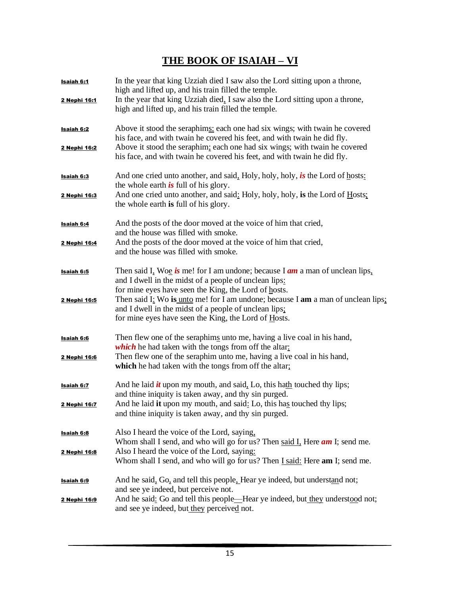## **THE BOOK OF ISAIAH – VI**

| <u>Isaiah 6:1</u><br>2 Nephi 16:1 | In the year that king Uzziah died I saw also the Lord sitting upon a throne,<br>high and lifted up, and his train filled the temple.<br>In the year that king Uzziah died, I saw also the Lord sitting upon a throne,<br>high and lifted up, and his train filled the temple.                                                                                                                        |
|-----------------------------------|------------------------------------------------------------------------------------------------------------------------------------------------------------------------------------------------------------------------------------------------------------------------------------------------------------------------------------------------------------------------------------------------------|
| <b>Isaiah 6:2</b><br>2 Nephi 16:2 | Above it stood the seraphims: each one had six wings; with twain he covered<br>his face, and with twain he covered his feet, and with twain he did fly.<br>Above it stood the seraphim; each one had six wings; with twain he covered<br>his face, and with twain he covered his feet, and with twain he did fly.                                                                                    |
| <b>Isaiah 6:3</b><br>2 Nephi 16:3 | And one cried unto another, and said, Holy, holy, holy, is the Lord of hosts:<br>the whole earth $\dot{i}$ s full of his glory.<br>And one cried unto another, and said: Holy, holy, holy, is the Lord of Hosts;<br>the whole earth is full of his glory.                                                                                                                                            |
| <b>Isaiah 6:4</b><br>2 Nephi 16:4 | And the posts of the door moved at the voice of him that cried,<br>and the house was filled with smoke.<br>And the posts of the door moved at the voice of him that cried,<br>and the house was filled with smoke.                                                                                                                                                                                   |
| Isaiah 6:5<br>2 Nephi 16:5        | Then said I, Woe is me! for I am undone; because I $am$ a man of unclean lips,<br>and I dwell in the midst of a people of unclean lips:<br>for mine eyes have seen the King, the Lord of hosts.<br>Then said I: Wo is unto me! for I am undone; because I am a man of unclean lips;<br>and I dwell in the midst of a people of unclean lips;<br>for mine eyes have seen the King, the Lord of Hosts. |
| Isaiah 6:6<br>2 Nephi 16:6        | Then flew one of the seraphims unto me, having a live coal in his hand,<br>which he had taken with the tongs from off the altar:<br>Then flew one of the seraphim unto me, having a live coal in his hand,<br>which he had taken with the tongs from off the altar;                                                                                                                                  |
| <b>Isaiah 6:7</b><br>2 Nephi 16:7 | And he laid $\dot{u}$ upon my mouth, and said, Lo, this hath touched thy lips;<br>and thine iniquity is taken away, and thy sin purged.<br>And he laid it upon my mouth, and said: Lo, this has touched thy lips;<br>and thine iniquity is taken away, and thy sin purged.                                                                                                                           |
| <b>Isaiah 6:8</b><br>2 Nephi 16:8 | Also I heard the voice of the Lord, saying,<br>Whom shall I send, and who will go for us? Then said I, Here <i>am</i> I; send me.<br>Also I heard the voice of the Lord, saying:<br>Whom shall I send, and who will go for us? Then <i>I said:</i> Here am I; send me.                                                                                                                               |
| <b>Isaiah 6:9</b><br>2 Nephi 16:9 | And he said, Go, and tell this people. Hear ye indeed, but understand not;<br>and see ye indeed, but perceive not.<br>And he said: Go and tell this people—Hear ye indeed, but they understood not;<br>and see ye indeed, but they perceived not.                                                                                                                                                    |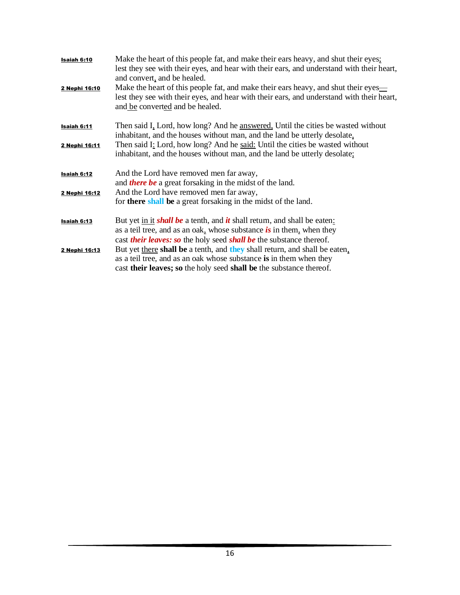| Isaiah 6:10   | Make the heart of this people fat, and make their ears heavy, and shut their eyes;<br>lest they see with their eyes, and hear with their ears, and understand with their heart,<br>and convert, and be healed.                                      |
|---------------|-----------------------------------------------------------------------------------------------------------------------------------------------------------------------------------------------------------------------------------------------------|
| 2 Nephi 16:10 | Make the heart of this people fat, and make their ears heavy, and shut their eyes—<br>lest they see with their eyes, and hear with their ears, and understand with their heart,<br>and be converted and be healed.                                  |
| Isaiah 6:11   | Then said I, Lord, how long? And he answered, Until the cities be wasted without<br>inhabitant, and the houses without man, and the land be utterly desolate,                                                                                       |
| 2 Nephi 16:11 | Then said I: Lord, how long? And he said: Until the cities be wasted without<br>inhabitant, and the houses without man, and the land be utterly desolate;                                                                                           |
| Isaiah 6:12   | And the Lord have removed men far away,<br>and <i>there be</i> a great forsaking in the midst of the land.                                                                                                                                          |
| 2 Nephi 16:12 | And the Lord have removed men far away,<br>for <b>there shall</b> be a great forsaking in the midst of the land.                                                                                                                                    |
| Isaiah 6:13   | But yet in it <i>shall be</i> a tenth, and <i>it</i> shall return, and shall be eaten:<br>as a teil tree, and as an oak, whose substance is in them, when they<br>cast <i>their leaves: so</i> the holy seed <i>shall be</i> the substance thereof. |
| 2 Nephi 16:13 | But yet there shall be a tenth, and they shall return, and shall be eaten,<br>as a teil tree, and as an oak whose substance is in them when they<br>cast their leaves; so the holy seed shall be the substance thereof.                             |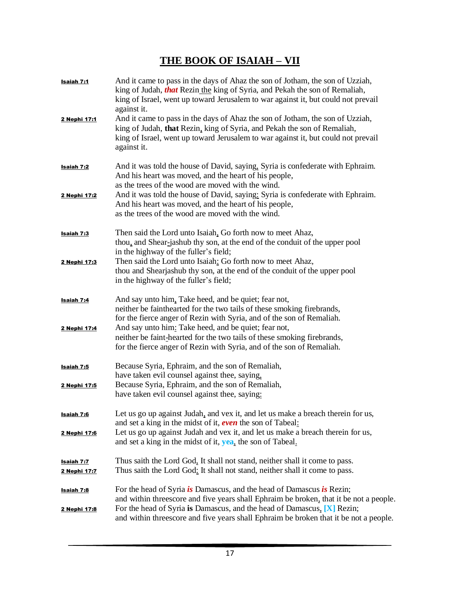## **THE BOOK OF ISAIAH – VII**

| Isaiah 7:1<br>2 Nephi 17:1        | And it came to pass in the days of Ahaz the son of Jotham, the son of Uzziah,<br>king of Judah, that Rezin the king of Syria, and Pekah the son of Remaliah,<br>king of Israel, went up toward Jerusalem to war against it, but could not prevail<br>against it.<br>And it came to pass in the days of Ahaz the son of Jotham, the son of Uzziah,<br>king of Judah, that Rezin, king of Syria, and Pekah the son of Remaliah,<br>king of Israel, went up toward Jerusalem to war against it, but could not prevail<br>against it. |
|-----------------------------------|-----------------------------------------------------------------------------------------------------------------------------------------------------------------------------------------------------------------------------------------------------------------------------------------------------------------------------------------------------------------------------------------------------------------------------------------------------------------------------------------------------------------------------------|
| <u>Isaiah 7:2</u>                 | And it was told the house of David, saying, Syria is confederate with Ephraim.<br>And his heart was moved, and the heart of his people,<br>as the trees of the wood are moved with the wind.                                                                                                                                                                                                                                                                                                                                      |
| 2 Nephi 17:2                      | And it was told the house of David, saying: Syria is confederate with Ephraim.<br>And his heart was moved, and the heart of his people,<br>as the trees of the wood are moved with the wind.                                                                                                                                                                                                                                                                                                                                      |
| <b>Isaiah 7:3</b>                 | Then said the Lord unto Isaiah. Go forth now to meet Ahaz,<br>thou, and Shear-jashub thy son, at the end of the conduit of the upper pool<br>in the highway of the fuller's field;                                                                                                                                                                                                                                                                                                                                                |
| 2 Nephi 17:3                      | Then said the Lord unto Isaiah: Go forth now to meet Ahaz,<br>thou and Shearjashub thy son, at the end of the conduit of the upper pool<br>in the highway of the fuller's field;                                                                                                                                                                                                                                                                                                                                                  |
| <u>Isaiah 7:4</u><br>2 Nephi 17:4 | And say unto him, Take heed, and be quiet; fear not,<br>neither be fainthearted for the two tails of these smoking firebrands,<br>for the fierce anger of Rezin with Syria, and of the son of Remaliah.<br>And say unto him: Take heed, and be quiet; fear not,<br>neither be faint-hearted for the two tails of these smoking firebrands,<br>for the fierce anger of Rezin with Syria, and of the son of Remaliah.                                                                                                               |
| <u>Isaiah 7:5</u><br>2 Nephi 17:5 | Because Syria, Ephraim, and the son of Remaliah,<br>have taken evil counsel against thee, saying,<br>Because Syria, Ephraim, and the son of Remaliah,<br>have taken evil counsel against thee, saying:                                                                                                                                                                                                                                                                                                                            |
| Isaiah 7:6<br>2 Nephi 17:6        | Let us go up against Judah, and vex it, and let us make a breach therein for us,<br>and set a king in the midst of it, even the son of Tabeal:<br>Let us go up against Judah and vex it, and let us make a breach therein for us,<br>and set a king in the midst of it, yea, the son of Tabeal.                                                                                                                                                                                                                                   |
| Isaiah 7:7<br>2 Nephi 17:7        | Thus saith the Lord God, It shall not stand, neither shall it come to pass.<br>Thus saith the Lord God: It shall not stand, neither shall it come to pass.                                                                                                                                                                                                                                                                                                                                                                        |
| <u>Isaiah 7:8</u><br>2 Nephi 17:8 | For the head of Syria is Damascus, and the head of Damascus is Rezin;<br>and within threescore and five years shall Ephraim be broken, that it be not a people.<br>For the head of Syria is Damascus, and the head of Damascus, [X] Rezin;<br>and within threescore and five years shall Ephraim be broken that it be not a people.                                                                                                                                                                                               |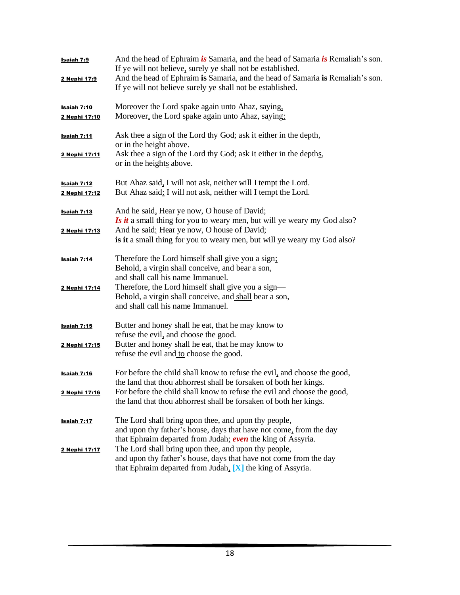| Isaiah 7:9<br>2 Nephi 17:9                 | And the head of Ephraim is Samaria, and the head of Samaria is Remaliah's son.<br>If ye will not believe, surely ye shall not be established.<br>And the head of Ephraim is Samaria, and the head of Samaria is Remaliah's son.<br>If ye will not believe surely ye shall not be established.   |
|--------------------------------------------|-------------------------------------------------------------------------------------------------------------------------------------------------------------------------------------------------------------------------------------------------------------------------------------------------|
| <b>Isaiah 7:10</b><br>2 Nephi 17:10        | Moreover the Lord spake again unto Ahaz, saying,<br>Moreover, the Lord spake again unto Ahaz, saying:                                                                                                                                                                                           |
| Isaiah 7:11<br>2 Nephi 17:11               | Ask thee a sign of the Lord thy God; ask it either in the depth,<br>or in the height above.<br>Ask thee a sign of the Lord thy God; ask it either in the depths,<br>or in the heights above.                                                                                                    |
| Isaiah 7:12<br>2 Nephi 17:12               | But Ahaz said, I will not ask, neither will I tempt the Lord.<br>But Ahaz said: I will not ask, neither will I tempt the Lord.                                                                                                                                                                  |
| Isaiah 7:13<br>2 Nephi 17:13               | And he said, Hear ye now, O house of David;<br><b>Is it a small thing for you to weary men, but will ye weary my God also?</b><br>And he said: Hear ye now, O house of David;<br>is it a small thing for you to weary men, but will ye weary my God also?                                       |
| <b>Isaiah 7:14</b><br>2 Nephi 17:14        | Therefore the Lord himself shall give you a sign;<br>Behold, a virgin shall conceive, and bear a son,<br>and shall call his name Immanuel.<br>Therefore, the Lord himself shall give you a sign—<br>Behold, a virgin shall conceive, and shall bear a son,<br>and shall call his name Immanuel. |
| <b>Isaiah 7:15</b><br>2 Nephi 17:15        | Butter and honey shall he eat, that he may know to<br>refuse the evil, and choose the good.<br>Butter and honey shall he eat, that he may know to<br>refuse the evil and to choose the good.                                                                                                    |
| <b>Isaiah 7:16</b><br><u>2 Nephi 17:16</u> | For before the child shall know to refuse the evil, and choose the good,<br>the land that thou abhorrest shall be forsaken of both her kings.<br>For before the child shall know to refuse the evil and choose the good,<br>the land that thou abhorrest shall be forsaken of both her kings.   |
| Isaiah 7:17                                | The Lord shall bring upon thee, and upon thy people,<br>and upon thy father's house, days that have not come, from the day<br>that Ephraim departed from Judah; even the king of Assyria.                                                                                                       |
| 2 Nephi 17:17                              | The Lord shall bring upon thee, and upon thy people,<br>and upon thy father's house, days that have not come from the day<br>that Ephraim departed from Judah, $[X]$ the king of Assyria.                                                                                                       |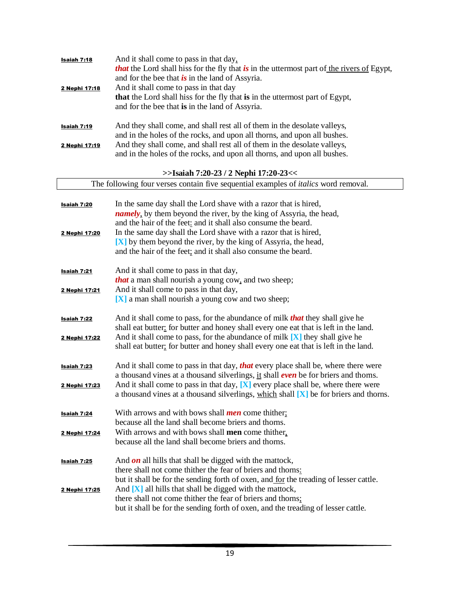| Isaiah 7:18        | And it shall come to pass in that day,                                                            |
|--------------------|---------------------------------------------------------------------------------------------------|
|                    | <i>that</i> the Lord shall hiss for the fly that is in the uttermost part of the rivers of Egypt, |
|                    | and for the bee that $\boldsymbol{is}$ in the land of Assyria.                                    |
| 2 Nephi 17:18      | And it shall come to pass in that day                                                             |
|                    | that the Lord shall hiss for the fly that is in the uttermost part of Egypt,                      |
|                    | and for the bee that is in the land of Assyria.                                                   |
|                    |                                                                                                   |
|                    | And they shall come, and shall rest all of them in the desolate valleys,                          |
| <u>Isaiah 7:19</u> | and in the holes of the rocks, and upon all thorns, and upon all bushes.                          |
|                    |                                                                                                   |
| 2 Nephi 17:19      | And they shall come, and shall rest all of them in the desolate valleys,                          |
|                    | and in the holes of the rocks, and upon all thorns, and upon all bushes.                          |
|                    |                                                                                                   |
|                    | >>Isaiah 7:20-23 / 2 Nephi 17:20-23<<                                                             |
|                    | The following four verses contain five sequential examples of <i>italics</i> word removal.        |
|                    |                                                                                                   |
| Isaiah 7:20        | In the same day shall the Lord shave with a razor that is hired,                                  |
|                    | <i>namely</i> , by them beyond the river, by the king of Assyria, the head,                       |
|                    | and the hair of the feet: and it shall also consume the beard.                                    |
| 2 Nephi 17:20      | In the same day shall the Lord shave with a razor that is hired,                                  |
|                    | [X] by them beyond the river, by the king of Assyria, the head,                                   |
|                    | and the hair of the feet; and it shall also consume the beard.                                    |
|                    |                                                                                                   |
| Isaiah 7:21        | And it shall come to pass in that day,                                                            |
|                    | <i>that</i> a man shall nourish a young cow, and two sheep;                                       |
| 2 Nephi 17:21      | And it shall come to pass in that day,                                                            |
|                    | [X] a man shall nourish a young cow and two sheep;                                                |
|                    |                                                                                                   |
| Isaiah 7:22        | And it shall come to pass, for the abundance of milk <i>that</i> they shall give he               |
|                    | shall eat butter: for butter and honey shall every one eat that is left in the land.              |
| 2 Nephi 17:22      | And it shall come to pass, for the abundance of milk $[X]$ they shall give he                     |
|                    | shall eat butter, for butter and honey shall every one eat that is left in the land.              |
|                    |                                                                                                   |
|                    | And it shall come to pass in that day, <b>that</b> every place shall be, where there were         |
| Isaiah 7:23        | a thousand vines at a thousand silverlings, it shall <b>even</b> be for briers and thorns.        |
|                    | And it shall come to pass in that day, $[X]$ every place shall be, where there were               |
| 2 Nephi 17:23      | a thousand vines at a thousand silverlings, which shall [X] be for briers and thorns.             |
|                    |                                                                                                   |
|                    |                                                                                                   |
| Isaiah 7:24        | With arrows and with bows shall <i>men</i> come thither;                                          |
|                    | because all the land shall become briers and thorns.                                              |
| 2 Nephi 17:24      | With arrows and with bows shall men come thither,                                                 |
|                    | because all the land shall become briers and thorns.                                              |
|                    |                                                                                                   |
| <u>Isaiah 7:25</u> | And $\boldsymbol{on}$ all hills that shall be digged with the mattock,                            |
|                    | there shall not come thither the fear of briers and thorns:                                       |
|                    | but it shall be for the sending forth of oxen, and for the treading of lesser cattle.             |
| 2 Nephi 17:25      | And $[X]$ all hills that shall be digged with the mattock,                                        |
|                    | there shall not come thither the fear of briers and thorns;                                       |
|                    | but it shall be for the sending forth of oxen, and the treading of lesser cattle.                 |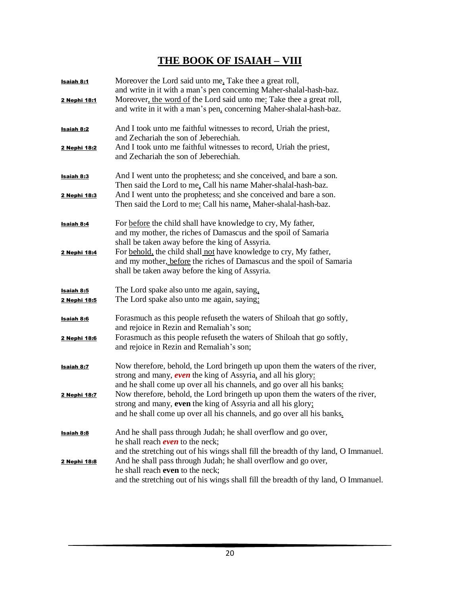## **THE BOOK OF ISAIAH – VIII**

| <b>Isaiah 8:1</b><br>2 Nephi 18:1 | Moreover the Lord said unto me, Take thee a great roll,<br>and write in it with a man's pen concerning Maher-shalal-hash-baz.<br>Moreover, the word of the Lord said unto me: Take thee a great roll,<br>and write in it with a man's pen, concerning Maher-shalal-hash-baz.                                                                                                                                                                          |
|-----------------------------------|-------------------------------------------------------------------------------------------------------------------------------------------------------------------------------------------------------------------------------------------------------------------------------------------------------------------------------------------------------------------------------------------------------------------------------------------------------|
| <b>Isaiah 8:2</b><br>2 Nephi 18:2 | And I took unto me faithful witnesses to record, Uriah the priest,<br>and Zechariah the son of Jeberechiah.<br>And I took unto me faithful witnesses to record, Uriah the priest,<br>and Zechariah the son of Jeberechiah.                                                                                                                                                                                                                            |
| <b>Isaiah 8:3</b><br>2 Nephi 18:3 | And I went unto the prophetess; and she conceived, and bare a son.<br>Then said the Lord to me, Call his name Maher-shalal-hash-baz.<br>And I went unto the prophetess; and she conceived and bare a son.<br>Then said the Lord to me: Call his name, Maher-shalal-hash-baz.                                                                                                                                                                          |
| <b>Isaiah 8:4</b><br>2 Nephi 18:4 | For before the child shall have knowledge to cry, My father,<br>and my mother, the riches of Damascus and the spoil of Samaria<br>shall be taken away before the king of Assyria.<br>For behold, the child shall not have knowledge to cry, My father,<br>and my mother, before the riches of Damascus and the spoil of Samaria                                                                                                                       |
| <b>Isaiah 8:5</b><br>2 Nephi 18:5 | shall be taken away before the king of Assyria.<br>The Lord spake also unto me again, saying,<br>The Lord spake also unto me again, saying:                                                                                                                                                                                                                                                                                                           |
| Isaiah 8:6<br>2 Nephi 18:6        | Forasmuch as this people refuse the waters of Shiloah that go softly,<br>and rejoice in Rezin and Remaliah's son;<br>Forasmuch as this people refuseth the waters of Shiloah that go softly,<br>and rejoice in Rezin and Remaliah's son;                                                                                                                                                                                                              |
| <b>Isaiah 8:7</b><br>2 Nephi 18:7 | Now therefore, behold, the Lord bringeth up upon them the waters of the river,<br>strong and many, even the king of Assyria, and all his glory:<br>and he shall come up over all his channels, and go over all his banks:<br>Now therefore, behold, the Lord bringeth up upon them the waters of the river,<br>strong and many, even the king of Assyria and all his glory:<br>and he shall come up over all his channels, and go over all his banks. |
| <b>Isaiah 8:8</b><br>2 Nephi 18:8 | And he shall pass through Judah; he shall overflow and go over,<br>he shall reach <b>even</b> to the neck;<br>and the stretching out of his wings shall fill the breadth of thy land, O Immanuel.<br>And he shall pass through Judah; he shall overflow and go over,                                                                                                                                                                                  |
|                                   | he shall reach even to the neck;<br>and the stretching out of his wings shall fill the breadth of thy land, O Immanuel.                                                                                                                                                                                                                                                                                                                               |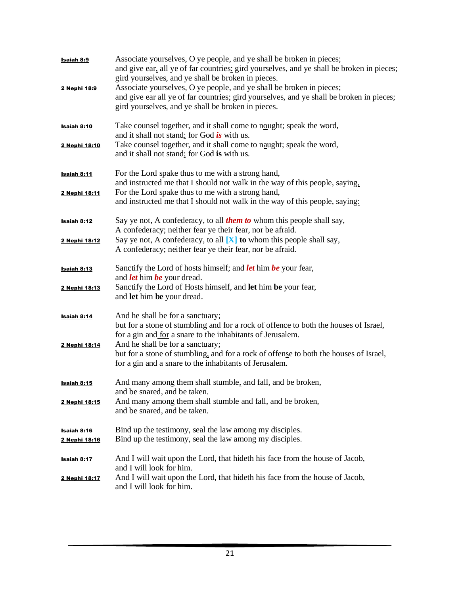| <b>Isaiah 8:9</b><br>2 Nephi 18:9   | Associate yourselves, O ye people, and ye shall be broken in pieces;<br>and give ear, all ye of far countries: gird yourselves, and ye shall be broken in pieces;<br>gird yourselves, and ye shall be broken in pieces.<br>Associate yourselves, O ye people, and ye shall be broken in pieces;<br>and give ear all ye of far countries; gird yourselves, and ye shall be broken in pieces;<br>gird yourselves, and ye shall be broken in pieces. |
|-------------------------------------|---------------------------------------------------------------------------------------------------------------------------------------------------------------------------------------------------------------------------------------------------------------------------------------------------------------------------------------------------------------------------------------------------------------------------------------------------|
| <b>Isaiah 8:10</b>                  | Take counsel together, and it shall come to nought; speak the word,<br>and it shall not stand: for God is with us.                                                                                                                                                                                                                                                                                                                                |
| 2 Nephi 18:10                       | Take counsel together, and it shall come to naught; speak the word,<br>and it shall not stand; for God is with us.                                                                                                                                                                                                                                                                                                                                |
| Isaiah 8:11<br>2 Nephi 18:11        | For the Lord spake thus to me with a strong hand,<br>and instructed me that I should not walk in the way of this people, saying,<br>For the Lord spake thus to me with a strong hand,<br>and instructed me that I should not walk in the way of this people, saying:                                                                                                                                                                              |
| <b>Isaiah 8:12</b>                  | Say ye not, A confederacy, to all <i>them to</i> whom this people shall say,<br>A confederacy; neither fear ye their fear, nor be afraid.                                                                                                                                                                                                                                                                                                         |
| 2 Nephi 18:12                       | Say ye not, A confederacy, to all $[X]$ to whom this people shall say,<br>A confederacy; neither fear ye their fear, nor be afraid.                                                                                                                                                                                                                                                                                                               |
| <b>Isaiah 8:13</b>                  | Sanctify the Lord of hosts himself; and <i>let</i> him be your fear,<br>and <i>let</i> him <i>be</i> your dread.                                                                                                                                                                                                                                                                                                                                  |
| 2 Nephi 18:13                       | Sanctify the Lord of Hosts himself, and let him be your fear,<br>and let him be your dread.                                                                                                                                                                                                                                                                                                                                                       |
| Isaiah 8:14                         | And he shall be for a sanctuary;<br>but for a stone of stumbling and for a rock of offence to both the houses of Israel,<br>for a gin and for a snare to the inhabitants of Jerusalem.                                                                                                                                                                                                                                                            |
| 2 Nephi 18:14                       | And he shall be for a sanctuary;<br>but for a stone of stumbling, and for a rock of offense to both the houses of Israel,<br>for a gin and a snare to the inhabitants of Jerusalem.                                                                                                                                                                                                                                                               |
| Isaiah 8:15                         | And many among them shall stumble, and fall, and be broken,<br>and be snared, and be taken.                                                                                                                                                                                                                                                                                                                                                       |
| <u>2 Nephi 18:15</u>                | And many among them shall stumble and fall, and be broken,<br>and be snared, and be taken.                                                                                                                                                                                                                                                                                                                                                        |
| Isaiah 8:16<br><u>2 Nephi 18:16</u> | Bind up the testimony, seal the law among my disciples.<br>Bind up the testimony, seal the law among my disciples.                                                                                                                                                                                                                                                                                                                                |
| <b>Isaiah 8:17</b>                  | And I will wait upon the Lord, that hideth his face from the house of Jacob,<br>and I will look for him.                                                                                                                                                                                                                                                                                                                                          |
| 2 Nephi 18:17                       | And I will wait upon the Lord, that hideth his face from the house of Jacob,<br>and I will look for him.                                                                                                                                                                                                                                                                                                                                          |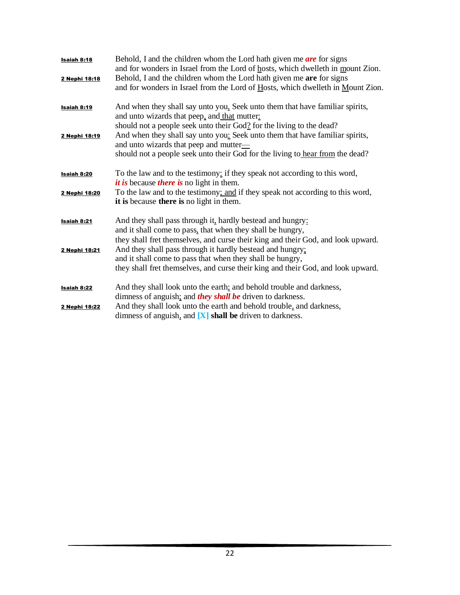| Isaiah 8:18<br>2 Nephi 18:18 | Behold, I and the children whom the Lord hath given me $are$ for signs<br>and for wonders in Israel from the Lord of hosts, which dwelleth in mount Zion.<br>Behold, I and the children whom the Lord hath given me are for signs<br>and for wonders in Israel from the Lord of Hosts, which dwelleth in Mount Zion. |
|------------------------------|----------------------------------------------------------------------------------------------------------------------------------------------------------------------------------------------------------------------------------------------------------------------------------------------------------------------|
| <b>Isaiah 8:19</b>           | And when they shall say unto you, Seek unto them that have familiar spirits,<br>and unto wizards that peep, and that mutter:                                                                                                                                                                                         |
| 2 Nephi 18:19                | should not a people seek unto their God? for the living to the dead?<br>And when they shall say unto you: Seek unto them that have familiar spirits,<br>and unto wizards that peep and mutter—<br>should not a people seek unto their God for the living to hear from the dead?                                      |
| <b>Isaiah 8:20</b>           | To the law and to the testimony: if they speak not according to this word,<br><i>it is</i> because <i>there is</i> no light in them.                                                                                                                                                                                 |
| 2 Nephi 18:20                | To the law and to the testimony; and if they speak not according to this word,<br>it is because there is no light in them.                                                                                                                                                                                           |
| Isaiah 8:21                  | And they shall pass through it, hardly bestead and hungry:<br>and it shall come to pass, that when they shall be hungry,                                                                                                                                                                                             |
| 2 Nephi 18:21                | they shall fret themselves, and curse their king and their God, and look upward.<br>And they shall pass through it hardly bestead and hungry;<br>and it shall come to pass that when they shall be hungry,<br>they shall fret themselves, and curse their king and their God, and look upward.                       |
| <b>Isaiah 8:22</b>           | And they shall look unto the earth; and behold trouble and darkness,<br>dimness of anguish; and <i>they shall be</i> driven to darkness.                                                                                                                                                                             |
| 2 Nephi 18:22                | And they shall look unto the earth and behold trouble, and darkness,<br>dimness of anguish, and $[X]$ shall be driven to darkness.                                                                                                                                                                                   |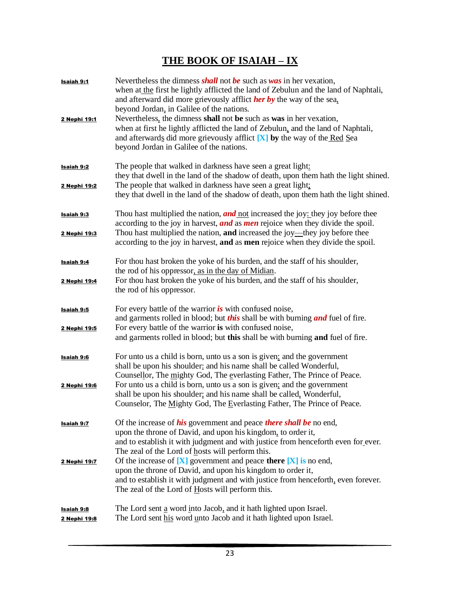## **THE BOOK OF ISAIAH – IX**

| Isaiah 9:1<br>2 Nephi 19:1 | Nevertheless the dimness shall not be such as $was$ in her vexation,<br>when at the first he lightly afflicted the land of Zebulun and the land of Naphtali,<br>and afterward did more grievously afflict <b>her by</b> the way of the sea.<br>beyond Jordan, in Galilee of the nations.<br>Nevertheless, the dimness shall not be such as was in her vexation,<br>when at first he lightly afflicted the land of Zebulun, and the land of Naphtali,<br>and afterwards did more grievously afflict $[X]$ by the way of the Red Sea<br>beyond Jordan in Galilee of the nations. |
|----------------------------|--------------------------------------------------------------------------------------------------------------------------------------------------------------------------------------------------------------------------------------------------------------------------------------------------------------------------------------------------------------------------------------------------------------------------------------------------------------------------------------------------------------------------------------------------------------------------------|
| <b>Isaiah 9:2</b>          | The people that walked in darkness have seen a great light:<br>they that dwell in the land of the shadow of death, upon them hath the light shined.                                                                                                                                                                                                                                                                                                                                                                                                                            |
| 2 Nephi 19:2               | The people that walked in darkness have seen a great light:<br>they that dwell in the land of the shadow of death, upon them hath the light shined.                                                                                                                                                                                                                                                                                                                                                                                                                            |
| <b>Isaiah 9:3</b>          | Thou hast multiplied the nation, <b>and</b> not increased the joy: they joy before thee<br>according to the joy in harvest, and as men rejoice when they divide the spoil.                                                                                                                                                                                                                                                                                                                                                                                                     |
| 2 Nephi 19:3               | Thou hast multiplied the nation, and increased the joy—they joy before thee<br>according to the joy in harvest, and as men rejoice when they divide the spoil.                                                                                                                                                                                                                                                                                                                                                                                                                 |
| Isaiah 9:4                 | For thou hast broken the yoke of his burden, and the staff of his shoulder,<br>the rod of his oppressor, as in the day of Midian.                                                                                                                                                                                                                                                                                                                                                                                                                                              |
| 2 Nephi 19:4               | For thou hast broken the yoke of his burden, and the staff of his shoulder,<br>the rod of his oppressor.                                                                                                                                                                                                                                                                                                                                                                                                                                                                       |
| Isaiah 9:5                 | For every battle of the warrior $\dot{i}$ with confused noise,<br>and garments rolled in blood; but <i>this</i> shall be with burning <i>and</i> fuel of fire.                                                                                                                                                                                                                                                                                                                                                                                                                 |
| 2 Nephi 19:5               | For every battle of the warrior is with confused noise,<br>and garments rolled in blood; but this shall be with burning and fuel of fire.                                                                                                                                                                                                                                                                                                                                                                                                                                      |
| <u>Isaiah 9:6</u>          | For unto us a child is born, unto us a son is given: and the government<br>shall be upon his shoulder: and his name shall be called Wonderful,<br>Counsellor, The mighty God, The everlasting Father, The Prince of Peace.                                                                                                                                                                                                                                                                                                                                                     |
| 2 Nephi 19:6               | For unto us a child is born, unto us a son is given; and the government                                                                                                                                                                                                                                                                                                                                                                                                                                                                                                        |
|                            | shall be upon his shoulder; and his name shall be called, Wonderful,<br>Counselor, The Mighty God, The Everlasting Father, The Prince of Peace.                                                                                                                                                                                                                                                                                                                                                                                                                                |
| <b>Isaiah 9:7</b>          | Of the increase of <i>his</i> government and peace <i>there shall be</i> no end,                                                                                                                                                                                                                                                                                                                                                                                                                                                                                               |
|                            | upon the throne of David, and upon his kingdom, to order it,<br>and to establish it with judgment and with justice from henceforth even for ever.                                                                                                                                                                                                                                                                                                                                                                                                                              |
|                            | The zeal of the Lord of hosts will perform this.                                                                                                                                                                                                                                                                                                                                                                                                                                                                                                                               |
| 2 Nephi 19:7               | Of the increase of $[X]$ government and peace there $[X]$ is no end,                                                                                                                                                                                                                                                                                                                                                                                                                                                                                                           |
|                            | upon the throne of David, and upon his kingdom to order it,<br>and to establish it with judgment and with justice from henceforth, even forever.                                                                                                                                                                                                                                                                                                                                                                                                                               |
|                            | The zeal of the Lord of Hosts will perform this.                                                                                                                                                                                                                                                                                                                                                                                                                                                                                                                               |
| <b>Isaiah 9:8</b>          | The Lord sent a word into Jacob, and it hath lighted upon Israel.                                                                                                                                                                                                                                                                                                                                                                                                                                                                                                              |
| 2 Nephi 19:8               | The Lord sent his word unto Jacob and it hath lighted upon Israel.                                                                                                                                                                                                                                                                                                                                                                                                                                                                                                             |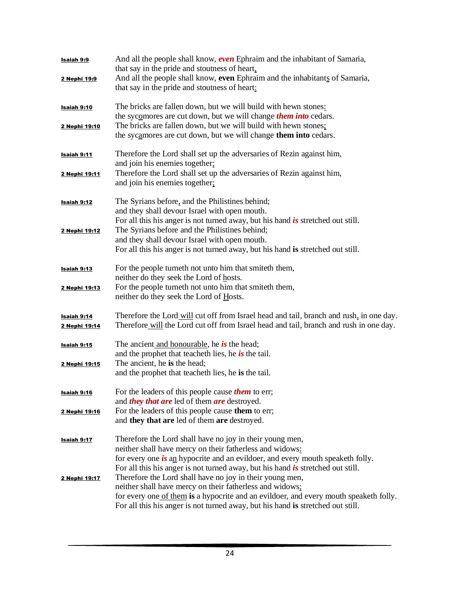| <b>Isaiah 9:9</b>  | And all the people shall know, <b>even</b> Ephraim and the inhabitant of Samaria,<br>that say in the pride and stoutness of heart.                          |
|--------------------|-------------------------------------------------------------------------------------------------------------------------------------------------------------|
| 2 Nephi 19:9       | And all the people shall know, even Ephraim and the inhabitants of Samaria,<br>that say in the pride and stoutness of heart:                                |
| <b>Isaiah 9:10</b> | The bricks are fallen down, but we will build with hewn stones:                                                                                             |
|                    | the sycomores are cut down, but we will change <i>them into</i> cedars.                                                                                     |
| 2 Nephi 19:10      | The bricks are fallen down, but we will build with hewn stones:<br>the sycamores are cut down, but we will change them into cedars.                         |
| <b>Isaiah 9:11</b> | Therefore the Lord shall set up the adversaries of Rezin against him,                                                                                       |
|                    | and join his enemies together;                                                                                                                              |
| 2 Nephi 19:11      | Therefore the Lord shall set up the adversaries of Rezin against him,<br>and join his enemies together;                                                     |
| Isaiah 9:12        | The Syrians before, and the Philistines behind;                                                                                                             |
|                    | and they shall devour Israel with open mouth.<br>For all this his anger is not turned away, but his hand $\boldsymbol{i}$ s stretched out still.            |
| 2 Nephi 19:12      | The Syrians before and the Philistines behind;                                                                                                              |
|                    | and they shall devour Israel with open mouth.                                                                                                               |
|                    | For all this his anger is not turned away, but his hand is stretched out still.                                                                             |
| <b>Isaiah 9:13</b> | For the people turneth not unto him that smiteth them,                                                                                                      |
|                    | neither do they seek the Lord of hosts.                                                                                                                     |
| 2 Nephi 19:13      | For the people turneth not unto him that smiteth them,<br>neither do they seek the Lord of Hosts.                                                           |
| Isaiah 9:14        | Therefore the Lord will cut off from Israel head and tail, branch and rush, in one day.                                                                     |
| 2 Nephi 19:14      | Therefore will the Lord cut off from Israel head and tail, branch and rush in one day.                                                                      |
| <b>Isaiah 9:15</b> | The ancient and honourable, he is the head;                                                                                                                 |
|                    | and the prophet that teacher the s, he is the tail.                                                                                                         |
| 2 Nephi 19:15      | The ancient, he is the head;<br>and the prophet that teacheth lies, he is the tail.                                                                         |
|                    |                                                                                                                                                             |
| <b>Isaiah 9:16</b> | For the leaders of this people cause <i>them</i> to err;                                                                                                    |
|                    | and <i>they that are</i> led of them <i>are</i> destroyed.                                                                                                  |
| 2 Nephi 19:16      | For the leaders of this people cause them to err;<br>and they that are led of them are destroyed.                                                           |
| <b>Isaiah 9:17</b> | Therefore the Lord shall have no joy in their young men,                                                                                                    |
|                    | neither shall have mercy on their fatherless and widows:                                                                                                    |
|                    | for every one is an hypocrite and an evildoer, and every mouth speaketh folly.                                                                              |
| 2 Nephi 19:17      | For all this his anger is not turned away, but his hand $\boldsymbol{i}$ s stretched out still.<br>Therefore the Lord shall have no joy in their young men, |
|                    | neither shall have mercy on their fatherless and widows:                                                                                                    |
|                    | for every one of them is a hypocrite and an evildoer, and every mouth speaketh folly.                                                                       |
|                    | For all this his anger is not turned away, but his hand is stretched out still.                                                                             |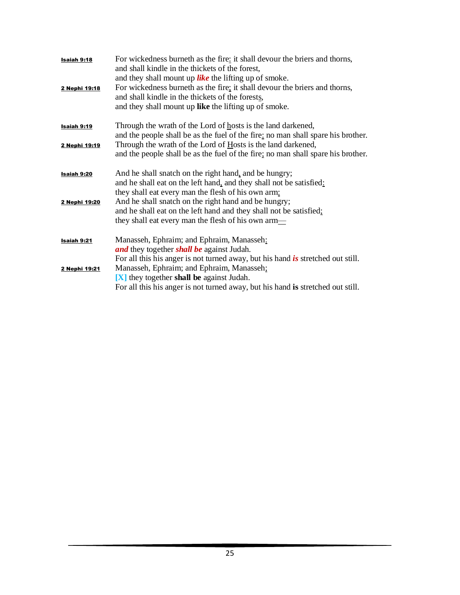| <b>Isaiah 9:18</b><br>2 Nephi 19:18 | For wickedness burneth as the fire: it shall devour the briers and thorns,<br>and shall kindle in the thickets of the forest,<br>and they shall mount up like the lifting up of smoke.<br>For wickedness burneth as the fire; it shall devour the briers and thorns,<br>and shall kindle in the thickets of the forests,<br>and they shall mount up like the lifting up of smoke. |
|-------------------------------------|-----------------------------------------------------------------------------------------------------------------------------------------------------------------------------------------------------------------------------------------------------------------------------------------------------------------------------------------------------------------------------------|
| Isaiah 9:19                         | Through the wrath of the Lord of hosts is the land darkened,<br>and the people shall be as the fuel of the fire: no man shall spare his brother.                                                                                                                                                                                                                                  |
| 2 Nephi 19:19                       | Through the wrath of the Lord of Hosts is the land darkened,<br>and the people shall be as the fuel of the fire; no man shall spare his brother.                                                                                                                                                                                                                                  |
| <b>Isaiah 9:20</b>                  | And he shall snatch on the right hand, and be hungry;<br>and he shall eat on the left hand, and they shall not be satisfied:<br>they shall eat every man the flesh of his own arm:                                                                                                                                                                                                |
| 2 Nephi 19:20                       | And he shall snatch on the right hand and be hungry;<br>and he shall eat on the left hand and they shall not be satisfied;<br>they shall eat every man the flesh of his own arm—                                                                                                                                                                                                  |
| Isaiah 9:21                         | Manasseh, Ephraim; and Ephraim, Manasseh:<br>and they together shall be against Judah.                                                                                                                                                                                                                                                                                            |
| 2 Nephi 19:21                       | For all this his anger is not turned away, but his hand is stretched out still.<br>Manasseh, Ephraim; and Ephraim, Manasseh;<br>[X] they together shall be against Judah.<br>For all this his anger is not turned away, but his hand is stretched out still.                                                                                                                      |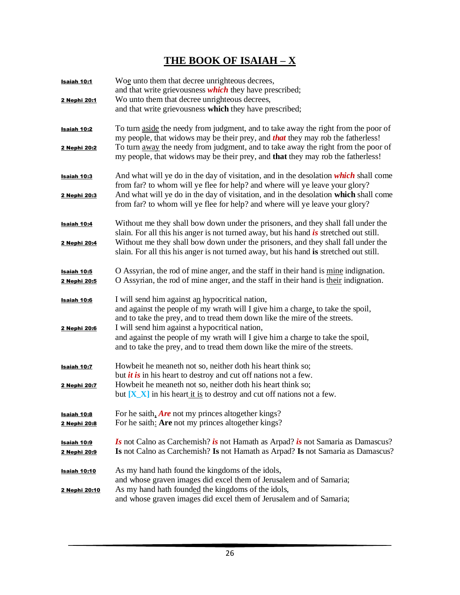## **THE BOOK OF ISAIAH – X**

| Isaiah 10:1<br>2 Nephi 20:1               | Woe unto them that decree unrighteous decrees,<br>and that write grievousness <i>which</i> they have prescribed;<br>Wo unto them that decree unrighteous decrees,<br>and that write grievousness which they have prescribed;                                                                                                                                                                                                       |
|-------------------------------------------|------------------------------------------------------------------------------------------------------------------------------------------------------------------------------------------------------------------------------------------------------------------------------------------------------------------------------------------------------------------------------------------------------------------------------------|
| <u> Isaiah 10:2</u><br>2 Nephi 20:2       | To turn aside the needy from judgment, and to take away the right from the poor of<br>my people, that widows may be their prey, and <b>that</b> they may rob the fatherless!<br>To turn away the needy from judgment, and to take away the right from the poor of<br>my people, that widows may be their prey, and that they may rob the fatherless!                                                                               |
| <b>Isaiah 10:3</b><br>2 Nephi 20:3        | And what will ye do in the day of visitation, and in the desolation which shall come<br>from far? to whom will ye flee for help? and where will ye leave your glory?<br>And what will ye do in the day of visitation, and in the desolation which shall come<br>from far? to whom will ye flee for help? and where will ye leave your glory?                                                                                       |
| <u>Isaiah 10:4</u><br><u>2 Nephi 20:4</u> | Without me they shall bow down under the prisoners, and they shall fall under the<br>slain. For all this his anger is not turned away, but his hand is stretched out still.<br>Without me they shall bow down under the prisoners, and they shall fall under the<br>slain. For all this his anger is not turned away, but his hand is stretched out still.                                                                         |
| <u>Isaiah 10:5</u><br><u>2 Nephi 20:5</u> | O Assyrian, the rod of mine anger, and the staff in their hand is mine indignation.<br>O Assyrian, the rod of mine anger, and the staff in their hand is their indignation.                                                                                                                                                                                                                                                        |
| Isaiah 10:6<br>2 Nephi 20:6               | I will send him against an hypocritical nation,<br>and against the people of my wrath will I give him a charge, to take the spoil,<br>and to take the prey, and to tread them down like the mire of the streets.<br>I will send him against a hypocritical nation,<br>and against the people of my wrath will I give him a charge to take the spoil,<br>and to take the prey, and to tread them down like the mire of the streets. |
| Isaiah 10:7<br>2 Nephi 20:7               | Howbeit he meaneth not so, neither doth his heart think so;<br>but <i>it is</i> in his heart to destroy and cut off nations not a few.<br>Howbeit he meaneth not so, neither doth his heart think so;<br>but $[X_X]$ in his heart it is to destroy and cut off nations not a few.                                                                                                                                                  |
| <b>Isaiah 10:8</b><br>2 Nephi 20:8        | For he saith, $Are$ not my princes altogether kings?<br>For he saith: Are not my princes altogether kings?                                                                                                                                                                                                                                                                                                                         |
| Isaiah 10:9<br>2 Nephi 20:9               | <i>Is</i> not Calno as Carchemish? <i>is</i> not Hamath as Arpad? <i>is</i> not Samaria as Damascus?<br>Is not Calno as Carchemish? Is not Hamath as Arpad? Is not Samaria as Damascus?                                                                                                                                                                                                                                            |
| <u>Isaiah 10:10</u><br>2 Nephi 20:10      | As my hand hath found the kingdoms of the idols,<br>and whose graven images did excel them of Jerusalem and of Samaria;<br>As my hand hath founded the kingdoms of the idols,<br>and whose graven images did excel them of Jerusalem and of Samaria;                                                                                                                                                                               |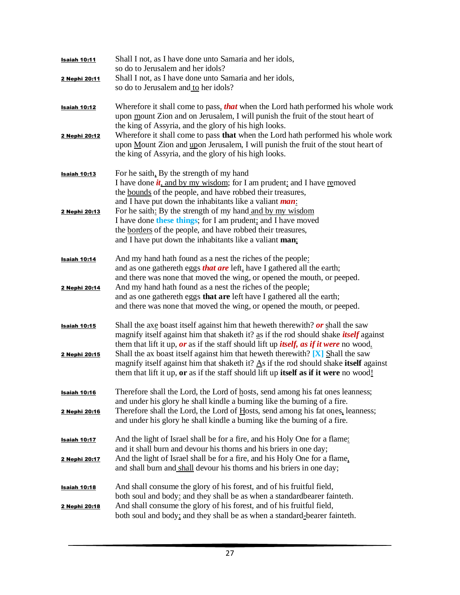| Isaiah 10:11                  | Shall I not, as I have done unto Samaria and her idols,<br>so do to Jerusalem and her idols?                                                                                                                                                                                                            |
|-------------------------------|---------------------------------------------------------------------------------------------------------------------------------------------------------------------------------------------------------------------------------------------------------------------------------------------------------|
| 2 Nephi 20:11                 | Shall I not, as I have done unto Samaria and her idols,<br>so do to Jerusalem and to her idols?                                                                                                                                                                                                         |
| <b>Isaiah 10:12</b>           | Wherefore it shall come to pass, that when the Lord hath performed his whole work<br>upon mount Zion and on Jerusalem, I will punish the fruit of the stout heart of<br>the king of Assyria, and the glory of his high looks.                                                                           |
| 2 Nephi 20:12                 | Wherefore it shall come to pass <b>that</b> when the Lord hath performed his whole work<br>upon Mount Zion and upon Jerusalem, I will punish the fruit of the stout heart of<br>the king of Assyria, and the glory of his high looks.                                                                   |
| Isaiah 10:13                  | For he saith, By the strength of my hand<br>I have done $\dot{u}$ , and by my wisdom; for I am prudent: and I have removed<br>the <u>bounds</u> of the people, and have robbed their treasures,<br>and I have put down the inhabitants like a valiant <i>man</i> :                                      |
| 2 Nephi 20:13                 | For he saith: By the strength of my hand and by my wisdom<br>I have done these things; for I am prudent; and I have moved<br>the borders of the people, and have robbed their treasures,<br>and I have put down the inhabitants like a valiant man:                                                     |
| <b>Isaiah 10:14</b>           | And my hand hath found as a nest the riches of the people:<br>and as one gathereth eggs <i>that are</i> left, have I gathered all the earth;<br>and there was none that moved the wing, or opened the mouth, or peeped.                                                                                 |
| 2 Nephi 20:14                 | And my hand hath found as a nest the riches of the people;<br>and as one gathereth eggs that are left have I gathered all the earth;<br>and there was none that moved the wing, or opened the mouth, or peeped.                                                                                         |
| Isaiah 10:15                  | Shall the axe boast itself against him that heweth therewith? $or$ shall the saw<br>magnify itself against him that shaketh it? as if the rod should shake <i>itself</i> against<br>them that lift it up, or as if the staff should lift up <i>itself, as if it were</i> no wood.                       |
| 2 Nephi 20:15                 | Shall the ax boast itself against him that heweth therewith? $[X]$ Shall the saw<br>magnify itself against him that shaketh it? $\underline{A}s$ if the rod should shake itself against<br>them that lift it up, or as if the staff should lift up itself as if it were no wood!                        |
| <b>Isaiah 10:16</b>           | Therefore shall the Lord, the Lord of hosts, send among his fat ones leanness;<br>and under his glory he shall kindle a burning like the burning of a fire.                                                                                                                                             |
| 2 Nephi 20:16                 | Therefore shall the Lord, the Lord of Hosts, send among his fat ones, leanness;<br>and under his glory he shall kindle a burning like the burning of a fire.                                                                                                                                            |
| Isaiah 10:17<br>2 Nephi 20:17 | And the light of Israel shall be for a fire, and his Holy One for a flame:<br>and it shall burn and devour his thorns and his briers in one day;<br>And the light of Israel shall be for a fire, and his Holy One for a flame,<br>and shall burn and shall devour his thorns and his briers in one day; |
| Isaiah 10:18<br>2 Nephi 20:18 | And shall consume the glory of his forest, and of his fruitful field,<br>both soul and body: and they shall be as when a standardbearer fainteth.<br>And shall consume the glory of his forest, and of his fruitful field,<br>both soul and body; and they shall be as when a standard-bearer fainteth. |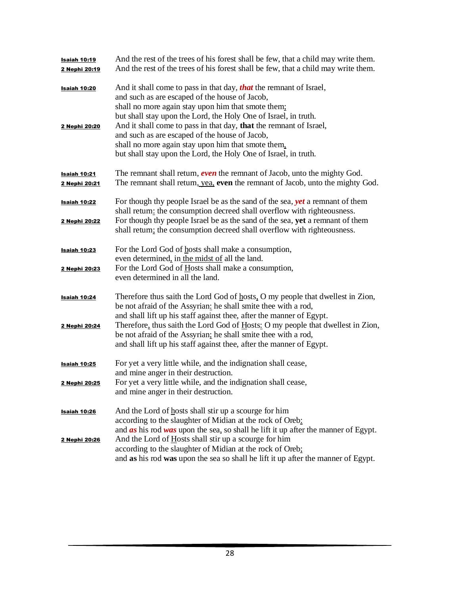| Isaiah 10:19<br>2 Nephi 20:19 | And the rest of the trees of his forest shall be few, that a child may write them.<br>And the rest of the trees of his forest shall be few, that a child may write them. |
|-------------------------------|--------------------------------------------------------------------------------------------------------------------------------------------------------------------------|
| <b>Isaiah 10:20</b>           | And it shall come to pass in that day, <i>that</i> the remnant of Israel,                                                                                                |
|                               | and such as are escaped of the house of Jacob,                                                                                                                           |
|                               | shall no more again stay upon him that smote them;<br>but shall stay upon the Lord, the Holy One of Israel, in truth.                                                    |
| 2 Nephi 20:20                 | And it shall come to pass in that day, that the remnant of Israel,                                                                                                       |
|                               | and such as are escaped of the house of Jacob,                                                                                                                           |
|                               | shall no more again stay upon him that smote them.                                                                                                                       |
|                               | but shall stay upon the Lord, the Holy One of Israel, in truth.                                                                                                          |
| <b>Isaiah 10:21</b>           | The remnant shall return, <b><i>even</i></b> the remnant of Jacob, unto the mighty God.                                                                                  |
| 2 Nephi 20:21                 | The remnant shall return, yea, even the remnant of Jacob, unto the mighty God.                                                                                           |
| Isaiah 10:22                  | For though thy people Israel be as the sand of the sea, <i>yet</i> a remnant of them                                                                                     |
|                               | shall return: the consumption decreed shall overflow with righteousness.                                                                                                 |
| 2 Nephi 20:22                 | For though thy people Israel be as the sand of the sea, yet a remnant of them                                                                                            |
|                               | shall return; the consumption decreed shall overflow with righteousness.                                                                                                 |
| Isaiah 10:23                  | For the Lord God of hosts shall make a consumption,                                                                                                                      |
|                               | even determined, in the midst of all the land.                                                                                                                           |
| 2 Nephi 20:23                 | For the Lord God of Hosts shall make a consumption,<br>even determined in all the land.                                                                                  |
|                               |                                                                                                                                                                          |
| <b>Isaiah 10:24</b>           | Therefore thus saith the Lord God of hosts, O my people that dwellest in Zion,                                                                                           |
|                               | be not afraid of the Assyrian: he shall smite thee with a rod,                                                                                                           |
|                               | and shall lift up his staff against thee, after the manner of Egypt.                                                                                                     |
| 2 Nephi 20:24                 | Therefore, thus saith the Lord God of Hosts: O my people that dwellest in Zion,<br>be not afraid of the Assyrian; he shall smite thee with a rod,                        |
|                               | and shall lift up his staff against thee, after the manner of Egypt.                                                                                                     |
|                               |                                                                                                                                                                          |
| <b>Isaiah 10:25</b>           | For yet a very little while, and the indignation shall cease,<br>and mine anger in their destruction.                                                                    |
| 2 Nephi 20:25                 | For yet a very little while, and the indignation shall cease,                                                                                                            |
|                               | and mine anger in their destruction.                                                                                                                                     |
| <b>Isaiah 10:26</b>           | And the Lord of hosts shall stir up a scourge for him                                                                                                                    |
|                               | according to the slaughter of Midian at the rock of Oreb:                                                                                                                |
|                               | and $\overline{as}$ his rod was upon the sea, so shall he lift it up after the manner of Egypt.                                                                          |
| 2 Nephi 20:26                 | And the Lord of Hosts shall stir up a scourge for him                                                                                                                    |
|                               | according to the slaughter of Midian at the rock of Oreb;<br>and as his rod was upon the sea so shall he lift it up after the manner of Egypt.                           |
|                               |                                                                                                                                                                          |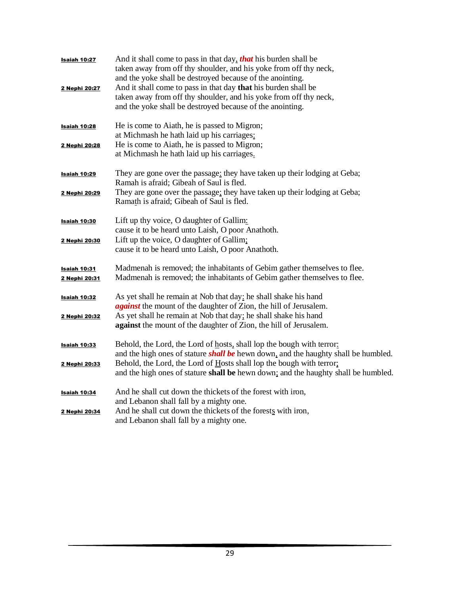| Isaiah 10:27<br>2 Nephi 20:27        | And it shall come to pass in that day, that his burden shall be<br>taken away from off thy shoulder, and his yoke from off thy neck,<br>and the yoke shall be destroyed because of the anointing.<br>And it shall come to pass in that day that his burden shall be<br>taken away from off thy shoulder, and his yoke from off thy neck,<br>and the yoke shall be destroyed because of the anointing. |
|--------------------------------------|-------------------------------------------------------------------------------------------------------------------------------------------------------------------------------------------------------------------------------------------------------------------------------------------------------------------------------------------------------------------------------------------------------|
| Isaiah 10:28<br>2 Nephi 20:28        | He is come to Aiath, he is passed to Migron;<br>at Michmash he hath laid up his carriages:<br>He is come to Aiath, he is passed to Migron;<br>at Michmash he hath laid up his carriages.                                                                                                                                                                                                              |
| Isaiah 10:29                         | They are gone over the passage: they have taken up their lodging at Geba;                                                                                                                                                                                                                                                                                                                             |
| 2 Nephi 20:29                        | Ramah is afraid; Gibeah of Saul is fled.<br>They are gone over the passage: they have taken up their lodging at Geba;<br>Ramath is afraid; Gibeah of Saul is fled.                                                                                                                                                                                                                                    |
| <b>Isaiah 10:30</b>                  | Lift up thy voice, O daughter of Gallim:<br>cause it to be heard unto Laish, O poor Anathoth.                                                                                                                                                                                                                                                                                                         |
| 2 Nephi 20:30                        | Lift up the voice, O daughter of Gallim;<br>cause it to be heard unto Laish, O poor Anathoth.                                                                                                                                                                                                                                                                                                         |
| <b>Isaiah 10:31</b><br>2 Nephi 20:31 | Madmenah is removed; the inhabitants of Gebim gather themselves to flee.<br>Madmenah is removed; the inhabitants of Gebim gather themselves to flee.                                                                                                                                                                                                                                                  |
| <b>Isaiah 10:32</b>                  | As yet shall he remain at Nob that day: he shall shake his hand<br><i>against</i> the mount of the daughter of Zion, the hill of Jerusalem.                                                                                                                                                                                                                                                           |
| 2 Nephi 20:32                        | As yet shall he remain at Nob that day; he shall shake his hand<br>against the mount of the daughter of Zion, the hill of Jerusalem.                                                                                                                                                                                                                                                                  |
| <b>Isaiah 10:33</b>                  | Behold, the Lord, the Lord of hosts, shall lop the bough with terror:<br>and the high ones of stature <i>shall be</i> hewn down, and the haughty shall be humbled.                                                                                                                                                                                                                                    |
| 2 Nephi 20:33                        | Behold, the Lord, the Lord of Hosts shall lop the bough with terror:<br>and the high ones of stature shall be hewn down; and the haughty shall be humbled.                                                                                                                                                                                                                                            |
| Isaiah 10:34                         | And he shall cut down the thickets of the forest with iron,<br>and Lebanon shall fall by a mighty one.                                                                                                                                                                                                                                                                                                |
| 2 Nephi 20:34                        | And he shall cut down the thickets of the forests with iron,<br>and Lebanon shall fall by a mighty one.                                                                                                                                                                                                                                                                                               |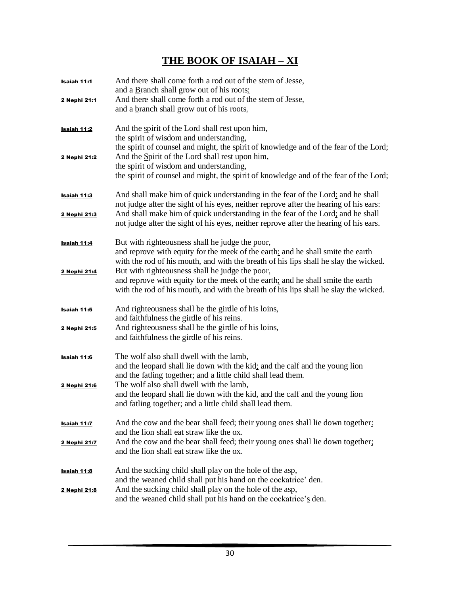## **THE BOOK OF ISAIAH – XI**

| Isaiah 11:1         | And there shall come forth a rod out of the stem of Jesse,<br>and a Branch shall grow out of his roots:                                                                                                                    |
|---------------------|----------------------------------------------------------------------------------------------------------------------------------------------------------------------------------------------------------------------------|
| <u>2 Nephi 21:1</u> | And there shall come forth a rod out of the stem of Jesse,<br>and a branch shall grow out of his roots.                                                                                                                    |
| Isaiah 11:2         | And the spirit of the Lord shall rest upon him,<br>the spirit of wisdom and understanding,<br>the spirit of counsel and might, the spirit of knowledge and of the fear of the Lord;                                        |
| 2 Nephi 21:2        | And the Spirit of the Lord shall rest upon him,<br>the spirit of wisdom and understanding,<br>the spirit of counsel and might, the spirit of knowledge and of the fear of the Lord;                                        |
| <b>Isaiah 11:3</b>  | And shall make him of quick understanding in the fear of the Lord: and he shall<br>not judge after the sight of his eyes, neither reprove after the hearing of his ears:                                                   |
| 2 Nephi 21:3        | And shall make him of quick understanding in the fear of the Lord; and he shall<br>not judge after the sight of his eyes, neither reprove after the hearing of his ears.                                                   |
| Isaiah 11:4         | But with righteousness shall he judge the poor,<br>and reprove with equity for the meek of the earth: and he shall smite the earth<br>with the rod of his mouth, and with the breath of his lips shall he slay the wicked. |
| 2 Nephi 21:4        | But with righteousness shall he judge the poor,<br>and reprove with equity for the meek of the earth; and he shall smite the earth<br>with the rod of his mouth, and with the breath of his lips shall he slay the wicked. |
| Isaiah 11:5         | And righteousness shall be the girdle of his loins,<br>and faithfulness the girdle of his reins.                                                                                                                           |
| 2 Nephi 21:5        | And righteousness shall be the girdle of his loins,<br>and faithfulness the girdle of his reins.                                                                                                                           |
| <b>Isaiah 11:6</b>  | The wolf also shall dwell with the lamb,<br>and the leopard shall lie down with the kid; and the calf and the young lion<br>and the fatling together; and a little child shall lead them.                                  |
| 2 Nephi 21:6        | The wolf also shall dwell with the lamb,<br>and the leopard shall lie down with the kid, and the calf and the young lion<br>and fatling together; and a little child shall lead them.                                      |
| Isaiah 11:7         | And the cow and the bear shall feed; their young ones shall lie down together:<br>and the lion shall eat straw like the ox.                                                                                                |
| 2 Nephi 21:7        | And the cow and the bear shall feed; their young ones shall lie down together;<br>and the lion shall eat straw like the ox.                                                                                                |
| <u>Isaiah 11:8</u>  | And the sucking child shall play on the hole of the asp,<br>and the weaned child shall put his hand on the cockatrice' den.                                                                                                |
| <u>2 Nephi 21:8</u> | And the sucking child shall play on the hole of the asp,<br>and the weaned child shall put his hand on the cockatrice's den.                                                                                               |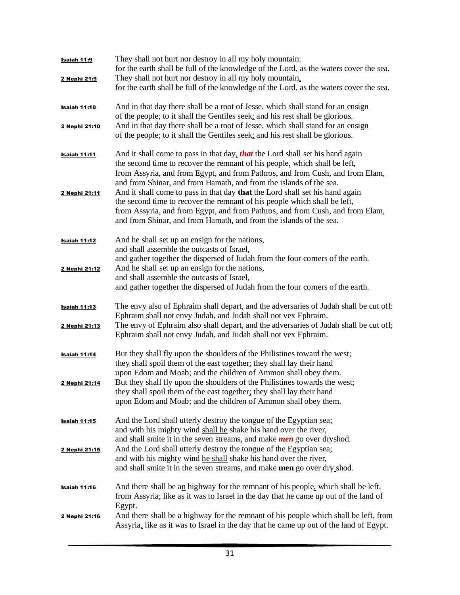| <u>Isaiah 11:9</u>  | They shall not hurt nor destroy in all my holy mountain:<br>for the earth shall be full of the knowledge of the Lord, as the waters cover the sea.<br>They shall not hurt nor destroy in all my holy mountain,                                                                                                     |
|---------------------|--------------------------------------------------------------------------------------------------------------------------------------------------------------------------------------------------------------------------------------------------------------------------------------------------------------------|
| 2 Nephi 21:9        | for the earth shall be full of the knowledge of the Lord, as the waters cover the sea.                                                                                                                                                                                                                             |
| <b>Isaiah 11:10</b> | And in that day there shall be a root of Jesse, which shall stand for an ensign<br>of the people; to it shall the Gentiles seek: and his rest shall be glorious.                                                                                                                                                   |
| 2 Nephi 21:10       | And in that day there shall be a root of Jesse, which shall stand for an ensign<br>of the people; to it shall the Gentiles seek; and his rest shall be glorious.                                                                                                                                                   |
| Isaiah 11:11        | And it shall come to pass in that day, that the Lord shall set his hand again<br>the second time to recover the remnant of his people, which shall be left,<br>from Assyria, and from Egypt, and from Pathros, and from Cush, and from Elam,<br>and from Shinar, and from Hamath, and from the islands of the sea. |
| 2 Nephi 21:11       | And it shall come to pass in that day that the Lord shall set his hand again<br>the second time to recover the remnant of his people which shall be left,<br>from Assyria, and from Egypt, and from Pathros, and from Cush, and from Elam,<br>and from Shinar, and from Hamath, and from the islands of the sea.   |
| <u>Isaiah 11:12</u> | And he shall set up an ensign for the nations,<br>and shall assemble the outcasts of Israel,<br>and gather together the dispersed of Judah from the four corners of the earth.                                                                                                                                     |
| 2 Nephi 21:12       | And he shall set up an ensign for the nations,<br>and shall assemble the outcasts of Israel,<br>and gather together the dispersed of Judah from the four corners of the earth.                                                                                                                                     |
| <b>Isaiah 11:13</b> | The envy also of Ephraim shall depart, and the adversaries of Judah shall be cut off:<br>Ephraim shall not envy Judah, and Judah shall not vex Ephraim.                                                                                                                                                            |
| 2 Nephi 21:13       | The envy of Ephraim also shall depart, and the adversaries of Judah shall be cut off,<br>Ephraim shall not envy Judah, and Judah shall not vex Ephraim.                                                                                                                                                            |
| Isaiah 11:14        | But they shall fly upon the shoulders of the Philistines toward the west;<br>they shall spoil them of the east together: they shall lay their hand<br>upon Edom and Moab; and the children of Ammon shall obey them.                                                                                               |
| 2 Nephi 21:14       | But they shall fly upon the shoulders of the Philistines towards the west;<br>they shall spoil them of the east together; they shall lay their hand<br>upon Edom and Moab; and the children of Ammon shall obey them.                                                                                              |
| <b>Isaiah 11:15</b> | And the Lord shall utterly destroy the tongue of the Egyptian sea;<br>and with his mighty wind shall he shake his hand over the river,<br>and shall smite it in the seven streams, and make <i>men</i> go over dryshod.                                                                                            |
| 2 Nephi 21:15       | And the Lord shall utterly destroy the tongue of the Egyptian sea;<br>and with his mighty wind he shall shake his hand over the river,<br>and shall smite it in the seven streams, and make men go over dry shod.                                                                                                  |
| <u>Isaiah 11:16</u> | And there shall be an highway for the remnant of his people, which shall be left,<br>from Assyria; like as it was to Israel in the day that he came up out of the land of<br>Egypt.                                                                                                                                |
| 2 Nephi 21:16       | And there shall be a highway for the remnant of his people which shall be left, from<br>Assyria, like as it was to Israel in the day that he came up out of the land of Egypt.                                                                                                                                     |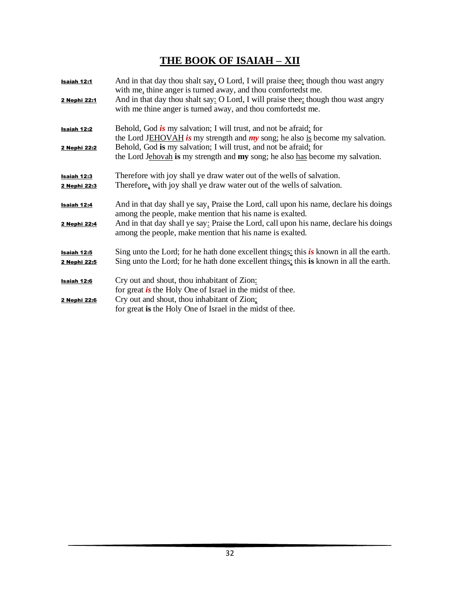## **THE BOOK OF ISAIAH – XII**

| Isaiah 12:1<br>2 Nephi 22:1 | And in that day thou shalt say, O Lord, I will praise thee: though thou wast angry<br>with me, thine anger is turned away, and thou comfortedst me.<br>And in that day thou shalt say: O Lord, I will praise thee; though thou wast angry<br>with me thine anger is turned away, and thou comfortedst me. |
|-----------------------------|-----------------------------------------------------------------------------------------------------------------------------------------------------------------------------------------------------------------------------------------------------------------------------------------------------------|
| Isaiah 12:2<br>2 Nephi 22:2 | Behold, God is my salvation; I will trust, and not be afraid: for<br>the Lord JEHOVAH is my strength and $my$ song; he also is become my salvation.<br>Behold, God is my salvation; I will trust, and not be afraid; for<br>the Lord Jehovah is my strength and my song; he also has become my salvation. |
| Isaiah 12:3<br>2 Nephi 22:3 | Therefore with joy shall ye draw water out of the wells of salvation.<br>Therefore, with joy shall ye draw water out of the wells of salvation.                                                                                                                                                           |
| Isaiah 12:4<br>2 Nephi 22:4 | And in that day shall ye say, Praise the Lord, call upon his name, declare his doings<br>among the people, make mention that his name is exalted.<br>And in that day shall ye say: Praise the Lord, call upon his name, declare his doings<br>among the people, make mention that his name is exalted.    |
| Isaiah 12:5<br>2 Nephi 22:5 | Sing unto the Lord; for he hath done excellent things: this is known in all the earth.<br>Sing unto the Lord; for he hath done excellent things; this is known in all the earth.                                                                                                                          |
| Isaiah 12:6<br>2 Nephi 22:6 | Cry out and shout, thou inhabitant of Zion:<br>for great <i>is</i> the Holy One of Israel in the midst of thee.<br>Cry out and shout, thou inhabitant of Zion;<br>for great is the Holy One of Israel in the midst of thee.                                                                               |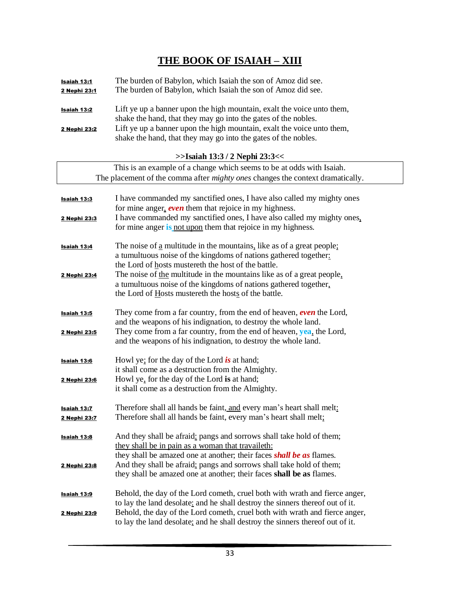#### **THE BOOK OF ISAIAH – XIII**

| Isaiah 13:1  | The burden of Babylon, which Isaiah the son of Amoz did see.           |
|--------------|------------------------------------------------------------------------|
| 2 Nephi 23:1 | The burden of Babylon, which Isaiah the son of Amoz did see.           |
|              |                                                                        |
| Isaiah 13:2  | Lift ye up a banner upon the high mountain, exalt the voice unto them, |
|              | shake the hand, that they may go into the gates of the nobles.         |
| 2 Nephi 23:2 | Lift ye up a banner upon the high mountain, exalt the voice unto them, |
|              | shake the hand, that they may go into the gates of the nobles.         |

**>>Isaiah 13:3 / 2 Nephi 23:3<<**

| This is an example of a change which seems to be at odds with Isaiah.                 |                                                                                                                         |  |
|---------------------------------------------------------------------------------------|-------------------------------------------------------------------------------------------------------------------------|--|
| The placement of the comma after <i>mighty ones</i> changes the context dramatically. |                                                                                                                         |  |
|                                                                                       |                                                                                                                         |  |
| <b>Isaiah 13:3</b>                                                                    | I have commanded my sanctified ones, I have also called my mighty ones                                                  |  |
|                                                                                       | for mine anger, even them that rejoice in my highness.                                                                  |  |
| <u>2 Nephi 23:3</u>                                                                   | I have commanded my sanctified ones, I have also called my mighty ones,                                                 |  |
|                                                                                       | for mine anger is not upon them that rejoice in my highness.                                                            |  |
|                                                                                       |                                                                                                                         |  |
| <u>Isaiah 13:4</u>                                                                    | The noise of a multitude in the mountains, like as of a great people;                                                   |  |
|                                                                                       | a tumultuous noise of the kingdoms of nations gathered together:<br>the Lord of hosts mustereth the host of the battle. |  |
| 2 Nephi 23:4                                                                          | The noise of the multitude in the mountains like as of a great people,                                                  |  |
|                                                                                       | a tumultuous noise of the kingdoms of nations gathered together.                                                        |  |
|                                                                                       | the Lord of Hosts mustereth the hosts of the battle.                                                                    |  |
|                                                                                       |                                                                                                                         |  |
| <u>Isaiah 13:5</u>                                                                    | They come from a far country, from the end of heaven, even the Lord,                                                    |  |
|                                                                                       | and the weapons of his indignation, to destroy the whole land.                                                          |  |
| 2 Nephi 23:5                                                                          | They come from a far country, from the end of heaven, yea, the Lord,                                                    |  |
|                                                                                       | and the weapons of his indignation, to destroy the whole land.                                                          |  |
|                                                                                       |                                                                                                                         |  |
| Isaiah 13:6                                                                           | Howl ye: for the day of the Lord is at hand;                                                                            |  |
|                                                                                       | it shall come as a destruction from the Almighty.                                                                       |  |
| 2 Nephi 23:6                                                                          | Howl ye, for the day of the Lord is at hand;                                                                            |  |
|                                                                                       | it shall come as a destruction from the Almighty.                                                                       |  |
|                                                                                       | Therefore shall all hands be faint, and every man's heart shall melt:                                                   |  |
| <b>Isaiah 13:7</b><br>2 Nephi 23:7                                                    | Therefore shall all hands be faint, every man's heart shall melt;                                                       |  |
|                                                                                       |                                                                                                                         |  |
| <b>Isaiah 13:8</b>                                                                    | And they shall be afraid: pangs and sorrows shall take hold of them;                                                    |  |
|                                                                                       | they shall be in pain as a woman that travaileth:                                                                       |  |
|                                                                                       | they shall be amazed one at another; their faces <b>shall be as</b> flames.                                             |  |
| 2 Nephi 23:8                                                                          | And they shall be afraid; pangs and sorrows shall take hold of them;                                                    |  |
|                                                                                       | they shall be amazed one at another; their faces shall be as flames.                                                    |  |
|                                                                                       |                                                                                                                         |  |
| <u>Isaiah 13:9</u>                                                                    | Behold, the day of the Lord cometh, cruel both with wrath and fierce anger,                                             |  |
|                                                                                       | to lay the land desolate: and he shall destroy the sinners thereof out of it.                                           |  |
| 2 Nephi 23:9                                                                          | Behold, the day of the Lord cometh, cruel both with wrath and fierce anger,                                             |  |
|                                                                                       | to lay the land desolate; and he shall destroy the sinners thereof out of it.                                           |  |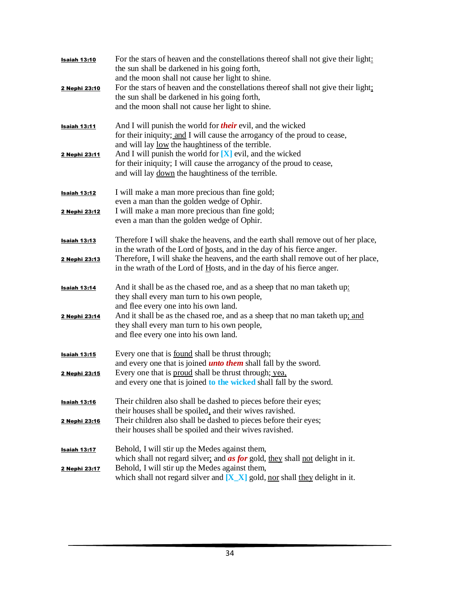| <b>Isaiah 13:10</b> | For the stars of heaven and the constellations thereof shall not give their light:<br>the sun shall be darkened in his going forth,<br>and the moon shall not cause her light to shine.                    |
|---------------------|------------------------------------------------------------------------------------------------------------------------------------------------------------------------------------------------------------|
| 2 Nephi 23:10       | For the stars of heaven and the constellations thereof shall not give their light;<br>the sun shall be darkened in his going forth,<br>and the moon shall not cause her light to shine.                    |
| <u>Isaiah 13:11</u> | And I will punish the world for <i>their</i> evil, and the wicked<br>for their iniquity; and I will cause the arrogancy of the proud to cease,<br>and will lay <u>low</u> the haughtiness of the terrible. |
| 2 Nephi 23:11       | And I will punish the world for $[X]$ evil, and the wicked<br>for their iniquity; I will cause the arrogancy of the proud to cease,<br>and will lay down the haughtiness of the terrible.                  |
| <u>Isaiah 13:12</u> | I will make a man more precious than fine gold;<br>even a man than the golden wedge of Ophir.                                                                                                              |
| 2 Nephi 23:12       | I will make a man more precious than fine gold;<br>even a man than the golden wedge of Ophir.                                                                                                              |
| <b>Isaiah 13:13</b> | Therefore I will shake the heavens, and the earth shall remove out of her place,<br>in the wrath of the Lord of hosts, and in the day of his fierce anger.                                                 |
| 2 Nephi 23:13       | Therefore, I will shake the heavens, and the earth shall remove out of her place,<br>in the wrath of the Lord of Hosts, and in the day of his fierce anger.                                                |
| Isaiah 13:14        | And it shall be as the chased roe, and as a sheep that no man taketh up:<br>they shall every man turn to his own people,<br>and flee every one into his own land.                                          |
| 2 Nephi 23:14       | And it shall be as the chased roe, and as a sheep that no man taketh up; and<br>they shall every man turn to his own people,<br>and flee every one into his own land.                                      |
| <b>Isaiah 13:15</b> | Every one that is <u>found</u> shall be thrust through;<br>and every one that is joined <i>unto them</i> shall fall by the sword.                                                                          |
| 2 Nephi 23:15       | Every one that is proud shall be thrust through; yea,<br>and every one that is joined to the wicked shall fall by the sword.                                                                               |
| <b>Isaiah 13:16</b> | Their children also shall be dashed to pieces before their eyes;<br>their houses shall be spoiled, and their wives ravished.                                                                               |
| 2 Nephi 23:16       | Their children also shall be dashed to pieces before their eyes;<br>their houses shall be spoiled and their wives ravished.                                                                                |
| <b>Isaiah 13:17</b> | Behold, I will stir up the Medes against them,<br>which shall not regard silver, and <b>as for</b> gold, they shall not delight in it.                                                                     |
| 2 Nephi 23:17       | Behold, I will stir up the Medes against them,<br>which shall not regard silver and $[X_X]$ gold, nor shall they delight in it.                                                                            |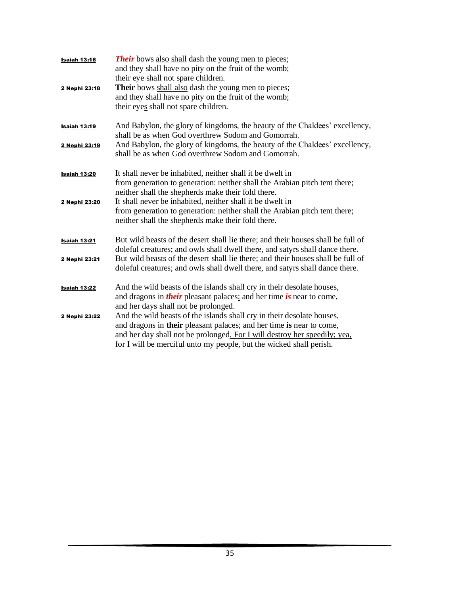| <b>Isaiah 13:18</b><br>2 Nephi 23:18 | <b>Their</b> bows also shall dash the young men to pieces;<br>and they shall have no pity on the fruit of the womb;<br>their eye shall not spare children.<br>Their bows shall also dash the young men to pieces;<br>and they shall have no pity on the fruit of the womb;<br>their eyes shall not spare children. |
|--------------------------------------|--------------------------------------------------------------------------------------------------------------------------------------------------------------------------------------------------------------------------------------------------------------------------------------------------------------------|
| <b>Isaiah 13:19</b><br>2 Nephi 23:19 | And Babylon, the glory of kingdoms, the beauty of the Chaldees' excellency,<br>shall be as when God overthrew Sodom and Gomorrah.<br>And Babylon, the glory of kingdoms, the beauty of the Chaldees' excellency,<br>shall be as when God overthrew Sodom and Gomorrah.                                             |
| <b>Isaiah 13:20</b><br>2 Nephi 23:20 | It shall never be inhabited, neither shall it be dwelt in<br>from generation to generation: neither shall the Arabian pitch tent there;<br>neither shall the shepherds make their fold there.<br>It shall never be inhabited, neither shall it be dwelt in                                                         |
|                                      | from generation to generation: neither shall the Arabian pitch tent there;<br>neither shall the shepherds make their fold there.                                                                                                                                                                                   |
| <b>Isaiah 13:21</b>                  | But wild beasts of the desert shall lie there; and their houses shall be full of<br>doleful creatures; and owls shall dwell there, and satyrs shall dance there.                                                                                                                                                   |
| 2 Nephi 23:21                        | But wild beasts of the desert shall lie there; and their houses shall be full of<br>doleful creatures; and owls shall dwell there, and satyrs shall dance there.                                                                                                                                                   |
| Isaiah 13:22                         | And the wild beasts of the islands shall cry in their desolate houses,<br>and dragons in <i>their</i> pleasant palaces: and her time is near to come,<br>and her days shall not be prolonged.                                                                                                                      |
| 2 Nephi 23:22                        | And the wild beasts of the islands shall cry in their desolate houses,<br>and dragons in their pleasant palaces; and her time is near to come,<br>and her day shall not be prolonged. For I will destroy her speedily; yea,<br>for I will be merciful unto my people, but the wicked shall perish.                 |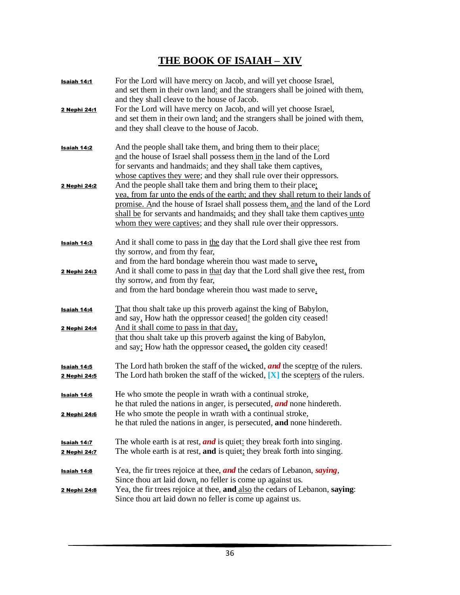## **THE BOOK OF ISAIAH – XIV**

| Isaiah 14:1                 | For the Lord will have mercy on Jacob, and will yet choose Israel,<br>and set them in their own land: and the strangers shall be joined with them,<br>and they shall cleave to the house of Jacob.                                                                                                                                                                                        |
|-----------------------------|-------------------------------------------------------------------------------------------------------------------------------------------------------------------------------------------------------------------------------------------------------------------------------------------------------------------------------------------------------------------------------------------|
| 2 Nephi 24:1                | For the Lord will have mercy on Jacob, and will yet choose Israel,<br>and set them in their own land; and the strangers shall be joined with them,<br>and they shall cleave to the house of Jacob.                                                                                                                                                                                        |
| Isaiah 14:2                 | And the people shall take them, and bring them to their place:<br>and the house of Israel shall possess them in the land of the Lord<br>for servants and handmaids: and they shall take them captives,<br>whose captives they were; and they shall rule over their oppressors.                                                                                                            |
| 2 Nephi 24:2                | And the people shall take them and bring them to their place:<br>yea, from far unto the ends of the earth; and they shall return to their lands of<br>promise. And the house of Israel shall possess them, and the land of the Lord<br>shall be for servants and handmaids; and they shall take them captives unto<br>whom they were captives; and they shall rule over their oppressors. |
| Isaiah 14:3                 | And it shall come to pass in the day that the Lord shall give thee rest from<br>thy sorrow, and from thy fear,<br>and from the hard bondage wherein thou wast made to serve,                                                                                                                                                                                                              |
| 2 Nephi 24:3                | And it shall come to pass in that day that the Lord shall give thee rest, from<br>thy sorrow, and from thy fear,<br>and from the hard bondage wherein thou wast made to serve.                                                                                                                                                                                                            |
| Isaiah 14:4<br>2 Nephi 24:4 | That thou shalt take up this proverb against the king of Babylon,<br>and say, How hath the oppressor ceased! the golden city ceased!<br>And it shall come to pass in that day,                                                                                                                                                                                                            |
|                             | that thou shalt take up this proverb against the king of Babylon,<br>and say: How hath the oppressor ceased, the golden city ceased!                                                                                                                                                                                                                                                      |
| Isaiah 14:5<br>2 Nephi 24:5 | The Lord hath broken the staff of the wicked, <i>and</i> the sceptre of the rulers.<br>The Lord hath broken the staff of the wicked, $[X]$ the scepters of the rulers.                                                                                                                                                                                                                    |
| Isaiah 14:6<br>2 Nephi 24:6 | He who smote the people in wrath with a continual stroke,<br>he that ruled the nations in anger, is persecuted, <i>and</i> none hindereth.<br>He who smote the people in wrath with a continual stroke,                                                                                                                                                                                   |
| <u>Isaiah 14:7</u>          | he that ruled the nations in anger, is persecuted, and none hindereth.<br>The whole earth is at rest, and is quiet: they break forth into singing.                                                                                                                                                                                                                                        |
| 2 Nephi 24:7                | The whole earth is at rest, and is quiet; they break forth into singing.                                                                                                                                                                                                                                                                                                                  |
| <u>Isaiah 14:8</u>          | Yea, the fir trees rejoice at thee, and the cedars of Lebanon, saying,<br>Since thou art laid down, no feller is come up against us.                                                                                                                                                                                                                                                      |
| 2 Nephi 24:8                | Yea, the fir trees rejoice at thee, and also the cedars of Lebanon, saying:<br>Since thou art laid down no feller is come up against us.                                                                                                                                                                                                                                                  |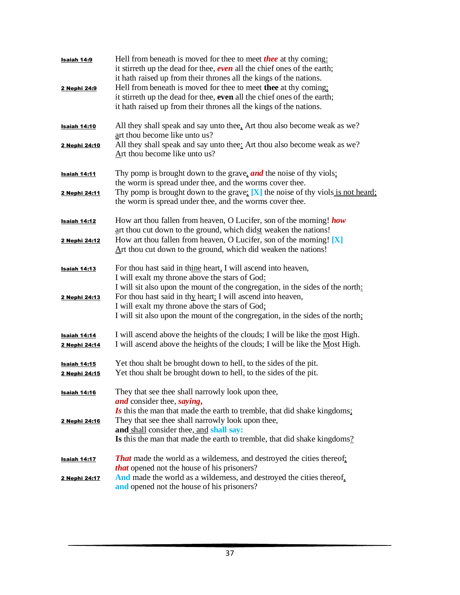| Isaiah 14:9<br>2 Nephi 24:9          | Hell from beneath is moved for thee to meet <b>thee</b> at thy coming:<br>it stirreth up the dead for thee, <b>even</b> all the chief ones of the earth;<br>it hath raised up from their thrones all the kings of the nations.<br>Hell from beneath is moved for thee to meet thee at thy coming:<br>it stirreth up the dead for thee, even all the chief ones of the earth;<br>it hath raised up from their thrones all the kings of the nations. |
|--------------------------------------|----------------------------------------------------------------------------------------------------------------------------------------------------------------------------------------------------------------------------------------------------------------------------------------------------------------------------------------------------------------------------------------------------------------------------------------------------|
| <b>Isaiah 14:10</b><br>2 Nephi 24:10 | All they shall speak and say unto thee, Art thou also become weak as we?<br>art thou become like unto us?<br>All they shall speak and say unto thee: Art thou also become weak as we?<br>Art thou become like unto us?                                                                                                                                                                                                                             |
| <b>Isaiah 14:11</b><br>2 Nephi 24:11 | Thy pomp is brought down to the grave, and the noise of thy viols:<br>the worm is spread under thee, and the worms cover thee.<br>Thy pomp is brought down to the grave: $[X]$ the noise of thy viols is not heard:<br>the worm is spread under thee, and the worms cover thee.                                                                                                                                                                    |
| Isaiah 14:12<br>2 Nephi 24:12        | How art thou fallen from heaven, O Lucifer, son of the morning! how<br>art thou cut down to the ground, which didst weaken the nations!<br>How art thou fallen from heaven, O Lucifer, son of the morning! $[X]$<br>Art thou cut down to the ground, which did weaken the nations!                                                                                                                                                                 |
| Isaiah 14:13<br>2 Nephi 24:13        | For thou hast said in thine heart, I will ascend into heaven,<br>I will exalt my throne above the stars of God:<br>I will sit also upon the mount of the congregation, in the sides of the north:<br>For thou hast said in thy heart: I will ascend into heaven,<br>I will exalt my throne above the stars of God;<br>I will sit also upon the mount of the congregation, in the sides of the north;                                               |
| <b>Isaiah 14:14</b><br>2 Nephi 24:14 | I will ascend above the heights of the clouds; I will be like the most High.<br>I will ascend above the heights of the clouds; I will be like the Most High.                                                                                                                                                                                                                                                                                       |
| <u>Isaiah 14:15</u><br>2 Nephi 24:15 | Yet thou shalt be brought down to hell, to the sides of the pit.<br>Yet thou shalt be brought down to hell, to the sides of the pit.                                                                                                                                                                                                                                                                                                               |
| <b>Isaiah 14:16</b><br>2 Nephi 24:16 | They that see thee shall narrowly look upon thee,<br>and consider thee, saying,<br>Is this the man that made the earth to tremble, that did shake kingdoms:<br>They that see thee shall narrowly look upon thee,<br>and shall consider thee, and shall say:<br>Is this the man that made the earth to tremble, that did shake kingdoms?                                                                                                            |
| <b>Isaiah 14:17</b><br>2 Nephi 24:17 | <b>That</b> made the world as a wilderness, and destroyed the cities thereof:<br><i>that</i> opened not the house of his prisoners?<br>And made the world as a wilderness, and destroyed the cities thereof,<br>and opened not the house of his prisoners?                                                                                                                                                                                         |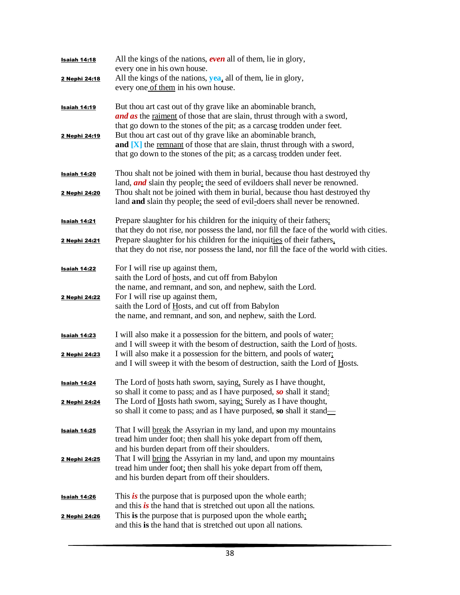| Isaiah 14:18        | All the kings of the nations, <b>even</b> all of them, lie in glory,                     |
|---------------------|------------------------------------------------------------------------------------------|
|                     | every one in his own house.                                                              |
| 2 Nephi 24:18       | All the kings of the nations, yea, all of them, lie in glory,                            |
|                     | every one of them in his own house.                                                      |
|                     |                                                                                          |
| <u>Isaiah 14:19</u> | But thou art cast out of thy grave like an abominable branch,                            |
|                     | <b>and as</b> the <u>raiment</u> of those that are slain, thrust through with a sword,   |
|                     | that go down to the stones of the pit; as a carcase trodden under feet.                  |
| 2 Nephi 24:19       | But thou art cast out of thy grave like an abominable branch,                            |
|                     | and [X] the remnant of those that are slain, thrust through with a sword,                |
|                     | that go down to the stones of the pit; as a carcass trodden under feet.                  |
| <b>Isaiah 14:20</b> | Thou shalt not be joined with them in burial, because thou hast destroyed thy            |
|                     | land, <i>and</i> slain thy people: the seed of evildoers shall never be renowned.        |
| 2 Nephi 24:20       | Thou shalt not be joined with them in burial, because thou hast destroyed thy            |
|                     | land and slain thy people; the seed of evil-doers shall never be renowned.               |
|                     |                                                                                          |
| <u>Isaiah 14:21</u> | Prepare slaughter for his children for the iniquity of their fathers;                    |
|                     | that they do not rise, nor possess the land, nor fill the face of the world with cities. |
| 2 Nephi 24:21       | Prepare slaughter for his children for the iniquities of their fathers,                  |
|                     | that they do not rise, nor possess the land, nor fill the face of the world with cities. |
| <b>Isaiah 14:22</b> | For I will rise up against them,                                                         |
|                     | saith the Lord of hosts, and cut off from Babylon                                        |
|                     | the name, and remnant, and son, and nephew, saith the Lord.                              |
| 2 Nephi 24:22       | For I will rise up against them,                                                         |
|                     | saith the Lord of Hosts, and cut off from Babylon                                        |
|                     | the name, and remnant, and son, and nephew, saith the Lord.                              |
|                     |                                                                                          |
| Isaiah 14:23        | I will also make it a possession for the bittern, and pools of water:                    |
|                     | and I will sweep it with the besom of destruction, saith the Lord of hosts.              |
| 2 Nephi 24:23       | I will also make it a possession for the bittern, and pools of water;                    |
|                     | and I will sweep it with the besom of destruction, saith the Lord of Hosts.              |
|                     |                                                                                          |
| Isaiah 14:24        | The Lord of hosts hath sworn, saying, Surely as I have thought,                          |
|                     | so shall it come to pass; and as I have purposed, so shall it stand:                     |
| 2 Nephi 24:24       | The Lord of Hosts hath sworn, saying: Surely as I have thought,                          |
|                     | so shall it come to pass; and as I have purposed, so shall it stand—                     |
| Isaiah 14:25        | That I will break the Assyrian in my land, and upon my mountains                         |
|                     | tread him under foot: then shall his yoke depart from off them,                          |
|                     | and his burden depart from off their shoulders.                                          |
| 2 Nephi 24:25       | That I will bring the Assyrian in my land, and upon my mountains                         |
|                     | tread him under foot; then shall his yoke depart from off them,                          |
|                     | and his burden depart from off their shoulders.                                          |
|                     |                                                                                          |
| <u>Isaiah 14:26</u> | This is the purpose that is purposed upon the whole earth:                               |
|                     | and this is the hand that is stretched out upon all the nations.                         |
| 2 Nephi 24:26       | This is the purpose that is purposed upon the whole earth;                               |
|                     | and this is the hand that is stretched out upon all nations.                             |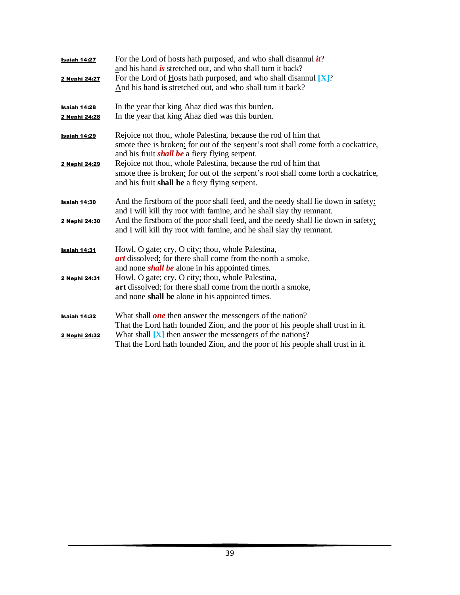| Isaiah 14:27        | For the Lord of hosts hath purposed, and who shall disannul $it$ ?<br>and his hand is stretched out, and who shall turn it back? |
|---------------------|----------------------------------------------------------------------------------------------------------------------------------|
| 2 Nephi 24:27       | For the Lord of Hosts hath purposed, and who shall disannul $[X]$ ?                                                              |
|                     | And his hand is stretched out, and who shall turn it back?                                                                       |
|                     |                                                                                                                                  |
| Isaiah 14:28        | In the year that king Ahaz died was this burden.                                                                                 |
| 2 Nephi 24:28       | In the year that king Ahaz died was this burden.                                                                                 |
| Isaiah 14:29        | Rejoice not thou, whole Palestina, because the rod of him that                                                                   |
|                     | smote thee is broken: for out of the serpent's root shall come forth a cockatrice,                                               |
|                     | and his fruit <i>shall be</i> a fiery flying serpent.                                                                            |
| 2 Nephi 24:29       | Rejoice not thou, whole Palestina, because the rod of him that                                                                   |
|                     | smote thee is broken; for out of the serpent's root shall come forth a cockatrice,                                               |
|                     | and his fruit shall be a fiery flying serpent.                                                                                   |
|                     |                                                                                                                                  |
| <b>Isaiah 14:30</b> | And the firstborn of the poor shall feed, and the needy shall lie down in safety:                                                |
|                     | and I will kill thy root with famine, and he shall slay thy remnant.                                                             |
| 2 Nephi 24:30       | And the firstborn of the poor shall feed, and the needy shall lie down in safety;                                                |
|                     | and I will kill thy root with famine, and he shall slay thy remnant.                                                             |
| <b>Isaiah 14:31</b> | Howl, O gate; cry, O city; thou, whole Palestina,                                                                                |
|                     | art dissolved: for there shall come from the north a smoke,                                                                      |
|                     | and none <i>shall be</i> alone in his appointed times.                                                                           |
| 2 Nephi 24:31       | Howl, O gate; cry, O city; thou, whole Palestina,                                                                                |
|                     | art dissolved; for there shall come from the north a smoke,                                                                      |
|                     | and none shall be alone in his appointed times.                                                                                  |
| Isaiah 14:32        | What shall <i>one</i> then answer the messengers of the nation?                                                                  |
|                     | That the Lord hath founded Zion, and the poor of his people shall trust in it.                                                   |
| 2 Nephi 24:32       | What shall $[X]$ then answer the messengers of the nations?                                                                      |
|                     | That the Lord hath founded Zion, and the poor of his people shall trust in it.                                                   |
|                     |                                                                                                                                  |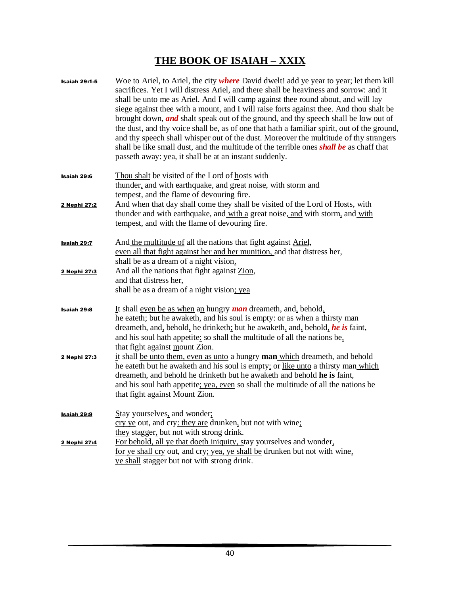## **THE BOOK OF ISAIAH – XXIX**

| <b>Isaiah 29:1-5</b> | Woe to Ariel, to Ariel, the city where David dwelt! add ye year to year; let them kill<br>sacrifices. Yet I will distress Ariel, and there shall be heaviness and sorrow: and it<br>shall be unto me as Ariel. And I will camp against thee round about, and will lay<br>siege against thee with a mount, and I will raise forts against thee. And thou shalt be<br>brought down, <i>and</i> shalt speak out of the ground, and thy speech shall be low out of<br>the dust, and thy voice shall be, as of one that hath a familiar spirit, out of the ground,<br>and thy speech shall whisper out of the dust. Moreover the multitude of thy strangers<br>shall be like small dust, and the multitude of the terrible ones <b>shall be</b> as chaff that<br>passeth away: yea, it shall be at an instant suddenly. |
|----------------------|--------------------------------------------------------------------------------------------------------------------------------------------------------------------------------------------------------------------------------------------------------------------------------------------------------------------------------------------------------------------------------------------------------------------------------------------------------------------------------------------------------------------------------------------------------------------------------------------------------------------------------------------------------------------------------------------------------------------------------------------------------------------------------------------------------------------|
| <b>Isaiah 29:6</b>   | Thou shalt be visited of the Lord of hosts with<br>thunder, and with earthquake, and great noise, with storm and<br>tempest, and the flame of devouring fire.                                                                                                                                                                                                                                                                                                                                                                                                                                                                                                                                                                                                                                                      |
| 2 Nephi 27:2         | And when that day shall come they shall be visited of the Lord of Hosts, with<br>thunder and with earthquake, and with a great noise, and with storm, and with<br>tempest, and with the flame of devouring fire.                                                                                                                                                                                                                                                                                                                                                                                                                                                                                                                                                                                                   |
| Isaiah 29:7          | And the multitude of all the nations that fight against Ariel,<br>even all that fight against her and her munition, and that distress her,<br>shall be as a dream of a night vision.                                                                                                                                                                                                                                                                                                                                                                                                                                                                                                                                                                                                                               |
| 2 Nephi 27:3         | And all the nations that fight against Zion,<br>and that distress her,<br>shall be as a dream of a night vision; yea                                                                                                                                                                                                                                                                                                                                                                                                                                                                                                                                                                                                                                                                                               |
| <b>Isaiah 29:8</b>   | It shall even be as when an hungry <i>man</i> dreameth, and, behold,<br>he eateth; but he awaketh, and his soul is empty: or as when a thirsty man<br>dreameth, and, behold, he drinketh; but he awaketh, and, behold, he is faint,<br>and his soul hath appetite: so shall the multitude of all the nations be,<br>that fight against mount Zion.                                                                                                                                                                                                                                                                                                                                                                                                                                                                 |
| 2 Nephi 27:3         | it shall be unto them, even as unto a hungry man which dreameth, and behold<br>he eateth but he awaketh and his soul is empty; or like unto a thirsty man which<br>dreameth, and behold he drinketh but he awaketh and behold he is faint,<br>and his soul hath appetite; yea, even so shall the multitude of all the nations be<br>that fight against Mount Zion.                                                                                                                                                                                                                                                                                                                                                                                                                                                 |
| Isaiah 29:9          | Stay yourselves, and wonder;<br>cry ye out, and cry: they are drunken, but not with wine;<br>they stagger, but not with strong drink.                                                                                                                                                                                                                                                                                                                                                                                                                                                                                                                                                                                                                                                                              |
| 2 Nephi 27:4         | For behold, all ye that doeth iniquity, stay yourselves and wonder,<br>for ye shall cry out, and cry; yea, ye shall be drunken but not with wine.<br>ye shall stagger but not with strong drink.                                                                                                                                                                                                                                                                                                                                                                                                                                                                                                                                                                                                                   |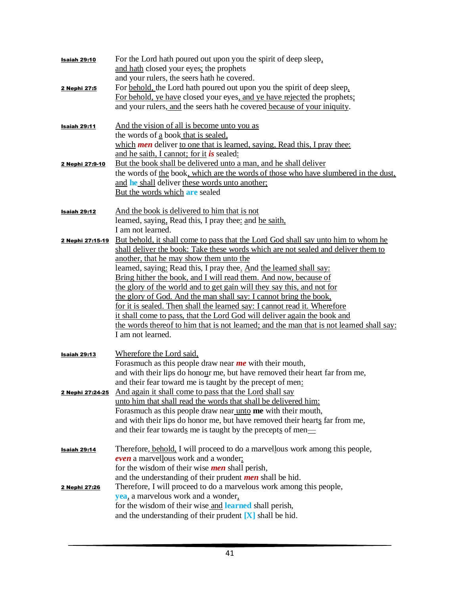| <b>Isaiah 29:10</b> | For the Lord hath poured out upon you the spirit of deep sleep,<br>and hath closed your eyes: the prophets<br>and your rulers, the seers hath he covered.                                                                                                                                                                                                                                                                                                                                                                                                                                                                                                                                                                                                                             |
|---------------------|---------------------------------------------------------------------------------------------------------------------------------------------------------------------------------------------------------------------------------------------------------------------------------------------------------------------------------------------------------------------------------------------------------------------------------------------------------------------------------------------------------------------------------------------------------------------------------------------------------------------------------------------------------------------------------------------------------------------------------------------------------------------------------------|
| 2 Nephi 27:5        | For behold, the Lord hath poured out upon you the spirit of deep sleep.<br>For behold, ye have closed your eyes, and ye have rejected the prophets;<br>and your rulers, and the seers hath he covered because of your iniquity.                                                                                                                                                                                                                                                                                                                                                                                                                                                                                                                                                       |
| Isaiah 29:11        | And the vision of all is become unto you as<br>the words of a book that is sealed,<br>which <b>men</b> deliver to one that is learned, saying, Read this, I pray thee:<br>and he saith, I cannot; for it is sealed:                                                                                                                                                                                                                                                                                                                                                                                                                                                                                                                                                                   |
| 2 Nephi 27:9-10     | But the book shall be delivered unto a man, and he shall deliver<br>the words of the book, which are the words of those who have slumbered in the dust,<br>and he shall deliver these words unto another;<br>But the words which are sealed                                                                                                                                                                                                                                                                                                                                                                                                                                                                                                                                           |
| Isaiah 29:12        | And the book is delivered to him that is not<br>learned, saying, Read this, I pray thee: and he saith,<br>I am not learned.                                                                                                                                                                                                                                                                                                                                                                                                                                                                                                                                                                                                                                                           |
| 2 Nephi 27:15-19    | But behold, it shall come to pass that the Lord God shall say unto him to whom he<br>shall deliver the book: Take these words which are not sealed and deliver them to<br>another, that he may show them unto the<br>learned, saying: Read this, I pray thee. And the learned shall say:<br>Bring hither the book, and I will read them. And now, because of<br>the glory of the world and to get gain will they say this, and not for<br>the glory of God. And the man shall say: I cannot bring the book,<br>for it is sealed. Then shall the learned say: I cannot read it. Wherefore<br>it shall come to pass, that the Lord God will deliver again the book and<br>the words thereof to him that is not learned; and the man that is not learned shall say:<br>I am not learned. |
| Isaiah 29:13        | Wherefore the Lord said,<br>Forasmuch as this people draw near me with their mouth,<br>and with their lips do honour me, but have removed their heart far from me,<br>and their fear toward me is taught by the precept of men:                                                                                                                                                                                                                                                                                                                                                                                                                                                                                                                                                       |
|                     | <b>2 Nephi 27:24-25</b> And again it shall come to pass that the Lord shall say<br>unto him that shall read the words that shall be delivered him:<br>Forasmuch as this people draw near unto me with their mouth,<br>and with their lips do honor me, but have removed their hearts far from me,<br>and their fear towards me is taught by the precepts of men—                                                                                                                                                                                                                                                                                                                                                                                                                      |
| <u>Isaiah 29:14</u> | Therefore, behold, I will proceed to do a marvellous work among this people,<br>even a marvellous work and a wonder.<br>for the wisdom of their wise <i>men</i> shall perish,<br>and the understanding of their prudent <i>men</i> shall be hid.                                                                                                                                                                                                                                                                                                                                                                                                                                                                                                                                      |
| 2 Nephi 27:26       | Therefore, I will proceed to do a marvelous work among this people,<br>yea, a marvelous work and a wonder,<br>for the wisdom of their wise and learned shall perish,<br>and the understanding of their prudent $[X]$ shall be hid.                                                                                                                                                                                                                                                                                                                                                                                                                                                                                                                                                    |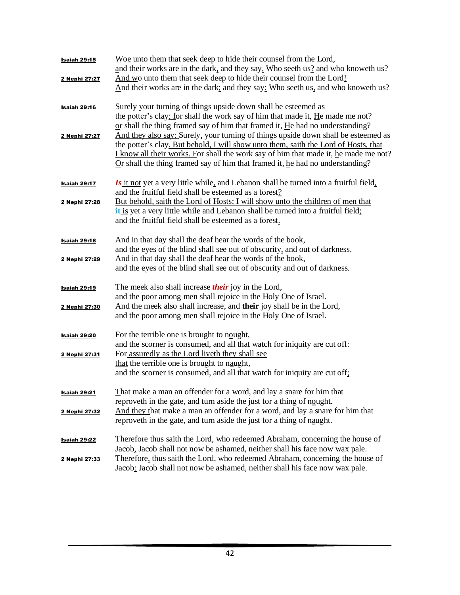| <b>Isaiah 29:15</b> | Woe unto them that seek deep to hide their counsel from the Lord,<br>and their works are in the dark, and they say. Who seeth us? and who knoweth us?                                                                                                                                                                                               |
|---------------------|-----------------------------------------------------------------------------------------------------------------------------------------------------------------------------------------------------------------------------------------------------------------------------------------------------------------------------------------------------|
| 2 Nephi 27:27       | And wo unto them that seek deep to hide their counsel from the Lord!<br>And their works are in the dark; and they say: Who seeth us, and who knoweth us?                                                                                                                                                                                            |
| <b>Isaiah 29:16</b> | Surely your turning of things upside down shall be esteemed as<br>the potter's clay: for shall the work say of him that made it, He made me not?<br>or shall the thing framed say of him that framed it, $He$ had no understanding?                                                                                                                 |
| 2 Nephi 27:27       | And they also say: Surely, your turning of things upside down shall be esteemed as<br>the potter's clay. But behold, I will show unto them, saith the Lord of Hosts, that<br>I know all their works. For shall the work say of him that made it, he made me not?<br>$Qr$ shall the thing framed say of him that framed it, he had no understanding? |
| Isaiah 29:17        | Is it not yet a very little while, and Lebanon shall be turned into a fruitful field,<br>and the fruitful field shall be esteemed as a forest?                                                                                                                                                                                                      |
| 2 Nephi 27:28       | But behold, saith the Lord of Hosts: I will show unto the children of men that<br>it is yet a very little while and Lebanon shall be turned into a fruitful field;<br>and the fruitful field shall be esteemed as a forest.                                                                                                                         |
| Isaiah 29:18        | And in that day shall the deaf hear the words of the book,<br>and the eyes of the blind shall see out of obscurity, and out of darkness.                                                                                                                                                                                                            |
| 2 Nephi 27:29       | And in that day shall the deaf hear the words of the book,<br>and the eyes of the blind shall see out of obscurity and out of darkness.                                                                                                                                                                                                             |
| Isaiah 29:19        | The meek also shall increase <i>their</i> joy in the Lord,<br>and the poor among men shall rejoice in the Holy One of Israel.                                                                                                                                                                                                                       |
| 2 Nephi 27:30       | And the meek also shall increase, and their joy shall be in the Lord,<br>and the poor among men shall rejoice in the Holy One of Israel.                                                                                                                                                                                                            |
| <b>Isaiah 29:20</b> | For the terrible one is brought to nought,<br>and the scorner is consumed, and all that watch for iniquity are cut off:                                                                                                                                                                                                                             |
| 2 Nephi 27:31       | For assuredly as the Lord liveth they shall see<br>that the terrible one is brought to naught,<br>and the scorner is consumed, and all that watch for iniquity are cut off;                                                                                                                                                                         |
| <u>Isaiah 29:21</u> | That make a man an offender for a word, and lay a snare for him that<br>reprove th in the gate, and turn aside the just for a thing of nought.                                                                                                                                                                                                      |
| 2 Nephi 27:32       | And they that make a man an offender for a word, and lay a snare for him that<br>reprove th in the gate, and turn aside the just for a thing of naught.                                                                                                                                                                                             |
| <b>Isaiah 29:22</b> | Therefore thus saith the Lord, who redeemed Abraham, concerning the house of<br>Jacob, Jacob shall not now be ashamed, neither shall his face now wax pale.                                                                                                                                                                                         |
| 2 Nephi 27:33       | Therefore, thus saith the Lord, who redeemed Abraham, concerning the house of<br>Jacob: Jacob shall not now be ashamed, neither shall his face now wax pale.                                                                                                                                                                                        |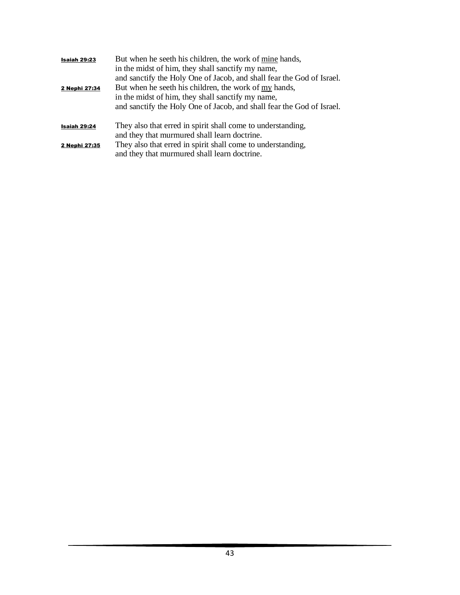| Isaiah 29:23<br>2 Nephi 27:34 | But when he seeth his children, the work of mine hands,<br>in the midst of him, they shall sanctify my name,<br>and sanctify the Holy One of Jacob, and shall fear the God of Israel.<br>But when he seeth his children, the work of my hands,<br>in the midst of him, they shall sanctify my name,<br>and sanctify the Holy One of Jacob, and shall fear the God of Israel. |
|-------------------------------|------------------------------------------------------------------------------------------------------------------------------------------------------------------------------------------------------------------------------------------------------------------------------------------------------------------------------------------------------------------------------|
| Isaiah 29:24                  | They also that erred in spirit shall come to understanding,<br>and they that murmured shall learn doctrine.                                                                                                                                                                                                                                                                  |
| 2 Nephi 27:35                 | They also that erred in spirit shall come to understanding,<br>and they that murmured shall learn doctrine.                                                                                                                                                                                                                                                                  |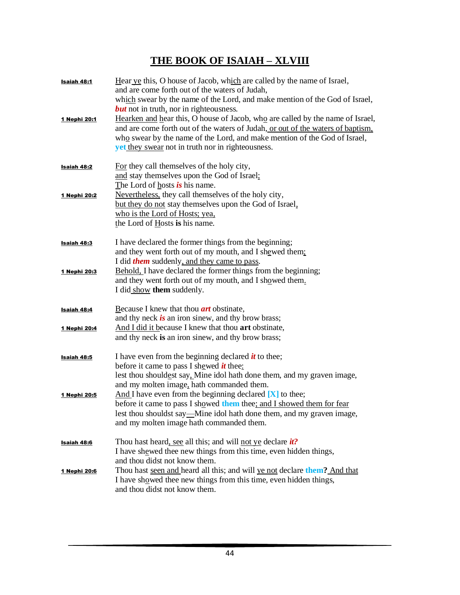#### **THE BOOK OF ISAIAH – XLVIII**

| Isaiah 48:1<br>1 Nephi 20:1        | Hear ye this, O house of Jacob, which are called by the name of Israel,<br>and are come forth out of the waters of Judah,<br>which swear by the name of the Lord, and make mention of the God of Israel,<br><b>but</b> not in truth, nor in righteousness.<br>Hearken and hear this, O house of Jacob, who are called by the name of Israel,<br>and are come forth out of the waters of Judah, or out of the waters of baptism,<br>who swear by the name of the Lord, and make mention of the God of Israel,<br><b>yet</b> they swear not in truth nor in righteousness. |
|------------------------------------|--------------------------------------------------------------------------------------------------------------------------------------------------------------------------------------------------------------------------------------------------------------------------------------------------------------------------------------------------------------------------------------------------------------------------------------------------------------------------------------------------------------------------------------------------------------------------|
| <b>Isaiah 48:2</b>                 | For they call themselves of the holy city,<br>and stay themselves upon the God of Israel;<br>The Lord of hosts is his name.                                                                                                                                                                                                                                                                                                                                                                                                                                              |
| 1 Nephi 20:2                       | Nevertheless, they call themselves of the holy city,<br>but they do not stay themselves upon the God of Israel,<br>who is the Lord of Hosts; yea,<br>the Lord of Hosts is his name.                                                                                                                                                                                                                                                                                                                                                                                      |
| <b>Isaiah 48:3</b><br>1 Nephi 20:3 | I have declared the former things from the beginning;<br>and they went forth out of my mouth, and I shewed them;<br>I did <i>them</i> suddenly, and they came to pass.<br>Behold, I have declared the former things from the beginning;                                                                                                                                                                                                                                                                                                                                  |
|                                    | and they went forth out of my mouth, and I showed them.<br>I did show them suddenly.                                                                                                                                                                                                                                                                                                                                                                                                                                                                                     |
| Isaiah 48:4                        | Because I knew that thou <b>art</b> obstinate,<br>and thy neck is an iron sinew, and thy brow brass;                                                                                                                                                                                                                                                                                                                                                                                                                                                                     |
| 1 Nephi 20:4                       | And I did it because I knew that thou art obstinate,<br>and thy neck is an iron sinew, and thy brow brass;                                                                                                                                                                                                                                                                                                                                                                                                                                                               |
| <b>Isaiah 48:5</b>                 | I have even from the beginning declared $\dot{u}$ to thee;<br>before it came to pass I shewed <i>it</i> thee:<br>lest thou shouldest say. Mine idol hath done them, and my graven image,                                                                                                                                                                                                                                                                                                                                                                                 |
| 1 Nephi 20:5                       | and my molten image, hath commanded them.<br>And I have even from the beginning declared $[X]$ to thee;<br>before it came to pass I showed them thee; and I showed them for fear<br>lest thou shouldst say—Mine idol hath done them, and my graven image,<br>and my molten image hath commanded them.                                                                                                                                                                                                                                                                    |
| Isaiah 48:6                        | Thou hast heard, see all this; and will not ye declare <i>it?</i><br>I have shewed thee new things from this time, even hidden things,                                                                                                                                                                                                                                                                                                                                                                                                                                   |
| 1 Nephi 20:6                       | and thou didst not know them.<br>Thou hast seen and heard all this; and will ye not declare them? And that<br>I have showed thee new things from this time, even hidden things,<br>and thou didst not know them.                                                                                                                                                                                                                                                                                                                                                         |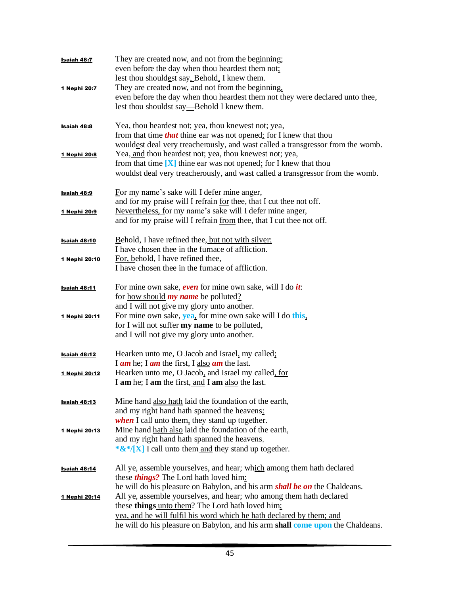| <b>Isaiah 48:7</b>   | They are created now, and not from the beginning;<br>even before the day when thou heardest them not:<br>lest thou shouldest say, Behold, I knew them.                                                                                                                            |
|----------------------|-----------------------------------------------------------------------------------------------------------------------------------------------------------------------------------------------------------------------------------------------------------------------------------|
| 1 Nephi 20:7         | They are created now, and not from the beginning,<br>even before the day when thou heardest them not they were declared unto thee,<br>lest thou shouldst say—Behold I knew them.                                                                                                  |
| <b>Isaiah 48:8</b>   | Yea, thou heardest not; yea, thou knewest not; yea,<br>from that time <i>that</i> thine ear was not opened: for I knew that thou<br>wouldest deal very treacherously, and wast called a transgressor from the womb.                                                               |
| 1 Nephi 20:8         | Yea, and thou heardest not; yea, thou knewest not; yea,<br>from that time $[X]$ thine ear was not opened; for I knew that thou<br>wouldst deal very treacherously, and wast called a transgressor from the womb.                                                                  |
| <b>Isaiah 48:9</b>   | For my name's sake will I defer mine anger,<br>and for my praise will I refrain for thee, that I cut thee not off.                                                                                                                                                                |
| 1 Nephi 20:9         | Nevertheless, for my name's sake will I defer mine anger,<br>and for my praise will I refrain from thee, that I cut thee not off.                                                                                                                                                 |
| <u>Isaiah 48:10</u>  | Behold, I have refined thee, but not with silver;<br>I have chosen thee in the furnace of affliction.                                                                                                                                                                             |
| 1 Nephi 20:10        | For, behold, I have refined thee,<br>I have chosen thee in the furnace of affliction.                                                                                                                                                                                             |
| <b>Isaiah 48:11</b>  | For mine own sake, even for mine own sake, will I do it:<br>for <u>how should</u> <b>my name</b> be polluted?<br>and I will not give my glory unto another.                                                                                                                       |
| 1 Nephi 20:11        | For mine own sake, yea, for mine own sake will I do this,<br>for <u>I will not suffer</u> my name to be polluted,<br>and I will not give my glory unto another.                                                                                                                   |
| <b>Isaiah 48:12</b>  | Hearken unto me, O Jacob and Israel, my called;<br>I am he; I am the first, I also am the last.                                                                                                                                                                                   |
| <u>1 Nephi 20:12</u> | Hearken unto me, O Jacob, and Israel my called, for<br>I am he; I am the first, and I am also the last.                                                                                                                                                                           |
| <b>Isaiah 48:13</b>  | Mine hand also hath laid the foundation of the earth,<br>and my right hand hath spanned the heavens:<br>when I call unto them, they stand up together.                                                                                                                            |
| 1 Nephi 20:13        | Mine hand hath also laid the foundation of the earth,<br>and my right hand hath spanned the heavens.<br>* $\&$ */[X] I call unto them and they stand up together.                                                                                                                 |
| Isaiah 48:14         | All ye, assemble yourselves, and hear; which among them hath declared<br>these <i>things</i> ? The Lord hath loved him:<br>he will do his pleasure on Babylon, and his arm <i>shall be on</i> the Chaldeans.                                                                      |
| 1 Nephi 20:14        | All ye, assemble yourselves, and hear; who among them hath declared<br>these things unto them? The Lord hath loved him;<br>yea, and he will fulfil his word which he hath declared by them; and<br>he will do his pleasure on Babylon, and his arm shall come upon the Chaldeans. |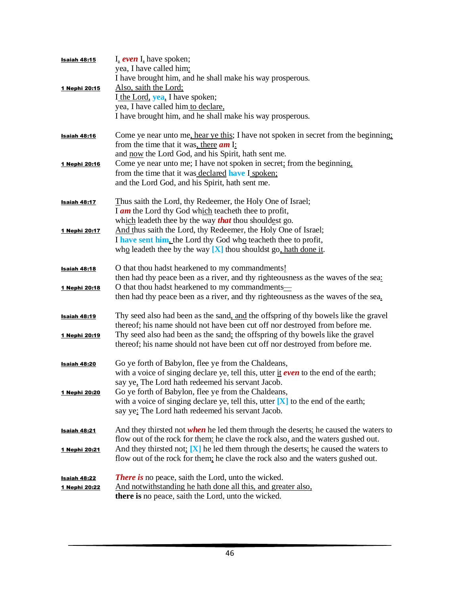| Isaiah 48:15         | I, even I, have spoken;<br>yea, I have called him:                                    |
|----------------------|---------------------------------------------------------------------------------------|
|                      | I have brought him, and he shall make his way prosperous.                             |
| 1 Nephi 20:15        | Also, saith the Lord;                                                                 |
|                      | I the Lord, yea, I have spoken;                                                       |
|                      | yea, I have called him to declare,                                                    |
|                      | I have brought him, and he shall make his way prosperous.                             |
| <u>Isaiah 48:16</u>  | Come ye near unto me, hear ye this; I have not spoken in secret from the beginning;   |
|                      | from the time that it was, there $am \, I$ :                                          |
|                      | and now the Lord God, and his Spirit, hath sent me.                                   |
| 1 Nephi 20:16        | Come ye near unto me; I have not spoken in secret; from the beginning,                |
|                      | from the time that it was declared have I spoken;                                     |
|                      | and the Lord God, and his Spirit, hath sent me.                                       |
| <b>Isaiah 48:17</b>  | Thus saith the Lord, thy Redeemer, the Holy One of Israel;                            |
|                      | I $am$ the Lord thy God which teacher the to profit,                                  |
|                      | which leadeth thee by the way <b>that</b> thou shouldest go.                          |
| 1 Nephi 20:17        | And thus saith the Lord, thy Redeemer, the Holy One of Israel;                        |
|                      | I have sent him, the Lord thy God who teacheth thee to profit,                        |
|                      | who leadeth thee by the way $[X]$ thou shouldst go, hath done it.                     |
| <u>Isaiah 48:18</u>  | O that thou hadst hearkened to my commandments!                                       |
|                      | then had thy peace been as a river, and thy righteousness as the waves of the sea:    |
| 1 Nephi 20:18        | O that thou hadst hearkened to my commandments—                                       |
|                      | then had thy peace been as a river, and thy righteousness as the waves of the sea.    |
| <u>Isaiah 48:19</u>  | Thy seed also had been as the sand, and the offspring of thy bowels like the gravel   |
|                      | thereof; his name should not have been cut off nor destroyed from before me.          |
| 1 Nephi 20:19        | Thy seed also had been as the sand; the offspring of thy bowels like the gravel       |
|                      | thereof; his name should not have been cut off nor destroyed from before me.          |
| <b>Isaiah 48:20</b>  | Go ye forth of Babylon, flee ye from the Chaldeans,                                   |
|                      | with a voice of singing declare ye, tell this, utter it even to the end of the earth; |
|                      | say ye, The Lord hath redeemed his servant Jacob.                                     |
| 1 Nephi 20:20        | Go ye forth of Babylon, flee ye from the Chaldeans,                                   |
|                      | with a voice of singing declare ye, tell this, utter $[X]$ to the end of the earth;   |
|                      | say ye: The Lord hath redeemed his servant Jacob.                                     |
| Isaiah 48:21         | And they thirsted not when he led them through the deserts: he caused the waters to   |
|                      | flow out of the rock for them: he clave the rock also, and the waters gushed out.     |
| 1 Nephi 20:21        | And they thirsted not: $[X]$ he led them through the deserts; he caused the waters to |
|                      | flow out of the rock for them; he clave the rock also and the waters gushed out.      |
| <b>Isaiah 48:22</b>  | <b>There is</b> no peace, saith the Lord, unto the wicked.                            |
| <u>1 Nephi 20:22</u> | And notwithstanding he hath done all this, and greater also,                          |
|                      | there is no peace, saith the Lord, unto the wicked.                                   |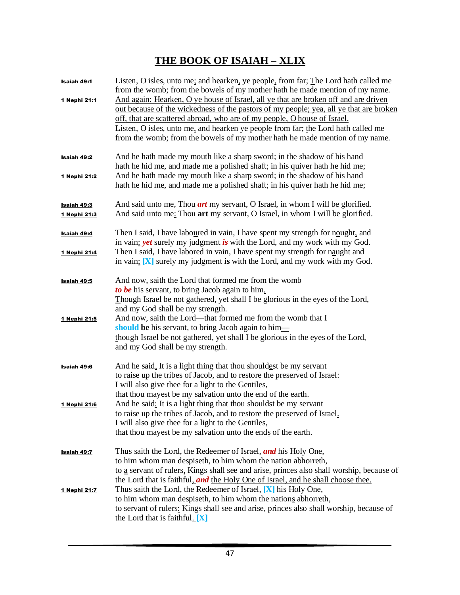# **THE BOOK OF ISAIAH – XLIX**

| <u>Isaiah 49:1</u>                 | Listen, O isles, unto me; and hearken, ye people, from far; The Lord hath called me<br>from the womb; from the bowels of my mother hath he made mention of my name.                                                                                                                                                                                                                                                            |
|------------------------------------|--------------------------------------------------------------------------------------------------------------------------------------------------------------------------------------------------------------------------------------------------------------------------------------------------------------------------------------------------------------------------------------------------------------------------------|
| 1 Nephi 21:1                       | And again: Hearken, O ye house of Israel, all ye that are broken off and are driven<br>out because of the wickedness of the pastors of my people; yea, all ye that are broken<br>off, that are scattered abroad, who are of my people, O house of Israel.<br>Listen, O isles, unto me, and hearken ye people from far; the Lord hath called me<br>from the womb; from the bowels of my mother hath he made mention of my name. |
| Isaiah 49:2                        | And he hath made my mouth like a sharp sword; in the shadow of his hand<br>hath he hid me, and made me a polished shaft; in his quiver hath he hid me;                                                                                                                                                                                                                                                                         |
| 1 Nephi 21:2                       | And he hath made my mouth like a sharp sword; in the shadow of his hand<br>hath he hid me, and made me a polished shaft; in his quiver hath he hid me;                                                                                                                                                                                                                                                                         |
| <u>Isaiah 49:3</u><br>1 Nephi 21:3 | And said unto me, Thou <i>art</i> my servant, O Israel, in whom I will be glorified.<br>And said unto me: Thou art my servant, O Israel, in whom I will be glorified.                                                                                                                                                                                                                                                          |
| <u>Isaiah 49:4</u>                 | Then I said, I have laboured in vain, I have spent my strength for nought, and<br>in vain: <i>yet</i> surely my judgment is with the Lord, and my work with my God.                                                                                                                                                                                                                                                            |
| 1 Nephi 21:4                       | Then I said, I have labored in vain, I have spent my strength for naught and<br>in vain; $[X]$ surely my judgment is with the Lord, and my work with my God.                                                                                                                                                                                                                                                                   |
| Isaiah 49:5                        | And now, saith the Lord that formed me from the womb<br>to be his servant, to bring Jacob again to him,<br>Though Israel be not gathered, yet shall I be glorious in the eyes of the Lord,<br>and my God shall be my strength.                                                                                                                                                                                                 |
| 1 Nephi 21:5                       | And now, saith the Lord—that formed me from the womb that I<br>should be his servant, to bring Jacob again to him-<br>though Israel be not gathered, yet shall I be glorious in the eyes of the Lord,<br>and my God shall be my strength.                                                                                                                                                                                      |
| Isaiah 49:6                        | And he said, It is a light thing that thou shouldest be my servant<br>to raise up the tribes of Jacob, and to restore the preserved of Israel:<br>I will also give thee for a light to the Gentiles,<br>that thou may est be my salvation unto the end of the earth.                                                                                                                                                           |
| <u>1 Nephi 21:6</u>                | And he said: It is a light thing that thou shouldst be my servant<br>to raise up the tribes of Jacob, and to restore the preserved of Israel.<br>I will also give thee for a light to the Gentiles,<br>that thou may est be my salvation unto the ends of the earth.                                                                                                                                                           |
| <u>Isaiah 49:7</u>                 | Thus saith the Lord, the Redeemer of Israel, and his Holy One,<br>to him whom man despiseth, to him whom the nation abhorreth,<br>to a servant of rulers, Kings shall see and arise, princes also shall worship, because of<br>the Lord that is faithful, and the Holy One of Israel, and he shall choose thee.                                                                                                                |
| <u>1 Nephi 21:7</u>                | Thus saith the Lord, the Redeemer of Israel, $[X]$ his Holy One,<br>to him whom man despiseth, to him whom the nations abhorreth,<br>to servant of rulers: Kings shall see and arise, princes also shall worship, because of<br>the Lord that is faithful. $[X]$                                                                                                                                                               |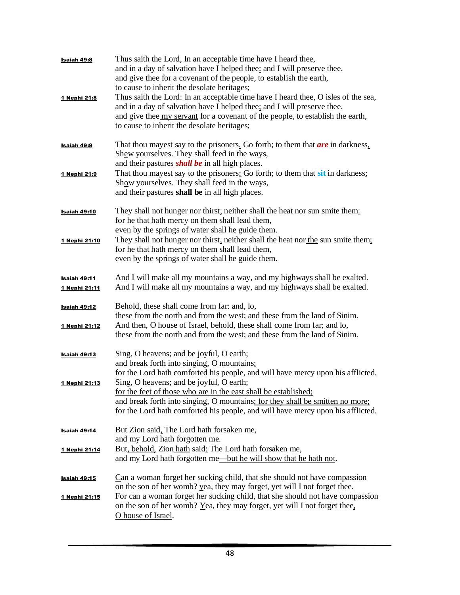| <b>Isaiah 49:8</b><br>1 Nephi 21:8   | Thus saith the Lord, In an acceptable time have I heard thee,<br>and in a day of salvation have I helped thee: and I will preserve thee,<br>and give thee for a covenant of the people, to establish the earth,<br>to cause to inherit the desolate heritages;<br>Thus saith the Lord: In an acceptable time have I heard thee, O isles of the sea, |
|--------------------------------------|-----------------------------------------------------------------------------------------------------------------------------------------------------------------------------------------------------------------------------------------------------------------------------------------------------------------------------------------------------|
|                                      | and in a day of salvation have I helped thee; and I will preserve thee,<br>and give thee <u>my servant</u> for a covenant of the people, to establish the earth,<br>to cause to inherit the desolate heritages;                                                                                                                                     |
| <b>Isaiah 49:9</b>                   | That thou may est say to the prisoners. Go forth; to them that <b>are</b> in darkness.<br>Shew yourselves. They shall feed in the ways,<br>and their pastures <i>shall be</i> in all high places.                                                                                                                                                   |
| 1 Nephi 21:9                         | That thou mayest say to the prisoners: Go forth; to them that sit in darkness:<br>Show yourselves. They shall feed in the ways,<br>and their pastures shall be in all high places.                                                                                                                                                                  |
| <b>Isaiah 49:10</b>                  | They shall not hunger nor thirst; neither shall the heat nor sun smite them:<br>for he that hath mercy on them shall lead them,<br>even by the springs of water shall he guide them.                                                                                                                                                                |
| 1 Nephi 21:10                        | They shall not hunger nor thirst, neither shall the heat nor the sun smite them;<br>for he that hath mercy on them shall lead them,<br>even by the springs of water shall he guide them.                                                                                                                                                            |
| <u>Isaiah 49:11</u><br>1 Nephi 21:11 | And I will make all my mountains a way, and my highways shall be exalted.<br>And I will make all my mountains a way, and my highways shall be exalted.                                                                                                                                                                                              |
| Isaiah 49:12<br>1 Nephi 21:12        | Behold, these shall come from far and, lo,<br>these from the north and from the west; and these from the land of Sinim.<br>And then, O house of Israel, behold, these shall come from far, and lo,                                                                                                                                                  |
|                                      | these from the north and from the west; and these from the land of Sinim.                                                                                                                                                                                                                                                                           |
| <b>Isaiah 49:13</b>                  | Sing, O heavens; and be joyful, O earth;<br>and break forth into singing, O mountains:<br>for the Lord hath comforted his people, and will have mercy upon his afflicted.                                                                                                                                                                           |
| <u>1 Nephi 21:13</u>                 | Sing, O heavens; and be joyful, O earth;<br>for the feet of those who are in the east shall be established;<br>and break forth into singing, O mountains; for they shall be smitten no more;<br>for the Lord hath comforted his people, and will have mercy upon his afflicted.                                                                     |
| Isaiah 49:14                         | But Zion said, The Lord hath forsaken me,<br>and my Lord hath forgotten me.                                                                                                                                                                                                                                                                         |
| 1 Nephi 21:14                        | But, behold, Zion hath said: The Lord hath forsaken me,<br>and my Lord hath forgotten me-but he will show that he hath not.                                                                                                                                                                                                                         |
| Isaiah 49:15                         | Can a woman forget her sucking child, that she should not have compassion<br>on the son of her womb? yea, they may forget, yet will I not forget thee.                                                                                                                                                                                              |
| 1 Nephi 21:15                        | For can a woman forget her sucking child, that she should not have compassion<br>on the son of her womb? Yea, they may forget, yet will I not forget thee.<br>O house of Israel.                                                                                                                                                                    |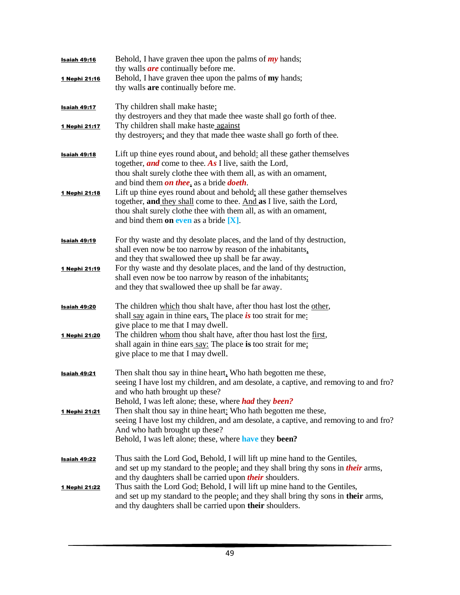| Isaiah 49:16        | Behold, I have graven thee upon the palms of $my$ hands;                                  |
|---------------------|-------------------------------------------------------------------------------------------|
|                     | thy walls <i>are</i> continually before me.                                               |
| 1 Nephi 21:16       | Behold, I have graven thee upon the palms of my hands;                                    |
|                     | thy walls are continually before me.                                                      |
| <b>Isaiah 49:17</b> | Thy children shall make haste;                                                            |
|                     | thy destroyers and they that made thee waste shall go forth of thee.                      |
| 1 Nephi 21:17       | Thy children shall make haste against                                                     |
|                     | thy destroyers; and they that made thee waste shall go forth of thee.                     |
| Isaiah 49:18        | Lift up thine eyes round about, and behold: all these gather themselves                   |
|                     | together, and come to thee. As I live, saith the Lord,                                    |
|                     | thou shalt surely clothe thee with them all, as with an ornament,                         |
|                     | and bind them on thee, as a bride doeth.                                                  |
| 1 Nephi 21:18       | Lift up thine eyes round about and behold: all these gather themselves                    |
|                     | together, and they shall come to thee. And as I live, saith the Lord,                     |
|                     | thou shalt surely clothe thee with them all, as with an ornament,                         |
|                     | and bind them on even as a bride $[X]$ .                                                  |
|                     | For thy waste and thy desolate places, and the land of thy destruction,                   |
| <u>Isaiah 49:19</u> | shall even now be too narrow by reason of the inhabitants,                                |
|                     | and they that swallowed thee up shall be far away.                                        |
| 1 Nephi 21:19       | For thy waste and thy desolate places, and the land of thy destruction,                   |
|                     | shall even now be too narrow by reason of the inhabitants;                                |
|                     | and they that swallowed thee up shall be far away.                                        |
|                     | The children which thou shalt have, after thou hast lost the other,                       |
| <b>Isaiah 49:20</b> | shall say again in thine ears. The place is too strait for me:                            |
|                     | give place to me that I may dwell.                                                        |
| 1 Nephi 21:20       | The children whom thou shalt have, after thou hast lost the first,                        |
|                     | shall again in thine ears say: The place is too strait for me;                            |
|                     | give place to me that I may dwell.                                                        |
|                     |                                                                                           |
| <b>Isaiah 49:21</b> | Then shalt thou say in thine heart, Who hath begotten me these,                           |
|                     | seeing I have lost my children, and am desolate, a captive, and removing to and fro?      |
|                     | and who hath brought up these?                                                            |
|                     | Behold, I was left alone; these, where <i>had</i> they <i>been?</i>                       |
| 1 Nephi 21:21       | Then shalt thou say in thine heart: Who hath begotten me these,                           |
|                     | seeing I have lost my children, and am desolate, a captive, and removing to and fro?      |
|                     | And who hath brought up these?                                                            |
|                     | Behold, I was left alone; these, where have they been?                                    |
| <u>Isaiah 49:22</u> | Thus saith the Lord God, Behold, I will lift up mine hand to the Gentiles,                |
|                     | and set up my standard to the people: and they shall bring thy sons in <i>their</i> arms, |
|                     | and thy daughters shall be carried upon their shoulders.                                  |
| 1 Nephi 21:22       | Thus saith the Lord God: Behold, I will lift up mine hand to the Gentiles,                |
|                     | and set up my standard to the people; and they shall bring thy sons in their arms,        |
|                     | and thy daughters shall be carried upon their shoulders.                                  |
|                     |                                                                                           |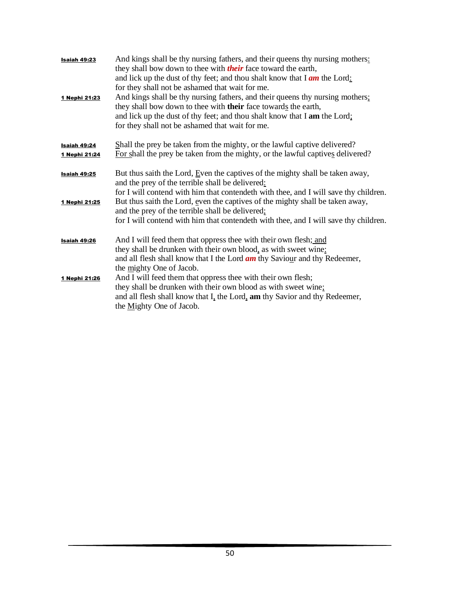| Isaiah 49:23<br>1 Nephi 21:23        | And kings shall be thy nursing fathers, and their queens thy nursing mothers:<br>they shall bow down to thee with <i>their</i> face toward the earth,<br>and lick up the dust of thy feet; and thou shalt know that $\text{I}$ am the Lord:<br>for they shall not be ashamed that wait for me.<br>And kings shall be thy nursing fathers, and their queens thy nursing mothers;<br>they shall bow down to thee with their face towards the earth,<br>and lick up the dust of thy feet; and thou shalt know that I am the Lord;<br>for they shall not be ashamed that wait for me. |
|--------------------------------------|-----------------------------------------------------------------------------------------------------------------------------------------------------------------------------------------------------------------------------------------------------------------------------------------------------------------------------------------------------------------------------------------------------------------------------------------------------------------------------------------------------------------------------------------------------------------------------------|
| <b>Isaiah 49:24</b><br>1 Nephi 21:24 | Shall the prey be taken from the mighty, or the lawful captive delivered?<br>For shall the prey be taken from the mighty, or the lawful captives delivered?                                                                                                                                                                                                                                                                                                                                                                                                                       |
| Isaiah 49:25                         | But thus saith the Lord, Even the captives of the mighty shall be taken away,<br>and the prey of the terrible shall be delivered:                                                                                                                                                                                                                                                                                                                                                                                                                                                 |
| 1 Nephi 21:25                        | for I will contend with him that contendeth with thee, and I will save thy children.<br>But thus saith the Lord, even the captives of the mighty shall be taken away,<br>and the prey of the terrible shall be delivered;<br>for I will contend with him that contendeth with thee, and I will save thy children.                                                                                                                                                                                                                                                                 |
| Isaiah 49:26                         | And I will feed them that oppress thee with their own flesh; and<br>they shall be drunken with their own blood, as with sweet wine:<br>and all flesh shall know that I the Lord <i>am</i> thy Saviour and thy Redeemer,<br>the mighty One of Jacob.                                                                                                                                                                                                                                                                                                                               |
| 1 Nephi 21:26                        | And I will feed them that oppress thee with their own flesh;<br>they shall be drunken with their own blood as with sweet wine;<br>and all flesh shall know that I, the Lord, am thy Savior and thy Redeemer,<br>the Mighty One of Jacob.                                                                                                                                                                                                                                                                                                                                          |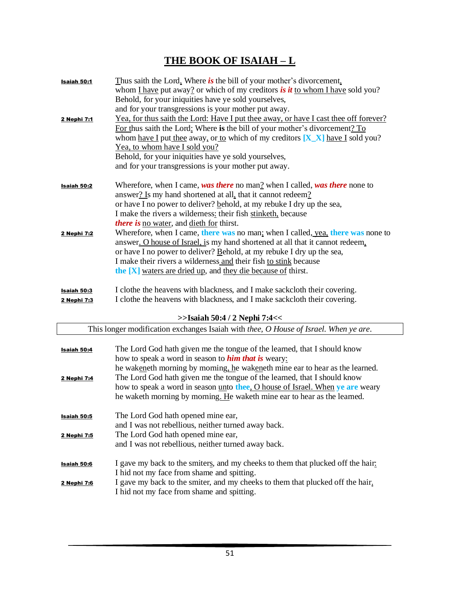# **THE BOOK OF ISAIAH – L**

| Isaiah 50:1        | Thus saith the Lord, Where is the bill of your mother's divorcement,                   |
|--------------------|----------------------------------------------------------------------------------------|
|                    | whom I have put away? or which of my creditors is it to whom I have sold you?          |
|                    | Behold, for your iniquities have ye sold yourselves,                                   |
|                    | and for your transgressions is your mother put away.                                   |
| 2 Nephi 7:1        | Yea, for thus saith the Lord: Have I put thee away, or have I cast thee off forever?   |
|                    | For thus saith the Lord: Where is the bill of your mother's divorcement? To            |
|                    | whom <u>have I</u> put thee away, or to which of my creditors $[X_X]$ have I sold you? |
|                    | Yea, to whom have I sold you?<br>Behold, for your iniquities have ye sold yourselves,  |
|                    | and for your transgressions is your mother put away.                                   |
|                    |                                                                                        |
| <b>Isaiah 50:2</b> | Wherefore, when I came, was there no man? when I called, was there none to             |
|                    | answer? Is my hand shortened at all, that it cannot redeem?                            |
|                    | or have I no power to deliver? behold, at my rebuke I dry up the sea,                  |
|                    | I make the rivers a wilderness: their fish stinketh, because                           |
|                    | <i>there is no water, and dieth for thirst.</i>                                        |
| 2 Nephi 7:2        | Wherefore, when I came, there was no man; when I called, yea, there was none to        |
|                    | answer. O house of Israel, is my hand shortened at all that it cannot redeem,          |
|                    | or have I no power to deliver? Behold, at my rebuke I dry up the sea,                  |
|                    | I make their rivers a wilderness and their fish to stink because                       |
|                    | the [X] waters are dried up, and they die because of thirst.                           |
| <u>Isaiah 50:3</u> | I clothe the heavens with blackness, and I make sackcloth their covering.              |
| 2 Nephi 7:3        | I clothe the heavens with blackness, and I make sackcloth their covering.              |
|                    |                                                                                        |
|                    | $>>$ Isaiah 50:4 / 2 Nephi 7:4<<                                                       |
|                    | This longer modification exchanges Isaiah with thee, O House of Israel. When ye are.   |
| <b>Isaiah 50:4</b> | The Lord God hath given me the tongue of the learned, that I should know               |
|                    | how to speak a word in season to <b>him that is</b> weary:                             |
|                    | he wakeneth morning by morning, he wakeneth mine ear to hear as the learned.           |
| 2 Nephi 7:4        | The Lord God hath given me the tongue of the learned, that I should know               |
|                    | how to speak a word in season unto thee, O house of Israel. When ye are weary          |
|                    | he waketh morning by morning. He waketh mine ear to hear as the learned.               |
|                    |                                                                                        |
| <u>Isaiah 50:5</u> | The Lord God hath opened mine ear,                                                     |
|                    | and I was not rebellious, neither turned away back.                                    |
| 2 Nephi 7:5        | The Lord God hath opened mine ear,                                                     |
|                    | and I was not rebellious, neither turned away back.                                    |
| Isaiah 50:6        | I gave my back to the smiters, and my cheeks to them that plucked off the hair:        |
|                    | I hid not my face from shame and spitting.                                             |
| 2 Nephi 7:6        | I gave my back to the smiter, and my cheeks to them that plucked off the hair.         |
|                    | I hid not my face from shame and spitting.                                             |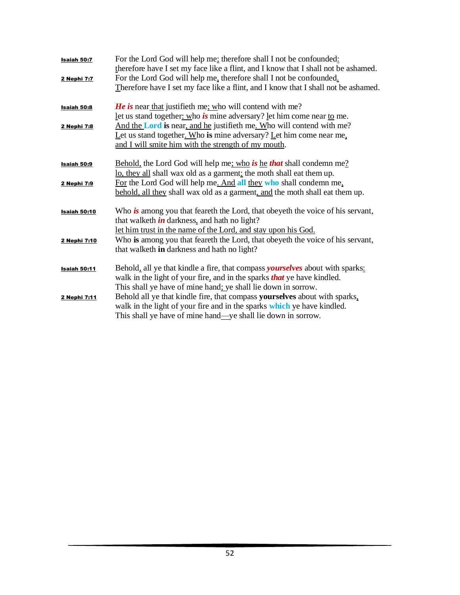| Isaiah 50:7         | For the Lord God will help me; therefore shall I not be confounded:<br>therefore have I set my face like a flint, and I know that I shall not be ashamed.                                                                        |
|---------------------|----------------------------------------------------------------------------------------------------------------------------------------------------------------------------------------------------------------------------------|
| 2 Nephi 7:7         | For the Lord God will help me, therefore shall I not be confounded.<br>Therefore have I set my face like a flint, and I know that I shall not be ashamed.                                                                        |
| Isaiah 50:8         | <b>He is near that justifieth me; who will contend with me?</b><br>let us stand together: who is mine adversary? let him come near to me.                                                                                        |
| 2 Nephi 7:8         | And the <b>Lord is</b> near, and he justifieth me. Who will contend with me?<br>Let us stand together. Who is mine adversary? Let him come near me,<br>and I will smite him with the strength of my mouth.                       |
| Isaiah 50:9         | Behold, the Lord God will help me; who is he that shall condemn me?<br>lo, they all shall wax old as a garment; the moth shall eat them up.                                                                                      |
| 2 Nephi 7:9         | For the Lord God will help me. And all they who shall condemn me.<br>behold, all they shall wax old as a garment, and the moth shall eat them up.                                                                                |
| <b>Isaiah 50:10</b> | Who is among you that feareth the Lord, that obeyeth the voice of his servant,<br>that walketh <i>in</i> darkness, and hath no light?<br>let him trust in the name of the Lord, and stay upon his God.                           |
| 2 Nephi 7:10        | Who is among you that feareth the Lord, that obeyeth the voice of his servant,<br>that walketh in darkness and hath no light?                                                                                                    |
| <b>Isaiah 50:11</b> | Behold, all ye that kindle a fire, that compass yourselves about with sparks:<br>walk in the light of your fire, and in the sparks <i>that</i> ye have kindled.<br>This shall ye have of mine hand; ye shall lie down in sorrow. |
| 2 Nephi 7:11        | Behold all ye that kindle fire, that compass yourselves about with sparks,<br>walk in the light of your fire and in the sparks which ye have kindled.<br>This shall ye have of mine hand—ye shall lie down in sorrow.            |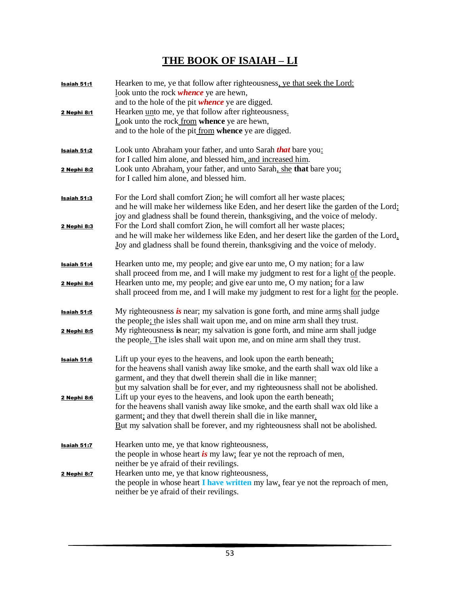## **THE BOOK OF ISAIAH – LI**

| <b>Isaiah 51:1</b> | Hearken to me, ye that follow after righteousness, ye that seek the Lord:<br>look unto the rock <i>whence</i> ye are hewn,<br>and to the hole of the pit <i>whence</i> ye are digged. |
|--------------------|---------------------------------------------------------------------------------------------------------------------------------------------------------------------------------------|
| 2 Nephi 8:1        | Hearken unto me, ye that follow after righteousness.                                                                                                                                  |
|                    | Look unto the rock from whence ye are hewn,                                                                                                                                           |
|                    | and to the hole of the pit from whence ye are digged.                                                                                                                                 |
| <b>Isaiah 51:2</b> | Look unto Abraham your father, and unto Sarah that bare you:                                                                                                                          |
|                    | for I called him alone, and blessed him, and increased him.<br>Look unto Abraham, your father, and unto Sarah, she that bare you;                                                     |
| 2 Nephi 8:2        | for I called him alone, and blessed him.                                                                                                                                              |
| <b>Isaiah 51:3</b> | For the Lord shall comfort Zion: he will comfort all her waste places;                                                                                                                |
|                    | and he will make her wilderness like Eden, and her desert like the garden of the Lord;<br>joy and gladness shall be found therein, thanksgiving, and the voice of melody.             |
| 2 Nephi 8:3        | For the Lord shall comfort Zion, he will comfort all her waste places;                                                                                                                |
|                    | and he will make her wilderness like Eden, and her desert like the garden of the Lord.                                                                                                |
|                    | Joy and gladness shall be found therein, thanksgiving and the voice of melody.                                                                                                        |
| <u>Isaiah 51:4</u> | Hearken unto me, my people; and give ear unto me, O my nation: for a law                                                                                                              |
|                    | shall proceed from me, and I will make my judgment to rest for a light of the people.                                                                                                 |
| 2 Nephi 8:4        | Hearken unto me, my people; and give ear unto me, O my nation; for a law<br>shall proceed from me, and I will make my judgment to rest for a light for the people.                    |
| Isaiah 51:5        | My righteousness is near; my salvation is gone forth, and mine arms shall judge                                                                                                       |
|                    | the people; the isles shall wait upon me, and on mine arm shall they trust.                                                                                                           |
| 2 Nephi 8:5        | My righteousness is near; my salvation is gone forth, and mine arm shall judge<br>the people. The isles shall wait upon me, and on mine arm shall they trust.                         |
|                    |                                                                                                                                                                                       |
| Isaiah 51:6        | Lift up your eyes to the heavens, and look upon the earth beneath:                                                                                                                    |
|                    | for the heavens shall vanish away like smoke, and the earth shall wax old like a                                                                                                      |
|                    | garment, and they that dwell therein shall die in like manner:<br>but my salvation shall be for ever, and my righteousness shall not be abolished.                                    |
| <u>2 Nephi 8:6</u> | Lift up your eyes to the heavens, and look upon the earth beneath;                                                                                                                    |
|                    | for the heavens shall vanish away like smoke, and the earth shall wax old like a                                                                                                      |
|                    | garment; and they that dwell therein shall die in like manner.                                                                                                                        |
|                    | $B$ ut my salvation shall be forever, and my righteousness shall not be abolished.                                                                                                    |
| Isaiah 51:7        | Hearken unto me, ye that know righteousness,                                                                                                                                          |
|                    | the people in whose heart is my law; fear ye not the reproach of men,                                                                                                                 |
|                    | neither be ye afraid of their revilings.                                                                                                                                              |
| 2 Nephi 8:7        | Hearken unto me, ye that know righteousness,<br>the people in whose heart I have written my law, fear ye not the reproach of men,                                                     |
|                    | neither be ye afraid of their revilings.                                                                                                                                              |
|                    |                                                                                                                                                                                       |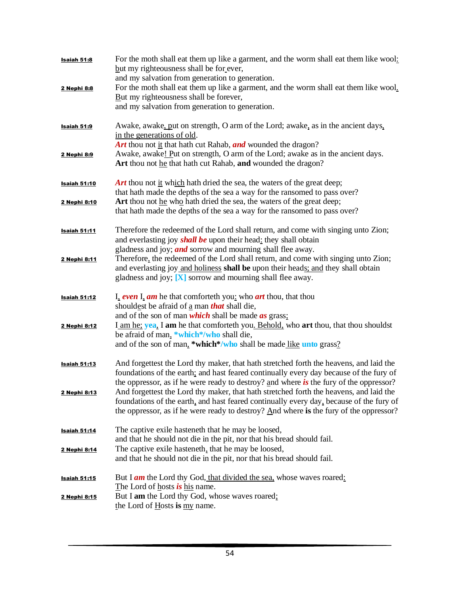| Isaiah 51:8         | For the moth shall eat them up like a garment, and the worm shall eat them like wool:<br>but my righteousness shall be for ever,                                                  |
|---------------------|-----------------------------------------------------------------------------------------------------------------------------------------------------------------------------------|
| 2 Nephi 8:8         | and my salvation from generation to generation.<br>For the moth shall eat them up like a garment, and the worm shall eat them like wool.                                          |
|                     | But my righteousness shall be forever,                                                                                                                                            |
|                     | and my salvation from generation to generation.                                                                                                                                   |
| <b>Isaiah 51:9</b>  | Awake, awake, put on strength, O arm of the Lord; awake, as in the ancient days,                                                                                                  |
|                     | in the generations of old.                                                                                                                                                        |
|                     | Art thou not it that hath cut Rahab, and wounded the dragon?                                                                                                                      |
| 2 Nephi 8:9         | Awake, awake! Put on strength, O arm of the Lord; awake as in the ancient days.<br>Art thou not he that hath cut Rahab, and wounded the dragon?                                   |
| <b>Isaiah 51:10</b> | <b>Art</b> thou not it which hath dried the sea, the waters of the great deep;                                                                                                    |
|                     | that hath made the depths of the sea a way for the ransomed to pass over?                                                                                                         |
| 2 Nephi 8:10        | Art thou not he who hath dried the sea, the waters of the great deep;                                                                                                             |
|                     | that hath made the depths of the sea a way for the ransomed to pass over?                                                                                                         |
| <b>Isaiah 51:11</b> | Therefore the redeemed of the Lord shall return, and come with singing unto Zion;                                                                                                 |
|                     | and everlasting joy <i>shall be</i> upon their head: they shall obtain                                                                                                            |
|                     | gladness and joy; <i>and</i> sorrow and mourning shall flee away.                                                                                                                 |
| 2 Nephi 8:11        | Therefore, the redeemed of the Lord shall return, and come with singing unto Zion;                                                                                                |
|                     | and everlasting joy and holiness shall be upon their heads; and they shall obtain<br>gladness and joy; [X] sorrow and mourning shall flee away.                                   |
|                     |                                                                                                                                                                                   |
| <b>Isaiah 51:12</b> | I, even I, am he that comforte th you: who art thou, that thou                                                                                                                    |
|                     | shouldest be afraid of a man <i>that</i> shall die,                                                                                                                               |
|                     | and of the son of man which shall be made as grass;                                                                                                                               |
| 2 Nephi 8:12        | I am he; yea, I am he that comforteth you. Behold, who art thou, that thou shouldst                                                                                               |
|                     | be afraid of man, *which*/who shall die,                                                                                                                                          |
|                     | and of the son of man, *which*/who shall be made like unto grass?                                                                                                                 |
| <b>Isaiah 51:13</b> | And forgettest the Lord thy maker, that hath stretched forth the heavens, and laid the                                                                                            |
|                     | foundations of the earth; and hast feared continually every day because of the fury of                                                                                            |
|                     | the oppressor, as if he were ready to destroy? and where is the fury of the oppressor?                                                                                            |
| 2 Nephi 8:13        | And forgettest the Lord thy maker, that hath stretched forth the heavens, and laid the                                                                                            |
|                     | foundations of the earth, and hast feared continually every day, because of the fury of<br>the oppressor, as if he were ready to destroy? And where is the fury of the oppressor? |
|                     |                                                                                                                                                                                   |
| <b>Isaiah 51:14</b> | The captive exile hasteneth that he may be loosed,                                                                                                                                |
|                     | and that he should not die in the pit, nor that his bread should fail.                                                                                                            |
| 2 Nephi 8:14        | The captive exile hasteneth, that he may be loosed,                                                                                                                               |
|                     | and that he should not die in the pit, nor that his bread should fail.                                                                                                            |
| <b>Isaiah 51:15</b> | But I <b>am</b> the Lord thy God, that divided the sea, whose waves roared:                                                                                                       |
|                     | The Lord of hosts is his name.                                                                                                                                                    |
| 2 Nephi 8:15        | But I am the Lord thy God, whose waves roared;                                                                                                                                    |
|                     | the Lord of Hosts is my name.                                                                                                                                                     |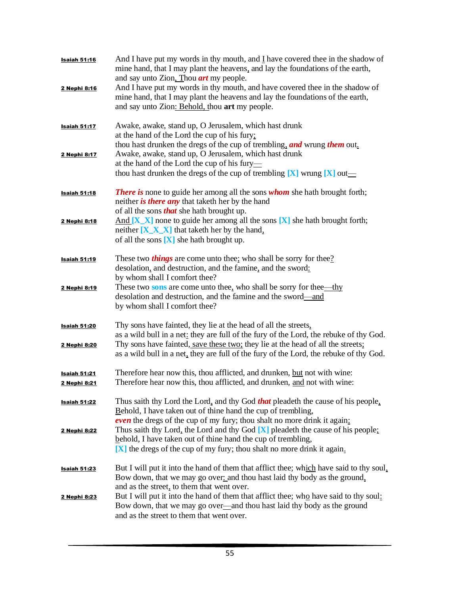| <u>Isaiah 51:16</u>                 | And I have put my words in thy mouth, and I have covered thee in the shadow of<br>mine hand, that I may plant the heavens, and lay the foundations of the earth,<br>and say unto Zion, Thou <i>art</i> my people.                            |
|-------------------------------------|----------------------------------------------------------------------------------------------------------------------------------------------------------------------------------------------------------------------------------------------|
| 2 Nephi 8:16                        | And I have put my words in thy mouth, and have covered thee in the shadow of<br>mine hand, that I may plant the heavens and lay the foundations of the earth,<br>and say unto Zion: Behold, thou art my people.                              |
| <b>Isaiah 51:17</b>                 | Awake, awake, stand up, O Jerusalem, which hast drunk<br>at the hand of the Lord the cup of his fury;<br>thou hast drunken the dregs of the cup of trembling, and wrung them out.                                                            |
| 2 Nephi 8:17                        | Awake, awake, stand up, O Jerusalem, which hast drunk<br>at the hand of the Lord the cup of his fury—<br>thou hast drunken the dregs of the cup of trembling $[X]$ wrung $[X]$ out—                                                          |
| <u>Isaiah 51:18</u>                 | <b>There is</b> none to guide her among all the sons whom she hath brought forth;<br>neither <i>is there any</i> that taketh her by the hand<br>of all the sons <i>that</i> she hath brought up.                                             |
| 2 Nephi 8:18                        | And $[X \ X]$ none to guide her among all the sons $[X]$ she hath brought forth;<br>neither $[X_X X]$ that taketh her by the hand,<br>of all the sons $[X]$ she hath brought up.                                                             |
| <b>Isaiah 51:19</b>                 | These two <i>things</i> are come unto thee; who shall be sorry for thee?<br>desolation, and destruction, and the famine, and the sword:<br>by whom shall I comfort thee?                                                                     |
| 2 Nephi 8:19                        | These two sons are come unto thee, who shall be sorry for thee—thy<br>desolation and destruction, and the famine and the sword-and<br>by whom shall I comfort thee?                                                                          |
| <b>Isaiah 51:20</b><br>2 Nephi 8:20 | Thy sons have fainted, they lie at the head of all the streets,<br>as a wild bull in a net: they are full of the fury of the Lord, the rebuke of thy God.<br>Thy sons have fainted, save these two; they lie at the head of all the streets; |
|                                     | as a wild bull in a net, they are full of the fury of the Lord, the rebuke of thy God.                                                                                                                                                       |
| <u>Isaiah 51:21</u><br>2 Nephi 8:21 | Therefore hear now this, thou afflicted, and drunken, but not with wine:<br>Therefore hear now this, thou afflicted, and drunken, and not with wine:                                                                                         |
| <b>Isaiah 51:22</b>                 | Thus saith thy Lord the Lord, and thy God <b>that</b> pleadeth the cause of his people,<br>Behold, I have taken out of thine hand the cup of trembling,<br><b>even</b> the dregs of the cup of my fury; thou shalt no more drink it again:   |
| 2 Nephi 8:22                        | Thus saith thy Lord, the Lord and thy God $[X]$ pleadeth the cause of his people;<br>behold, I have taken out of thine hand the cup of trembling,<br>[X] the dregs of the cup of my fury; thou shalt no more drink it again.                 |
| <b>Isaiah 51:23</b>                 | But I will put it into the hand of them that afflict thee; which have said to thy soul,<br>Bow down, that we may go over and thou hast laid thy body as the ground,<br>and as the street, to them that went over.                            |
| 2 Nephi 8:23                        | But I will put it into the hand of them that afflict thee; who have said to thy soul:<br>Bow down, that we may go over-and thou hast laid thy body as the ground<br>and as the street to them that went over.                                |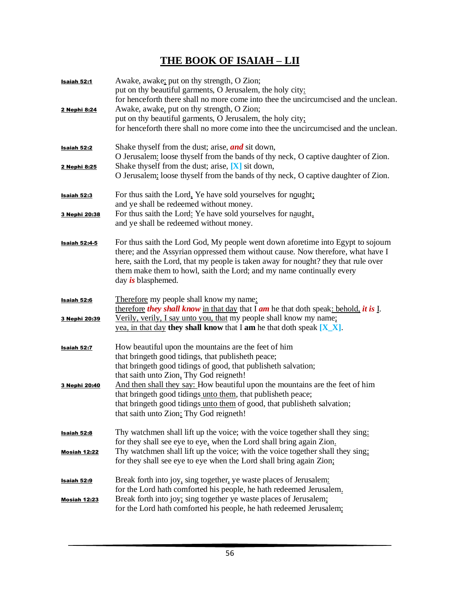## **THE BOOK OF ISAIAH – LII**

| Isaiah 52:1          | Awake, awake; put on thy strength, O Zion;<br>put on thy beautiful garments, O Jerusalem, the holy city:<br>for henceforth there shall no more come into thee the uncircumcised and the unclean.                                                                                                                                                                          |
|----------------------|---------------------------------------------------------------------------------------------------------------------------------------------------------------------------------------------------------------------------------------------------------------------------------------------------------------------------------------------------------------------------|
| 2 Nephi 8:24         | Awake, awake, put on thy strength, O Zion;<br>put on thy beautiful garments, O Jerusalem, the holy city:<br>for henceforth there shall no more come into thee the uncircumcised and the unclean.                                                                                                                                                                          |
| Isaiah 52:2          | Shake thyself from the dust; arise, <i>and</i> sit down,<br>O Jerusalem: loose thy self from the bands of thy neck, O captive daughter of Zion.                                                                                                                                                                                                                           |
| 2 Nephi 8:25         | Shake thy self from the dust; arise, $[X]$ sit down,<br>O Jerusalem: loose thyself from the bands of thy neck, O captive daughter of Zion.                                                                                                                                                                                                                                |
| <u>Isaiah 52:3</u>   | For thus saith the Lord, Ye have sold yourselves for nought;<br>and ye shall be redeemed without money.                                                                                                                                                                                                                                                                   |
| 3 Nephi 20:38        | For thus saith the Lord: Ye have sold yourselves for naught,<br>and ye shall be redeemed without money.                                                                                                                                                                                                                                                                   |
| <b>Isaiah 52:4-5</b> | For thus saith the Lord God, My people went down aforetime into Egypt to sojourn<br>there; and the Assyrian oppressed them without cause. Now therefore, what have I<br>here, saith the Lord, that my people is taken away for nought? they that rule over<br>them make them to howl, saith the Lord; and my name continually every<br>day $\boldsymbol{i}$ s blasphemed. |
| Isaiah 52:6          | Therefore my people shall know my name:<br>therefore they shall know in that day that $\overline{I}$ am he that doth speak: behold, it is $\overline{I}$ .                                                                                                                                                                                                                |
| 3 Nephi 20:39        | Verily, verily, I say unto you, that my people shall know my name;<br>yea, in that day they shall know that I am he that doth speak $[X_X]$ .                                                                                                                                                                                                                             |
| <b>Isaiah 52:7</b>   | How beautiful upon the mountains are the feet of him<br>that bringeth good tidings, that publisheth peace;<br>that bringeth good tidings of good, that publisheth salvation;<br>that saith unto Zion, Thy God reigneth!                                                                                                                                                   |
| 3 Nephi 20:40        | And then shall they say: How beautiful upon the mountains are the feet of him<br>that bringeth good tidings unto them, that publisheth peace;<br>that bringeth good tidings unto them of good, that publisheth salvation;<br>that saith unto Zion: Thy God reigneth!                                                                                                      |
| <b>Isaiah 52:8</b>   | Thy watchmen shall lift up the voice; with the voice together shall they sing:<br>for they shall see eye to eye, when the Lord shall bring again Zion.                                                                                                                                                                                                                    |
| <u> Mosiah 12:22</u> | Thy watchmen shall lift up the voice; with the voice together shall they sing:<br>for they shall see eye to eye when the Lord shall bring again Zion;                                                                                                                                                                                                                     |
| <b>Isaiah 52:9</b>   | Break forth into joy, sing together, ye waste places of Jerusalem:<br>for the Lord hath comforted his people, he hath redeemed Jerusalem.                                                                                                                                                                                                                                 |
| Mosiah 12:23         | Break forth into joy; sing together ye waste places of Jerusalem;<br>for the Lord hath comforted his people, he hath redeemed Jerusalem;                                                                                                                                                                                                                                  |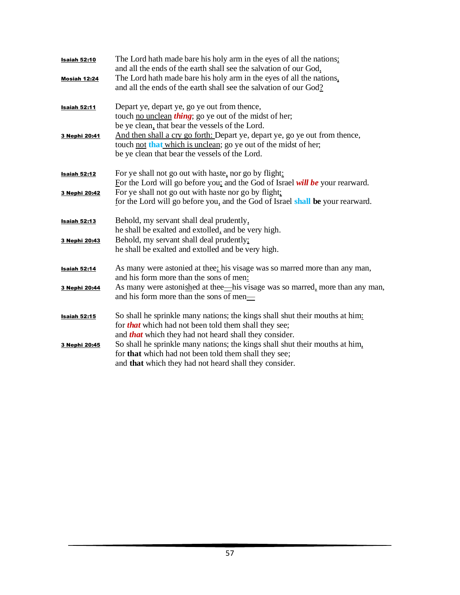| <b>Isaiah 52:10</b>                  | The Lord hath made bare his holy arm in the eyes of all the nations;<br>and all the ends of the earth shall see the salvation of our God.                                                                                                                                                                                                              |
|--------------------------------------|--------------------------------------------------------------------------------------------------------------------------------------------------------------------------------------------------------------------------------------------------------------------------------------------------------------------------------------------------------|
| <b>Mosiah 12:24</b>                  | The Lord hath made bare his holy arm in the eyes of all the nations,<br>and all the ends of the earth shall see the salvation of our God?                                                                                                                                                                                                              |
| <b>Isaiah 52:11</b>                  | Depart ye, depart ye, go ye out from thence,<br>touch <u>no unclean</u> <i>thing</i> ; go ye out of the midst of her;                                                                                                                                                                                                                                  |
| 3 Nephi 20:41                        | be ye clean, that bear the vessels of the Lord.<br>And then shall a cry go forth: Depart ye, depart ye, go ye out from thence,<br>touch not that which is unclean; go ye out of the midst of her;<br>be ye clean that bear the vessels of the Lord.                                                                                                    |
| <b>Isaiah 52:12</b><br>3 Nephi 20:42 | For ye shall not go out with haste, nor go by flight:<br>For the Lord will go before you; and the God of Israel will be your rearward.<br>For ye shall not go out with haste nor go by flight:<br>for the Lord will go before you, and the God of Israel shall be your rearward.                                                                       |
| <b>Isaiah 52:13</b><br>3 Nephi 20:43 | Behold, my servant shall deal prudently,<br>he shall be exalted and extolled, and be very high.<br>Behold, my servant shall deal prudently;<br>he shall be exalted and extolled and be very high.                                                                                                                                                      |
| <b>Isaiah 52:14</b><br>3 Nephi 20:44 | As many were astonied at thee; his visage was so marred more than any man,<br>and his form more than the sons of men:<br>As many were astonished at thee—his visage was so marred, more than any man,<br>and his form more than the sons of men—                                                                                                       |
| <b>Isaiah 52:15</b><br>3 Nephi 20:45 | So shall he sprinkle many nations; the kings shall shut their mouths at him:<br>for <b>that</b> which had not been told them shall they see;<br>and <b>that</b> which they had not heard shall they consider.<br>So shall he sprinkle many nations; the kings shall shut their mouths at him.<br>for that which had not been told them shall they see; |
|                                      | and <b>that</b> which they had not heard shall they consider.                                                                                                                                                                                                                                                                                          |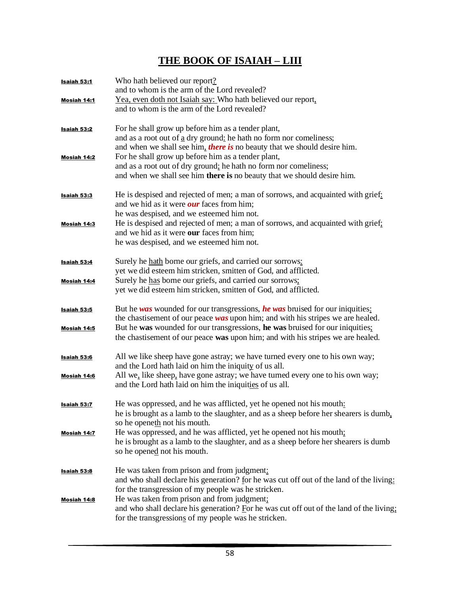# **THE BOOK OF ISAIAH – LIII**

| Isaiah 53:1                       | Who hath believed our report?<br>and to whom is the arm of the Lord revealed?                                                                                                                                                                                                      |
|-----------------------------------|------------------------------------------------------------------------------------------------------------------------------------------------------------------------------------------------------------------------------------------------------------------------------------|
| Mosiah 14:1                       | Yea, even doth not Isaiah say: Who hath believed our report,<br>and to whom is the arm of the Lord revealed?                                                                                                                                                                       |
| Isaiah 53:2                       | For he shall grow up before him as a tender plant,<br>and as a root out of $\underline{a}$ dry ground: he hath no form nor comeliness;<br>and when we shall see him, <i>there is</i> no beauty that we should desire him.                                                          |
| Mosiah 14:2                       | For he shall grow up before him as a tender plant,<br>and as a root out of dry ground; he hath no form nor comeliness;<br>and when we shall see him there is no beauty that we should desire him.                                                                                  |
| Isaiah 53:3                       | He is despised and rejected of men; a man of sorrows, and acquainted with grief:<br>and we hid as it were <i>our</i> faces from him;<br>he was despised, and we esteemed him not.                                                                                                  |
| Mosiah 14:3                       | He is despised and rejected of men; a man of sorrows, and acquainted with grief;<br>and we hid as it were <b>our</b> faces from him;<br>he was despised, and we esteemed him not.                                                                                                  |
| Isaiah 53:4                       | Surely he hath borne our griefs, and carried our sorrows:<br>yet we did esteem him stricken, smitten of God, and afflicted.                                                                                                                                                        |
| Mosiah 14:4                       | Surely he has borne our griefs, and carried our sorrows:<br>yet we did esteem him stricken, smitten of God, and afflicted.                                                                                                                                                         |
| <b>Isaiah 53:5</b><br>Mosiah 14:5 | But he was wounded for our transgressions, he was bruised for our iniquities:<br>the chastisement of our peace $was$ upon him; and with his stripes we are healed.<br>But he was wounded for our transgressions, he was bruised for our iniquities;                                |
|                                   | the chastisement of our peace was upon him; and with his stripes we are healed.                                                                                                                                                                                                    |
| <b>Isaiah 53:6</b><br>Mosiah 14:6 | All we like sheep have gone astray; we have turned every one to his own way;<br>and the Lord hath laid on him the iniquity of us all.<br>All we, like sheep, have gone astray; we have turned every one to his own way;<br>and the Lord hath laid on him the iniquities of us all. |
| Isaiah 53:7                       | He was oppressed, and he was afflicted, yet he opened not his mouth:<br>he is brought as a lamb to the slaughter, and as a sheep before her shearers is dumb,<br>so he openeth not his mouth.                                                                                      |
| Mosiah 14:7                       | He was oppressed, and he was afflicted, yet he opened not his mouth;<br>he is brought as a lamb to the slaughter, and as a sheep before her shearers is dumb<br>so he opened not his mouth.                                                                                        |
| <b>Isaiah 53:8</b>                | He was taken from prison and from judgment:<br>and who shall declare his generation? for he was cut off out of the land of the living:<br>for the transgression of my people was he stricken.                                                                                      |
| <b>Mosiah 14:8</b>                | He was taken from prison and from judgment;<br>and who shall declare his generation? For he was cut off out of the land of the living:<br>for the transgressions of my people was he stricken.                                                                                     |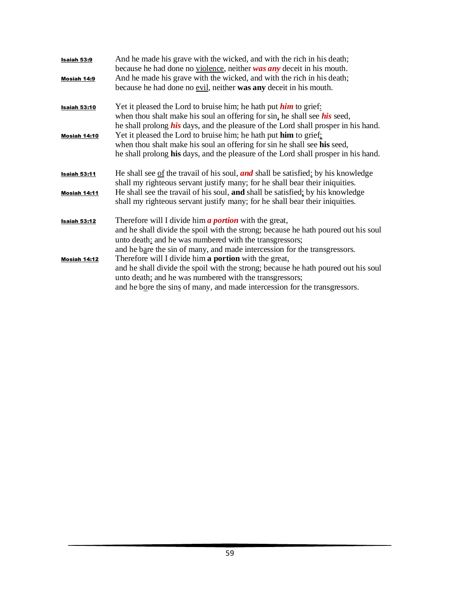| Isaiah 53:9<br>Mosiah 14:9 | And he made his grave with the wicked, and with the rich in his death;<br>because he had done no violence, neither was any deceit in his mouth.<br>And he made his grave with the wicked, and with the rich in his death;<br>because he had done no evil, neither was any deceit in his mouth. |
|----------------------------|------------------------------------------------------------------------------------------------------------------------------------------------------------------------------------------------------------------------------------------------------------------------------------------------|
| <b>Isaiah 53:10</b>        | Yet it pleased the Lord to bruise him; he hath put <i>him</i> to grief:                                                                                                                                                                                                                        |
|                            | when thou shalt make his soul an offering for sin, he shall see <i>his</i> seed,                                                                                                                                                                                                               |
|                            | he shall prolong <i>his</i> days, and the pleasure of the Lord shall prosper in his hand.                                                                                                                                                                                                      |
| Mosiah 14:10               | Yet it pleased the Lord to bruise him; he hath put him to grief;                                                                                                                                                                                                                               |
|                            | when thou shalt make his soul an offering for sin he shall see his seed,                                                                                                                                                                                                                       |
|                            | he shall prolong his days, and the pleasure of the Lord shall prosper in his hand.                                                                                                                                                                                                             |
| <b>Isaiah 53:11</b>        | He shall see of the travail of his soul, <b>and</b> shall be satisfied: by his knowledge                                                                                                                                                                                                       |
|                            | shall my righteous servant justify many; for he shall bear their iniquities.                                                                                                                                                                                                                   |
| Mosiah 14:11               | He shall see the travail of his soul, and shall be satisfied; by his knowledge<br>shall my righteous servant justify many; for he shall bear their iniquities.                                                                                                                                 |
| <b>Isaiah 53:12</b>        | Therefore will I divide him <b>a portion</b> with the great,                                                                                                                                                                                                                                   |
|                            | and he shall divide the spoil with the strong; because he hath poured out his soul                                                                                                                                                                                                             |
|                            | unto death: and he was numbered with the transgressors;                                                                                                                                                                                                                                        |
|                            | and he bare the sin of many, and made intercession for the transgressors.                                                                                                                                                                                                                      |
| Mosiah 14:12               | Therefore will I divide him a portion with the great,                                                                                                                                                                                                                                          |
|                            | and he shall divide the spoil with the strong; because he hath poured out his soul                                                                                                                                                                                                             |
|                            | unto death; and he was numbered with the transgressors;                                                                                                                                                                                                                                        |
|                            | and he bore the sins of many, and made intercession for the transgressors.                                                                                                                                                                                                                     |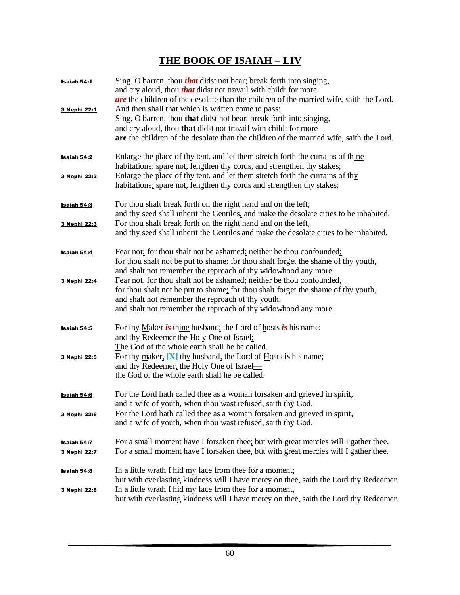## **THE BOOK OF ISAIAH – LIV**

| Isaiah 54:1         | Sing, O barren, thou <i>that</i> didst not bear; break forth into singing,<br>and cry aloud, thou <i>that</i> didst not travail with child: for more<br>are the children of the desolate than the children of the married wife, saith the Lord. |
|---------------------|-------------------------------------------------------------------------------------------------------------------------------------------------------------------------------------------------------------------------------------------------|
| 3 Nephi 22:1        | And then shall that which is written come to pass:                                                                                                                                                                                              |
|                     | Sing, O barren, thou that didst not bear; break forth into singing,                                                                                                                                                                             |
|                     | and cry aloud, thou that didst not travail with child; for more<br>are the children of the desolate than the children of the married wife, saith the Lord.                                                                                      |
|                     |                                                                                                                                                                                                                                                 |
| Isaiah 54:2         | Enlarge the place of thy tent, and let them stretch forth the curtains of thine<br>habitations: spare not, lengthen thy cords, and strengthen thy stakes;                                                                                       |
| 3 Nephi 22:2        | Enlarge the place of thy tent, and let them stretch forth the curtains of thy                                                                                                                                                                   |
|                     | habitations: spare not, lengthen thy cords and strengthen thy stakes;                                                                                                                                                                           |
|                     |                                                                                                                                                                                                                                                 |
| <u>Isaiah 54:3</u>  | For thou shalt break forth on the right hand and on the left;                                                                                                                                                                                   |
| 3 Nephi 22:3        | and thy seed shall inherit the Gentiles, and make the desolate cities to be inhabited.<br>For thou shalt break forth on the right hand and on the left,                                                                                         |
|                     | and thy seed shall inherit the Gentiles and make the desolate cities to be inhabited.                                                                                                                                                           |
|                     |                                                                                                                                                                                                                                                 |
| Isaiah 54:4         | Fear not; for thou shalt not be ashamed: neither be thou confounded;                                                                                                                                                                            |
|                     | for thou shalt not be put to shame: for thou shalt forget the shame of thy youth,                                                                                                                                                               |
|                     | and shalt not remember the reproach of thy widowhood any more.                                                                                                                                                                                  |
| 3 Nephi 22:4        | Fear not, for thou shalt not be ashamed: neither be thou confounded.                                                                                                                                                                            |
|                     | for thou shalt not be put to shame; for thou shalt forget the shame of thy youth,<br>and shalt not remember the reproach of thy youth,                                                                                                          |
|                     | and shalt not remember the reproach of thy widowhood any more.                                                                                                                                                                                  |
|                     |                                                                                                                                                                                                                                                 |
| Isaiah 54:5         | For thy Maker is thine husband; the Lord of hosts is his name;                                                                                                                                                                                  |
|                     | and thy Redeemer the Holy One of Israel;                                                                                                                                                                                                        |
|                     | The God of the whole earth shall he be called.                                                                                                                                                                                                  |
| 3 Nephi 22:5        | For thy maker, $[X]$ thy husband, the Lord of Hosts is his name;                                                                                                                                                                                |
|                     | and thy Redeemer, the Holy One of Israel-<br>the God of the whole earth shall he be called.                                                                                                                                                     |
|                     |                                                                                                                                                                                                                                                 |
| Isaiah 54:6         | For the Lord hath called thee as a woman forsaken and grieved in spirit,                                                                                                                                                                        |
|                     | and a wife of youth, when thou wast refused, saith thy God.                                                                                                                                                                                     |
| <u>3 Nephi 22:6</u> | For the Lord hath called thee as a woman forsaken and grieved in spirit,                                                                                                                                                                        |
|                     | and a wife of youth, when thou wast refused, saith thy God.                                                                                                                                                                                     |
|                     |                                                                                                                                                                                                                                                 |
| <b>Isaiah 54:7</b>  | For a small moment have I forsaken thee: but with great mercies will I gather thee.<br>For a small moment have I forsaken thee, but with great mercies will I gather thee.                                                                      |
| 3 Nephi 22:7        |                                                                                                                                                                                                                                                 |
| <u>Isaiah 54:8</u>  | In a little wrath I hid my face from thee for a moment;                                                                                                                                                                                         |
|                     | but with everlasting kindness will I have mercy on thee, saith the Lord thy Redeemer.                                                                                                                                                           |
| 3 Nephi 22:8        | In a little wrath I hid my face from thee for a moment,                                                                                                                                                                                         |
|                     | but with everlasting kindness will I have mercy on thee, saith the Lord thy Redeemer.                                                                                                                                                           |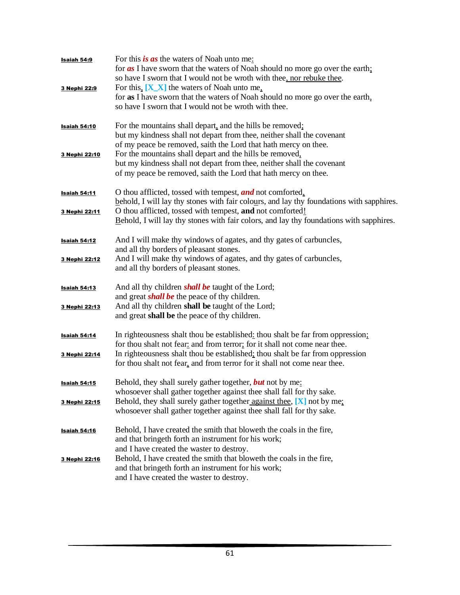| Isaiah 54:9         | For this is as the waters of Noah unto me:<br>for $\alpha s$ I have sworn that the waters of Noah should no more go over the earth;<br>so have I sworn that I would not be wroth with thee, nor rebuke thee.          |
|---------------------|-----------------------------------------------------------------------------------------------------------------------------------------------------------------------------------------------------------------------|
| 3 Nephi 22:9        | For this, $[X_X]$ the waters of Noah unto me,<br>for as I have sworn that the waters of Noah should no more go over the earth,<br>so have I sworn that I would not be wroth with thee.                                |
| <b>Isaiah 54:10</b> | For the mountains shall depart, and the hills be removed;<br>but my kindness shall not depart from thee, neither shall the covenant<br>of my peace be removed, saith the Lord that hath mercy on thee.                |
| 3 Nephi 22:10       | For the mountains shall depart and the hills be removed,<br>but my kindness shall not depart from thee, neither shall the covenant<br>of my peace be removed, saith the Lord that hath mercy on thee.                 |
| <u>Isaiah 54:11</u> | O thou afflicted, tossed with tempest, and not comforted.<br>behold, I will lay thy stones with fair colours, and lay thy foundations with sapphires.                                                                 |
| 3 Nephi 22:11       | O thou afflicted, tossed with tempest, and not comforted!<br>Behold, I will lay thy stones with fair colors, and lay thy foundations with sapphires.                                                                  |
| Isaiah 54:12        | And I will make thy windows of agates, and thy gates of carbuncles,<br>and all thy borders of pleasant stones.                                                                                                        |
| 3 Nephi 22:12       | And I will make thy windows of agates, and thy gates of carbuncles,<br>and all thy borders of pleasant stones.                                                                                                        |
| <u>Isaiah 54:13</u> | And all thy children <i>shall be</i> taught of the Lord;<br>and great <i>shall be</i> the peace of thy children.                                                                                                      |
| 3 Nephi 22:13       | And all thy children shall be taught of the Lord;<br>and great shall be the peace of thy children.                                                                                                                    |
| Isaiah 54:14        | In righteousness shalt thou be established: thou shalt be far from oppression;<br>for thou shalt not fear: and from terror; for it shall not come near thee.                                                          |
| 3 Nephi 22:14       | In righteousness shalt thou be established; thou shalt be far from oppression<br>for thou shalt not fear, and from terror for it shall not come near thee.                                                            |
| <b>Isaiah 54:15</b> | Behold, they shall surely gather together, <b>but</b> not by me:<br>whosoever shall gather together against thee shall fall for thy sake.                                                                             |
| 3 Nephi 22:15       | Behold, they shall surely gather together $\alpha$ against thee, $[X]$ not by me.<br>whosoever shall gather together against thee shall fall for thy sake.                                                            |
| <b>Isaiah 54:16</b> | Behold, I have created the smith that bloweth the coals in the fire,<br>and that bringeth forth an instrument for his work;                                                                                           |
| 3 Nephi 22:16       | and I have created the waster to destroy.<br>Behold, I have created the smith that bloweth the coals in the fire,<br>and that bringeth forth an instrument for his work;<br>and I have created the waster to destroy. |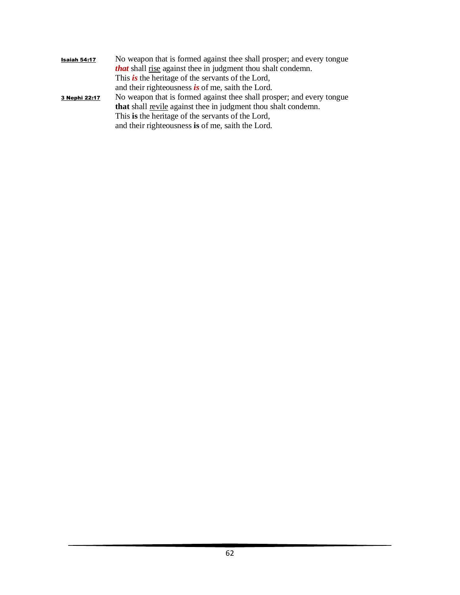| Isaiah 54:17  | No weapon that is formed against thee shall prosper; and every tongue      |
|---------------|----------------------------------------------------------------------------|
|               | <b><i>that</i></b> shall rise against thee in judgment thou shalt condemn. |
|               | This is the heritage of the servants of the Lord,                          |
|               | and their righteousness is of me, saith the Lord.                          |
| 3 Nephi 22:17 | No weapon that is formed against thee shall prosper; and every tongue      |
|               | that shall revile against thee in judgment thou shalt condemn.             |
|               | This is the heritage of the servants of the Lord,                          |
|               | and their righteousness is of me, saith the Lord.                          |
|               |                                                                            |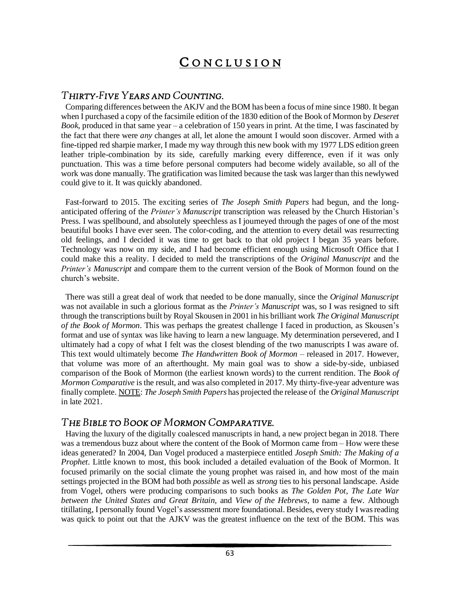# CONCLUSION

#### *THIRTY-FIVE YEARS AND COUNTING.*

 Comparing differences between the AKJV and the BOM has been a focus of mine since 1980. It began when I purchased a copy of the facsimile edition of the 1830 edition of the Book of Mormon by *Deseret Book*, produced in that same year – a celebration of 150 years in print. At the time, I was fascinated by the fact that there were *any* changes at all, let alone the amount I would soon discover. Armed with a fine-tipped red sharpie marker, I made my way through this new book with my 1977 LDS edition green leather triple-combination by its side, carefully marking every difference, even if it was only punctuation. This was a time before personal computers had become widely available, so all of the work was done manually. The gratification was limited because the task was larger than this newlywed could give to it. It was quickly abandoned.

 Fast-forward to 2015. The exciting series of *The Joseph Smith Papers* had begun, and the longanticipated offering of the *Printer's Manuscript* transcription was released by the Church Historian's Press. I was spellbound, and absolutely speechless as I journeyed through the pages of one of the most beautiful books I have ever seen. The color-coding, and the attention to every detail was resurrecting old feelings, and I decided it was time to get back to that old project I began 35 years before. Technology was now on my side, and I had become efficient enough using Microsoft Office that I could make this a reality. I decided to meld the transcriptions of the *Original Manuscript* and the *Printer's Manuscript* and compare them to the current version of the Book of Mormon found on the church's website.

 There was still a great deal of work that needed to be done manually, since the *Original Manuscript* was not available in such a glorious format as the *Printer's Manuscript* was, so I was resigned to sift through the transcriptions built by Royal Skousen in 2001 in his brilliant work *The Original Manuscript of the Book of Mormon*. This was perhaps the greatest challenge I faced in production, as Skousen's format and use of syntax was like having to learn a new language. My determination persevered, and I ultimately had a copy of what I felt was the closest blending of the two manuscripts I was aware of. This text would ultimately become *The Handwritten Book of Mormon* – released in 2017. However, that volume was more of an afterthought. My main goal was to show a side-by-side, unbiased comparison of the Book of Mormon (the earliest known words) to the current rendition. The *Book of Mormon Comparative* is the result, and was also completed in 2017. My thirty-five-year adventure was finally complete. NOTE: *The Joseph Smith Papers* has projected the release of the *Original Manuscript* in late 2021.

#### *THE BIBLE TO BOOK OF MORMON COMPARATIVE.*

 Having the luxury of the digitally coalesced manuscripts in hand, a new project began in 2018. There was a tremendous buzz about where the content of the Book of Mormon came from – How were these ideas generated? In 2004, Dan Vogel produced a masterpiece entitled *Joseph Smith: The Making of a Prophet*. Little known to most, this book included a detailed evaluation of the Book of Mormon. It focused primarily on the social climate the young prophet was raised in, and how most of the main settings projected in the BOM had both *possible* as well as *strong* ties to his personal landscape. Aside from Vogel, others were producing comparisons to such books as *The Golden Pot*, *The Late War between the United States and Great Britain*, and *View of the Hebrews*, to name a few. Although titillating, I personally found Vogel's assessment more foundational. Besides, every study I wasreading was quick to point out that the AJKV was the greatest influence on the text of the BOM. This was